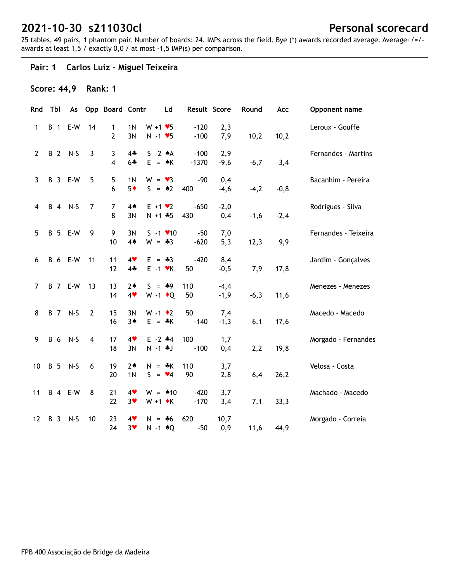25 tables, 49 pairs, 1 phantom pair. Number of boards: 24. IMPs across the field. Bye (\*) awards recorded average. Average+/=/ awards at least 1,5 / exactly 0,0 / at most -1,5 IMP(s) per comparison.

#### **Pair: 1 Carlos Luiz - Miguel Teixeira**

## **Score: 44,9 Rank: 1**

| Rnd            | Tbl        | As                    |                | Opp Board Contr     |                        |                                                    | Ld           | Result Score      |                  | Round  | Acc    | Opponent name        |
|----------------|------------|-----------------------|----------------|---------------------|------------------------|----------------------------------------------------|--------------|-------------------|------------------|--------|--------|----------------------|
| $\mathbf{1}$   | <b>B</b> 1 | E-W                   | 14             | 1<br>$\overline{2}$ | 1 <sub>N</sub><br>3N   | $W + 1 \cdot 5$<br>$N - 1$ $\blacktriangleright$ 5 |              | $-120$<br>$-100$  | 2,3<br>7,9       | 10,2   | 10,2   | Leroux - Gouffé      |
| $\overline{2}$ |            | B 2 N-S               | $\overline{3}$ | 3<br>$\overline{4}$ | $4+$<br>$6 +$          | $S - 2 A$<br>$E = AK$                              |              | $-100$<br>$-1370$ | 2,9<br>$-9,6$    | $-6,7$ | 3,4    | Fernandes - Martins  |
| $\mathbf{3}$   |            | <b>B</b> 3 E-W        | 5              | 5<br>6              | 1 <sub>N</sub><br>$5*$ | $W = \bullet 3$<br>$S = \triangle 2$               |              | $-90$<br>400      | 0,4<br>$-4,6$    | $-4,2$ | $-0,8$ | Bacanhim - Pereira   |
| 4              |            | B 4 N-S               | 7              | 7<br>8              | $4*$<br>3N             | $E + 1 \cdot 2$<br>$N + 1 + 5$                     |              | $-650$<br>430     | $-2,0$<br>0,4    | $-1,6$ | $-2,4$ | Rodrigues - Silva    |
| 5              |            | <b>B</b> 5 E-W        | 9              | 9<br>10             | 3N<br>4A               | $S - 1$ $\times 10$<br>$W = -3$                    |              | $-50$<br>$-620$   | 7,0<br>5,3       | 12,3   | 9,9    | Fernandes - Teixeira |
| 6              |            | <b>B</b> 6 E-W        | 11             | 11<br>12            | 4<br>$4\clubsuit$      | $E = -3$<br>$E - 1$ $\forall$ K                    |              | $-420$<br>50      | 8,4<br>$-0,5$    | 7,9    | 17,8   | Jardim - Gonçalves   |
| 7              |            | <b>B</b> 7 E-W        | 13             | 13<br>14            | $2*$<br>4              | $S = *9$<br>W -1 $\bullet$ Q                       |              | 110<br>50         | $-4,4$<br>$-1,9$ | $-6,3$ | 11,6   | Menezes - Menezes    |
| 8              |            | B 7 N-S               | $\overline{2}$ | 15<br>16            | 3N<br>$3*$             | $W - 1$ $\bullet$ 2<br>E.                          | $=$ $\ast$ K | 50<br>$-140$      | 7,4<br>$-1,3$    | 6,1    | 17,6   | Macedo - Macedo      |
| 9              | <b>B</b> 6 | $N-S$                 | $\overline{4}$ | 17<br>18            | 4<br>3N                | $E - 2$ $*4$<br>$N - 1$ . J                        |              | 100<br>$-100$     | 1,7<br>0,4       | 2,2    | 19,8   | Morgado - Fernandes  |
| 10             |            | B 5 N-S               | 6              | 19<br>20            | $2*$<br>1 <sub>N</sub> | $N = *K$<br>$S = \bullet 4$                        |              | 110<br>90         | 3,7<br>2,8       | 6,4    | 26,2   | Velosa - Costa       |
| 11             |            | <b>B</b> 4 <b>E-W</b> | 8              | 21<br>22            | 4<br>$3*$              | $W = 10$<br>$W + 1$ $\star$ K                      |              | $-420$<br>$-170$  | 3,7<br>3,4       | 7,1    | 33,3   | Machado - Macedo     |
| 12             | <b>B</b> 3 | $N-S$                 | 10             | 23<br>24            | 4<br>3 <sub>v</sub>    | $N = *6$<br>$N - 1$ $\triangle Q$                  |              | 620<br>$-50$      | 10,7<br>0,9      | 11,6   | 44,9   | Morgado - Correia    |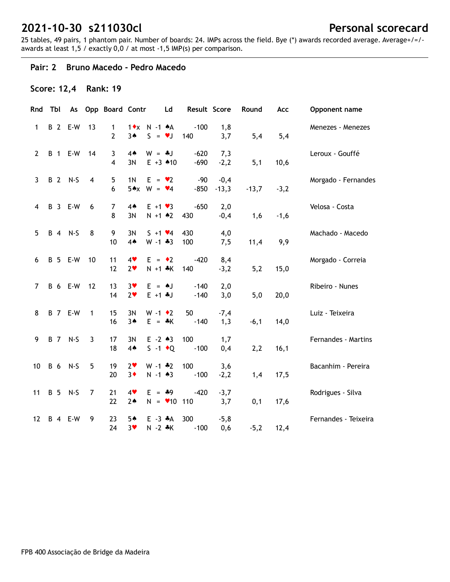25 tables, 49 pairs, 1 phantom pair. Number of boards: 24. IMPs across the field. Bye (\*) awards recorded average. Average+/=/ awards at least 1,5 / exactly 0,0 / at most -1,5 IMP(s) per comparison.

#### **Pair: 2 Bruno Macedo - Pedro Macedo**

### **Score: 12,4 Rank: 19**

| Rnd               | Tbl | As                    |                | Opp Board Contr     |                        |                                         | Ld | Result Score     |                   | Round   | Acc    | Opponent name        |
|-------------------|-----|-----------------------|----------------|---------------------|------------------------|-----------------------------------------|----|------------------|-------------------|---------|--------|----------------------|
| $\mathbf{1}$      |     | <b>B</b> 2 E-W        | 13             | 1<br>$\overline{2}$ | $1 \cdot x$<br>3A      | N -1 + A<br>$S = \bullet J$             |    | $-100$<br>140    | 1,8<br>3,7        | 5,4     | 5,4    | Menezes - Menezes    |
| $\mathbf{2}$      |     | <b>B</b> 1 <b>E-W</b> | 14             | 3<br>$\overline{4}$ | $4*$<br>3N             | $W = *J$<br>$E + 3$ $*10$               |    | $-620$<br>$-690$ | 7,3<br>$-2,2$     | 5,1     | 10,6   | Leroux - Gouffé      |
| 3                 |     | B 2 N-S               | $\overline{4}$ | 5<br>6              | 1 <sub>N</sub>         | $E = \bullet 2$<br>$5*x$ W = $\sqrt{4}$ |    | $-90$<br>$-850$  | $-0,4$<br>$-13,3$ | $-13,7$ | $-3,2$ | Morgado - Fernandes  |
| 4                 |     | B 3 E-W               | 6              | 7<br>8              | $4*$<br>3N             | $E + 1 \cdot 3$<br>$N + 1$ $*2$         |    | $-650$<br>430    | 2,0<br>$-0,4$     | 1,6     | $-1,6$ | Velosa - Costa       |
| 5                 |     | B 4 N-S               | 8              | 9<br>10             | 3N<br>4A               | $S + 1 \cdot 4$<br>$W - 1 * 3$          |    | 430<br>100       | 4,0<br>7,5        | 11,4    | 9,9    | Machado - Macedo     |
| 6                 |     | B 5 E-W               | 10             | 11<br>12            | 4<br>2 <sub>v</sub>    | $E = \cdot 2$<br>$N + 1$ *K             |    | $-420$<br>140    | 8,4<br>$-3,2$     | 5,2     | 15,0   | Morgado - Correia    |
| $\overline{7}$    |     | <b>B</b> 6 E-W        | 12             | 13<br>14            | $3*$<br>2 <sub>v</sub> | $E = AJ$<br>$E + 1 + J$                 |    | $-140$<br>$-140$ | 2,0<br>3,0        | 5,0     | 20,0   | Ribeiro - Nunes      |
| 8                 |     | <b>B</b> 7 E-W        | $\mathbf{1}$   | 15<br>16            | 3N<br>$3*$             | $W - 1$ $\bullet$ 2<br>$E = \cdot K$    |    | 50<br>$-140$     | $-7,4$<br>1,3     | $-6,1$  | 14,0   | Luiz - Teixeira      |
| 9                 |     | B 7 N-S               | $\overline{3}$ | 17<br>18            | 3N<br>4 <sub>•</sub>   | $E - 2 \cdot 3$<br>$S -1$ + Q           |    | 100<br>$-100$    | 1,7<br>0,4        | 2,2     | 16,1   | Fernandes - Martins  |
| 10                |     | B 6 N-S               | 5              | 19<br>20            | 2 <sub>v</sub><br>$3*$ | $W - 1 * 2$<br>$N - 1$ $*3$             |    | 100<br>$-100$    | 3,6<br>$-2,2$     | 1,4     | 17,5   | Bacanhim - Pereira   |
| 11                |     | B 5 N-S               | 7              | 21<br>22            | 4<br>$2*$              | $E = 49$<br>$N = 10$ 110                |    | $-420$           | $-3,7$<br>3,7     | 0,1     | 17,6   | Rodrigues - Silva    |
| $12 \overline{ }$ |     | <b>B</b> 4 <b>E-W</b> | 9              | 23<br>24            | 5♠<br>$3*$             | $E - 3$ $A$<br>$N - 2$ $*K$             |    | 300<br>$-100$    | $-5,8$<br>0,6     | $-5,2$  | 12,4   | Fernandes - Teixeira |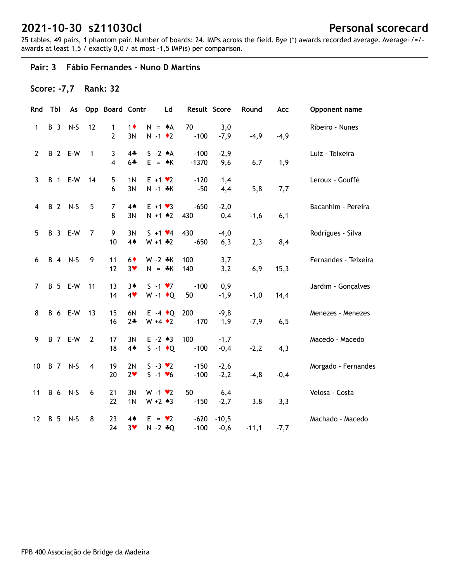25 tables, 49 pairs, 1 phantom pair. Number of boards: 24. IMPs across the field. Bye (\*) awards recorded average. Average+/=/ awards at least 1,5 / exactly 0,0 / at most -1,5 IMP(s) per comparison.

#### **Pair: 3 Fábio Fernandes - Nuno D Martins**

### **Score: -7,7 Rank: 32**

| Rnd            | Tbl        | As                    |                | Opp Board Contr     |                        | Ld                                     |                   | Result Score      | Round   | Acc    | Opponent name        |
|----------------|------------|-----------------------|----------------|---------------------|------------------------|----------------------------------------|-------------------|-------------------|---------|--------|----------------------|
| $\mathbf{1}$   | B 3        | $N-S$                 | 12             | 1<br>$\overline{2}$ | $1\bullet$<br>3N       | $N = A$<br>$N - 1$ $\bullet$ 2         | 70<br>$-100$      | 3,0<br>$-7,9$     | $-4,9$  | $-4,9$ | Ribeiro - Nunes      |
| $\overline{2}$ |            | <b>B</b> 2 E-W        | $\mathbf{1}$   | 3<br>4              | $4 -$<br>$6 +$         | $S - 2 A$<br>$E = AK$                  | $-100$<br>$-1370$ | $-2,9$<br>9,6     | 6,7     | 1,9    | Luiz - Teixeira      |
| $\mathbf{3}$   |            | <b>B</b> 1 <b>E-W</b> | 14             | 5<br>6              | 1 <sub>N</sub><br>3N   | $E + 1 \cdot 2$<br>$N - 1$ $*K$        | $-120$<br>$-50$   | 1,4<br>4,4        | 5,8     | 7,7    | Leroux - Gouffé      |
| 4              |            | B 2 N-S               | 5              | 7<br>8              | 4 <sub>•</sub><br>3N   | $E + 1 \cdot 3$<br>$N + 1$ $*2$        | $-650$<br>430     | $-2,0$<br>0,4     | $-1,6$  | 6,1    | Bacanhim - Pereira   |
| 5              |            | <b>B</b> 3 <b>E-W</b> | 7              | 9<br>10             | 3N<br>4A               | $S + 1 \cdot 4$<br>$W + 1$ $*2$        | 430<br>$-650$     | $-4,0$<br>6,3     | 2,3     | 8,4    | Rodrigues - Silva    |
| 6              |            | B 4 N-S               | 9              | 11<br>12            | $6*$<br>3 <sub>v</sub> | $W - 2 * K$<br>$N = *K$                | 100<br>140        | 3,7<br>3,2        | 6,9     | 15,3   | Fernandes - Teixeira |
| 7              |            | <b>B</b> 5 <b>E-W</b> | 11             | 13<br>14            | $3*$<br>4              | $S - 1 \cdot 7$<br>$W - 1$ + Q         | $-100$<br>50      | 0,9<br>$-1,9$     | $-1,0$  | 14,4   | Jardim - Gonçalves   |
| 8              |            | <b>B</b> 6 E-W        | 13             | 15<br>16            | 6N<br>$2+$             | $E -4$ + Q<br>$W + 4 \cdot 2$          | 200<br>$-170$     | $-9,8$<br>1,9     | $-7,9$  | 6, 5   | Menezes - Menezes    |
| 9              |            | <b>B</b> 7 E-W        | $\overline{2}$ | 17<br>18            | 3N<br>4 <sub>•</sub>   | $E - 2 \cdot 3$<br>$S -1$ + Q          | 100<br>$-100$     | $-1,7$<br>$-0,4$  | $-2,2$  | 4,3    | Macedo - Macedo      |
| 10             |            | B 7 N-S               | 4              | 19<br>20            | 2N<br>2 <sub>v</sub>   | $S - 3 \cdot 2$<br>$S - 1 \cdot 6$     | $-150$<br>$-100$  | $-2,6$<br>$-2,2$  | $-4,8$  | $-0,4$ | Morgado - Fernandes  |
| 11             | B 6        | $N-S$                 | 6              | 21<br>22            | 3N<br>1 <sub>N</sub>   | $W - 1$ $\bullet$ 2<br>$W + 2 \cdot 3$ | 50<br>$-150$      | 6,4<br>$-2,7$     | 3,8     | 3,3    | Velosa - Costa       |
| 12             | <b>B</b> 5 | $N-S$                 | 8              | 23<br>24            | $4*$<br>$3*$           | $E = \bullet 2$<br>$N - 2 * Q$         | $-620$<br>$-100$  | $-10,5$<br>$-0,6$ | $-11,1$ | $-7,7$ | Machado - Macedo     |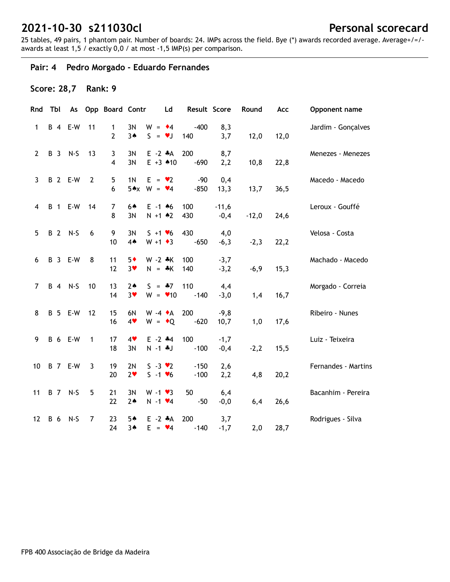25 tables, 49 pairs, 1 phantom pair. Number of boards: 24. IMPs across the field. Bye (\*) awards recorded average. Average+/=/ awards at least 1,5 / exactly 0,0 / at most -1,5 IMP(s) per comparison.

## **Pair: 4 Pedro Morgado - Eduardo Fernandes**

## **Score: 28,7 Rank: 9**

| Rnd                   | Tbl        | As                    |                | Opp Board Contr Ld  |                        |                                         | Result Score     |                   | Round   | Acc  | Opponent name       |
|-----------------------|------------|-----------------------|----------------|---------------------|------------------------|-----------------------------------------|------------------|-------------------|---------|------|---------------------|
| $\mathbf{1}$          |            | <b>B</b> 4 <b>E-W</b> | 11             | 1<br>$\overline{2}$ | 3N<br>$3*$             | $W = 4$<br>$S = \bullet J$              | $-400$<br>140    | 8,3<br>3,7        | 12,0    | 12,0 | Jardim - Gonçalves  |
| $\mathbf{2}^{\prime}$ |            | B 3 N-S               | 13             | 3<br>4              | 3N<br>3N               | $E - 2$ $*A$<br>$E + 3$ $*10$           | 200<br>$-690$    | 8,7<br>2,2        | 10,8    | 22,8 | Menezes - Menezes   |
| 3                     |            | <b>B</b> 2 <b>E-W</b> | $\overline{2}$ | 5<br>6              | 1 <sub>N</sub>         | $E = \bullet 2$<br>$5*x$ W = $\sqrt{4}$ | $-90$<br>$-850$  | 0,4<br>13,3       | 13,7    | 36,5 | Macedo - Macedo     |
| 4                     |            | B 1 E-W 14            |                | 7<br>8              | 64<br>3N               | $E - 1$ 46<br>$N + 1$ $*2$              | 100<br>430       | $-11,6$<br>$-0,4$ | $-12,0$ | 24,6 | Leroux - Gouffé     |
| 5                     |            | B 2 N-S               | 6              | 9<br>10             | 3N<br>4 <sub>•</sub>   | $S + 1 \cdot 6$<br>$W + 1 \cdot 3$      | 430<br>$-650$    | 4,0<br>$-6,3$     | $-2,3$  | 22,2 | Velosa - Costa      |
| 6                     |            | B 3 E-W               | 8              | 11<br>12            | $5*$<br>3 <sub>v</sub> | $W - 2 * K$<br>$N = *K$                 | 100<br>140       | $-3,7$<br>$-3,2$  | $-6,9$  | 15,3 | Machado - Macedo    |
| $\overline{7}$        |            | B 4 N-S               | 10             | 13<br>14            | $2*$<br>$3*$           | $S = -7$<br>$W = 10$                    | 110<br>$-140$    | 4,4<br>$-3,0$     | 1,4     | 16,7 | Morgado - Correia   |
| 8                     |            | <b>B</b> 5 <b>E-W</b> | 12             | 15<br>16            | 6N<br>4                | $W - 4$ $\star$ A<br>$W = \cdot Q$      | 200<br>$-620$    | $-9,8$<br>10,7    | 1,0     | 17,6 | Ribeiro - Nunes     |
| 9                     |            | <b>B</b> 6 E-W        | $\mathbf{1}$   | 17<br>18            | 4<br>3N                | $E - 2$ $*4$<br>$N - 1$ . J             | 100<br>$-100$    | $-1,7$<br>$-0,4$  | $-2,2$  | 15,5 | Luiz - Teixeira     |
| 10                    |            | <b>B</b> 7 E-W        | 3              | 19<br>20            | 2N<br>2 <sub>v</sub>   | $S - 3 \cdot 2$<br>$S - 1 V6$           | $-150$<br>$-100$ | 2,6<br>2,2        | 4,8     | 20,2 | Fernandes - Martins |
| 11                    |            | B 7 N-S               | 5              | 21<br>22            | 3N<br>$2*$             | $W - 1 \cdot 3$<br>$N - 1$ $\vee 4$     | 50<br>$-50$      | 6,4<br>$-0,0$     | 6,4     | 26,6 | Bacanhim - Pereira  |
| $12 \overline{ }$     | <b>B</b> 6 | $N-S$                 | 7              | 23<br>24            | 5♠<br>$3*$             | $E -2 A$<br>$E = \bullet 4$             | 200<br>$-140$    | 3,7<br>$-1,7$     | 2,0     | 28,7 | Rodrigues - Silva   |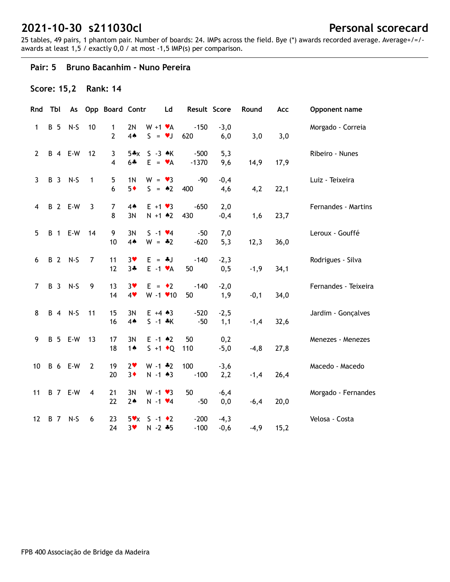25 tables, 49 pairs, 1 phantom pair. Number of boards: 24. IMPs across the field. Bye (\*) awards recorded average. Average+/=/ awards at least 1,5 / exactly 0,0 / at most -1,5 IMP(s) per comparison.

#### **Pair: 5 Bruno Bacanhim - Nuno Pereira**

### **Score: 15,2 Rank: 14**

| Rnd            | Tbl        | As                    |                | Opp Board Contr     |                        | Ld                                    | Result Score      |                  | Round   | Acc  | Opponent name        |
|----------------|------------|-----------------------|----------------|---------------------|------------------------|---------------------------------------|-------------------|------------------|---------|------|----------------------|
| 1              | <b>B</b> 5 | $N-S$                 | 10             | 1<br>$\overline{2}$ | 2N<br>4A               | $W + 1$ $\mathbf{v}$ A<br>$S = \nu J$ | $-150$<br>620     | $-3,0$<br>6,0    | 3,0     | 3,0  | Morgado - Correia    |
| $\mathbf{2}$   |            | <b>B</b> 4 <b>E-W</b> | 12             | 3<br>4              | $5*x$<br>$6 +$         | $S - 3 \cdot K$<br>$E = \mathbf{v}A$  | $-500$<br>$-1370$ | 5,3<br>9,6       | 14,9    | 17,9 | Ribeiro - Nunes      |
| 3              |            | B 3 N-S               | $\mathbf{1}$   | 5<br>6              | 1 <sub>N</sub><br>$5*$ | $W = \bullet 3$<br>$S = \triangle 2$  | $-90$<br>400      | $-0,4$<br>4,6    | 4,2     | 22,1 | Luiz - Teixeira      |
| 4              |            | <b>B</b> 2 <b>E-W</b> | 3              | 7<br>8              | $4*$<br>3N             | $E + 1 \cdot 3$<br>$N + 1$ $*2$       | $-650$<br>430     | 2,0<br>$-0,4$    | 1,6     | 23,7 | Fernandes - Martins  |
| 5              |            | <b>B</b> 1 <b>E-W</b> | 14             | 9<br>10             | 3N<br>4A               | $S - 1$ $\vee 4$<br>$W = -2$          | $-50$<br>$-620$   | 7,0<br>5,3       | 12,3    | 36,0 | Leroux - Gouffé      |
| 6              |            | B 2 N-S               | 7              | 11<br>12            | $3*$<br>$3 +$          | $E = -1$<br>$E -1$ $\forall A$        | $-140$<br>50      | $-2,3$<br>0,5    | $-1,9$  | 34,1 | Rodrigues - Silva    |
| $\overline{7}$ |            | B 3 N-S               | 9              | 13<br>14            | $3*$<br>$4*$           | $E = \cdot 2$<br>$W - 1$ $\times$ 10  | $-140$<br>50      | $-2,0$<br>1,9    | $-0,1$  | 34,0 | Fernandes - Teixeira |
| 8              |            | B 4 N-S               | 11             | 15<br>16            | 3N<br>$4*$             | $E + 4 \cdot 3$<br>$S - 1 * K$        | $-520$<br>$-50$   | $-2,5$<br>1,1    | $-1,4$  | 32,6 | Jardim - Gonçalves   |
| 9              |            | <b>B</b> 5 E-W        | 13             | 17<br>18            | 3N<br>$1 \spadesuit$   | $E - 1$ $*2$<br>$S + 1$ + Q           | 50<br>110         | 0,2<br>$-5,0$    | $-4, 8$ | 27,8 | Menezes - Menezes    |
| 10             |            | <b>B</b> 6 E-W        | $\overline{2}$ | 19<br>20            | $2\bullet$<br>$3*$     | $W - 1$ $*2$<br>$N - 1$ $*3$          | 100<br>$-100$     | $-3,6$<br>2,2    | $-1,4$  | 26,4 | Macedo - Macedo      |
| 11             |            | <b>B</b> 7 E-W        | $\overline{4}$ | 21<br>22            | 3N<br>$2*$             | $W - 1 \cdot 3$<br>$N - 1$ $\vee 4$   | 50<br>$-50$       | $-6,4$<br>0,0    | $-6,4$  | 20,0 | Morgado - Fernandes  |
| 12             |            | B 7 N-S               | 6              | 23<br>24            | $5\mathbf{v}$<br>$3*$  | $S -1$ $\bullet$ 2<br>$N - 2 * 5$     | $-200$<br>$-100$  | $-4,3$<br>$-0,6$ | $-4,9$  | 15,2 | Velosa - Costa       |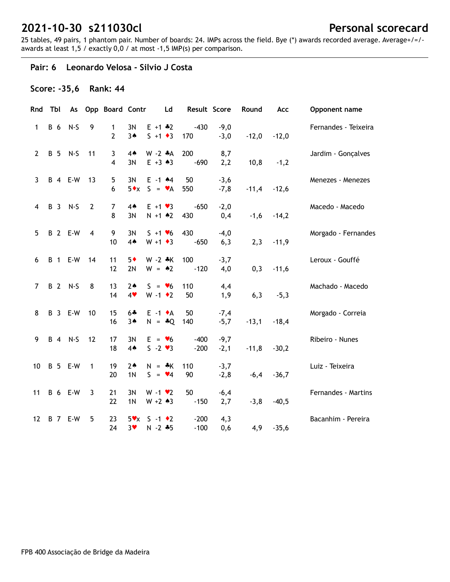25 tables, 49 pairs, 1 phantom pair. Number of boards: 24. IMPs across the field. Bye (\*) awards recorded average. Average+/=/ awards at least 1,5 / exactly 0,0 / at most -1,5 IMP(s) per comparison.

#### **Pair: 6 Leonardo Velosa - Silvio J Costa**

#### **Score: -35,6 Rank: 44**

| Rnd               |     | Tbl        | As                    |                | Opp Board Contr     |                        | Ld                                     | Result Score     |                  | Round   | Acc     | Opponent name        |
|-------------------|-----|------------|-----------------------|----------------|---------------------|------------------------|----------------------------------------|------------------|------------------|---------|---------|----------------------|
| $\mathbf{1}$      | B 6 |            | $N-S$                 | 9              | 1<br>$\overline{2}$ | 3N<br>$3*$             | $E + 1$ $*2$<br>$S + 1 \cdot 3$        | $-430$<br>170    | $-9,0$<br>$-3,0$ | $-12,0$ | $-12,0$ | Fernandes - Teixeira |
| $\mathbf{2}$      |     | <b>B</b> 5 | $N-S$                 | 11             | 3<br>4              | $4*$<br>3N             | $W - 2 A$<br>$E + 3 \cdot 3$           | 200<br>$-690$    | 8,7<br>2,2       | 10,8    | $-1,2$  | Jardim - Gonçalves   |
| 3                 |     |            | <b>B</b> 4 <b>E-W</b> | 13             | 5<br>6              | 3N<br>$5 \cdot x$      | $E - 1$ $*4$<br>$S = \mathbf{v}A$      | 50<br>550        | $-3,6$<br>$-7,8$ | $-11,4$ | $-12,6$ | Menezes - Menezes    |
| 4                 |     |            | B 3 N-S               | $\overline{2}$ | 7<br>8              | 4A<br>3N               | $E + 1 \cdot 3$<br>$N + 1$ $*2$        | $-650$<br>430    | $-2,0$<br>0,4    | $-1,6$  | $-14,2$ | Macedo - Macedo      |
| 5                 |     |            | <b>B</b> 2 <b>E-W</b> | $\overline{4}$ | 9<br>10             | 3N<br>4A               | $S + 1 \cdot 6$<br>$W + 1 \cdot 3$     | 430<br>$-650$    | $-4,0$<br>6,3    | 2,3     | $-11,9$ | Morgado - Fernandes  |
| 6                 |     |            | <b>B</b> 1 <b>E-W</b> | 14             | 11<br>12            | $5*$<br>2N             | $W - 2$ $*K$<br>$W = 2$                | 100<br>$-120$    | $-3,7$<br>4,0    | 0,3     | $-11,6$ | Leroux - Gouffé      |
| $\overline{7}$    |     |            | B 2 N-S               | 8              | 13<br>14            | $2*$<br>4              | $S = \bullet 6$<br>$W - 1$ $\bullet$ 2 | 110<br>50        | 4,4<br>1,9       | 6,3     | $-5,3$  | Machado - Macedo     |
| 8                 |     |            | B 3 E-W               | 10             | 15<br>16            | $6 +$<br>$3*$          | $E -1$ $\star$ A<br>$N = *Q$           | 50<br>140        | $-7,4$<br>$-5,7$ | $-13,1$ | $-18,4$ | Morgado - Correia    |
| 9                 |     |            | B 4 N-S               | 12             | 17<br>18            | 3N<br>4A               | $E = \bullet 6$<br>$S - 2 \cdot 3$     | $-400$<br>$-200$ | $-9,7$<br>$-2,1$ | $-11,8$ | $-30,2$ | Ribeiro - Nunes      |
| 10                |     |            | <b>B</b> 5 E-W        | $\mathbf{1}$   | 19<br>20            | $2*$<br>1 <sub>N</sub> | $N = *K$<br>$S = \bullet 4$            | 110<br>90        | $-3,7$<br>$-2,8$ | $-6,4$  | $-36,7$ | Luiz - Teixeira      |
| 11                |     |            | <b>B</b> 6 E-W        | 3              | 21<br>22            | 3N<br>1 <sub>N</sub>   | $W - 1$ $\bullet$ 2<br>$W + 2 \cdot 3$ | 50<br>$-150$     | $-6,4$<br>2,7    | $-3,8$  | $-40,5$ | Fernandes - Martins  |
| $12 \overline{ }$ |     |            | <b>B</b> 7 E-W        | 5              | 23<br>24            | 5x<br>$3*$             | $S - 1$ $\bullet$ 2<br>$N - 2 * 5$     | $-200$<br>$-100$ | 4,3<br>0,6       | 4,9     | $-35,6$ | Bacanhim - Pereira   |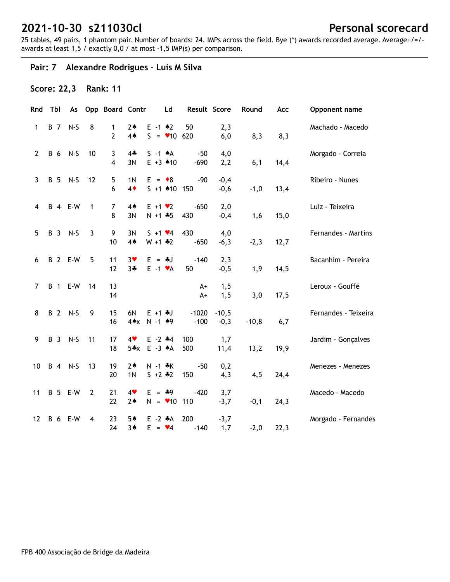25 tables, 49 pairs, 1 phantom pair. Number of boards: 24. IMPs across the field. Bye (\*) awards recorded average. Average+/=/ awards at least 1,5 / exactly 0,0 / at most -1,5 IMP(s) per comparison.

## **Pair: 7 Alexandre Rodrigues - Luís M Silva**

### **Score: 22,3 Rank: 11**

| Rnd               | Tbl        | As                    |                | Opp Board Contr     |                              |                                  | Ld | Result Score      |                   | Round   | Acc  | Opponent name        |
|-------------------|------------|-----------------------|----------------|---------------------|------------------------------|----------------------------------|----|-------------------|-------------------|---------|------|----------------------|
| 1                 | <b>B</b> 7 | $N-S$                 | 8              | 1<br>$\overline{2}$ | $2*$<br>4A                   | $E - 1$ $*2$<br>$S = 106620$     |    | 50                | 2,3<br>6,0        | 8,3     | 8,3  | Machado - Macedo     |
| $\overline{2}$    | <b>B</b> 6 | $N-S$                 | 10             | 3<br>$\overline{4}$ | $4\clubsuit$<br>3N           | $S - 1$ $*A$<br>$E + 3$ $*10$    |    | $-50$<br>$-690$   | 4,0<br>2,2        | 6,1     | 14,4 | Morgado - Correia    |
| 3                 |            | B 5 N-S               | 12             | 5<br>6              | 1 <sub>N</sub><br>$4\bullet$ | $E = \cdot 8$<br>$S + 1$ 410 150 |    | -90               | $-0,4$<br>$-0,6$  | $-1,0$  | 13,4 | Ribeiro - Nunes      |
| 4                 |            | <b>B</b> 4 <b>E-W</b> | $\overline{1}$ | $\overline{7}$<br>8 | $4*$<br>3N                   | $E + 1 \cdot 2$<br>$N + 1 + 5$   |    | $-650$<br>430     | 2,0<br>$-0,4$     | 1,6     | 15,0 | Luiz - Teixeira      |
| 5                 |            | B 3 N-S               | $\overline{3}$ | 9<br>10             | 3N<br>4A                     | $S + 1 \cdot 4$<br>$W + 1$ $*2$  |    | 430<br>$-650$     | 4,0<br>$-6,3$     | $-2,3$  | 12,7 | Fernandes - Martins  |
| 6                 |            | <b>B</b> 2 E-W        | 5              | 11<br>12            | $3*$<br>$3 +$                | $E = -1$<br>$E -1$ $\forall A$   |    | $-140$<br>50      | 2,3<br>$-0,5$     | 1,9     | 14,5 | Bacanhim - Pereira   |
| 7                 |            | <b>B</b> 1 <b>E-W</b> | - 14           | 13<br>14            |                              |                                  |    | $A+$<br>$A+$      | 1,5<br>1, 5       | 3,0     | 17,5 | Leroux - Gouffé      |
| 8                 |            | B 2 N-S               | 9              | 15<br>16            | 6N<br>$4 \triangle x$        | $E + 1 + J$<br>$N - 1$ $*9$      |    | $-1020$<br>$-100$ | $-10,5$<br>$-0,3$ | $-10,8$ | 6,7  | Fernandes - Teixeira |
| 9                 |            | B 3 N-S               | 11             | 17<br>18            | 4<br>$5*x$                   | $E - 2$ $*4$<br>$E - 3 \cdot A$  |    | 100<br>500        | 1,7<br>11,4       | 13,2    | 19,9 | Jardim - Gonçalves   |
| 10                |            | B 4 N-S               | 13             | 19<br>20            | $2*$<br>1 <sub>N</sub>       | $N - 1$ *K<br>$S + 2 * 2$        |    | $-50$<br>150      | 0,2<br>4,3        | 4,5     | 24,4 | Menezes - Menezes    |
| 11                |            | <b>B</b> 5 E-W        | $\overline{2}$ | 21<br>22            | 4<br>$2*$                    | $E = 49$<br>$N = 10$ 110         |    | $-420$            | 3,7<br>$-3,7$     | $-0,1$  | 24,3 | Macedo - Macedo      |
| $12 \overline{ }$ |            | <b>B</b> 6 E-W        | 4              | 23<br>24            | 5▲<br>$3*$                   | $E - 2$ $*A$<br>$E = \bullet 4$  |    | 200<br>$-140$     | $-3,7$<br>1,7     | $-2,0$  | 22,3 | Morgado - Fernandes  |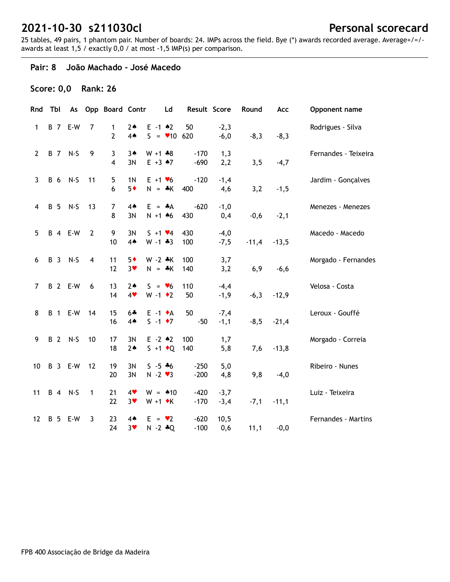25 tables, 49 pairs, 1 phantom pair. Number of boards: 24. IMPs across the field. Bye (\*) awards recorded average. Average+/=/ awards at least 1,5 / exactly 0,0 / at most -1,5 IMP(s) per comparison.

#### **Pair: 8 João Machado - José Macedo**

### **Score: 0,0 Rank: 26**

| Rnd            |            | Tbl        | As                    |                | Opp Board Contr     |                        |                                           | Ld | Result Score     |                  | Round   | Acc     | Opponent name        |
|----------------|------------|------------|-----------------------|----------------|---------------------|------------------------|-------------------------------------------|----|------------------|------------------|---------|---------|----------------------|
| $\mathbf{1}$   |            |            | <b>B</b> 7 E-W        | $\overline{7}$ | 1<br>$\overline{2}$ | $2*$<br>4 <sub>•</sub> | $E - 1$ $*2$<br>$S = 106620$              |    | 50               | $-2,3$<br>$-6,0$ | $-8,3$  | $-8,3$  | Rodrigues - Silva    |
| $\overline{2}$ |            |            | B 7 N-S               | 9              | 3<br>4              | $3*$<br>3N             | $W + 1 + 8$<br>$E + 3$ $*7$               |    | $-170$<br>$-690$ | 1,3<br>2,2       | 3, 5    | $-4,7$  | Fernandes - Teixeira |
| $\mathbf{3}$   | B 6        |            | $N-S$                 | 11             | 5<br>6              | 1 <sub>N</sub><br>$5*$ | $E + 1$ $\times 6$<br>$N = *K$            |    | $-120$<br>400    | $-1,4$<br>4,6    | 3,2     | $-1,5$  | Jardim - Gonçalves   |
| 4              | <b>B</b> 5 |            | $N-S$                 | 13             | 7<br>8              | 4 <sub>•</sub><br>3N   | $E = A$<br>$N + 1$ 46                     |    | $-620$<br>430    | $-1,0$<br>0,4    | $-0,6$  | $-2,1$  | Menezes - Menezes    |
| 5              |            |            | <b>B</b> 4 <b>E-W</b> | $\overline{2}$ | 9<br>10             | 3N<br>4 <sub>•</sub>   | $S + 1 \cdot 4$<br>$W - 1 + 3$            |    | 430<br>100       | $-4,0$<br>$-7,5$ | $-11,4$ | $-13,5$ | Macedo - Macedo      |
| 6              |            | <b>B</b> 3 | $N-S$                 | $\overline{4}$ | 11<br>12            | $5*$<br>$3*$           | $W - 2 * K$<br>$N = A K$                  |    | 100<br>140       | 3,7<br>3,2       | 6,9     | $-6,6$  | Morgado - Fernandes  |
| $\overline{7}$ |            |            | <b>B</b> 2 E-W        | 6              | 13<br>14            | $2*$<br>4              | $S = \bullet 6$<br>$W - 1$ $\bullet$ 2    |    | 110<br>50        | $-4,4$<br>$-1,9$ | $-6,3$  | $-12,9$ | Velosa - Costa       |
| 8              |            |            | <b>B</b> 1 <b>E-W</b> | 14             | 15<br>16            | $6 +$<br>4A            | $E -1$ $\bullet$ A<br>$S - 1$ $\bullet$ 7 |    | 50<br>$-50$      | $-7,4$<br>$-1,1$ | $-8,5$  | $-21,4$ | Leroux - Gouffé      |
| 9              |            |            | B 2 N-S               | 10             | 17<br>18            | 3N<br>$2*$             | $E - 2$ $*2$<br>$S + 1$ + Q               |    | 100<br>140       | 1,7<br>5,8       | 7,6     | $-13,8$ | Morgado - Correia    |
| 10             |            |            | <b>B</b> 3 <b>E-W</b> | 12             | 19<br>20            | 3N<br>3N               | $S - 5 * 6$<br>$N - 2$ $\vee$ 3           |    | $-250$<br>$-200$ | 5,0<br>4,8       | 9,8     | $-4,0$  | Ribeiro - Nunes      |
| 11             |            |            | B 4 N-S               | 1              | 21<br>22            | 4<br>$3*$              | $W = 10$<br>$W + 1$ $\star$ K             |    | $-420$<br>$-170$ | $-3,7$<br>$-3,4$ | $-7,1$  | $-11,1$ | Luiz - Teixeira      |
| 12             | <b>B</b> 5 |            | E-W                   | 3              | 23<br>24            | $4*$<br>$3*$           | $E = \bullet 2$<br>$N - 2 * Q$            |    | $-620$<br>$-100$ | 10,5<br>0,6      | 11,1    | $-0,0$  | Fernandes - Martins  |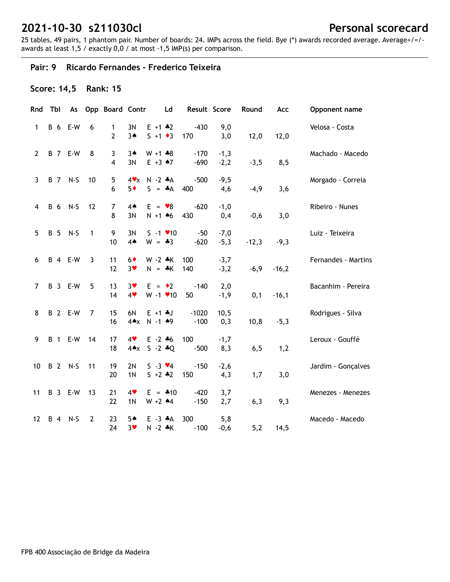25 tables, 49 pairs, 1 phantom pair. Number of boards: 24. IMPs across the field. Bye (\*) awards recorded average. Average+/=/ awards at least 1,5 / exactly 0,0 / at most -1,5 IMP(s) per comparison.

## **Pair: 9 Ricardo Fernandes - Frederico Teixeira**

## **Score: 14,5 Rank: 15**

| Rnd            | Tbl        | As                    |                | Opp Board Contr              |                        |                                      | Ld | Result Score      |                  | Round   | Acc     | Opponent name       |
|----------------|------------|-----------------------|----------------|------------------------------|------------------------|--------------------------------------|----|-------------------|------------------|---------|---------|---------------------|
| 1              | B 6        | E-W                   | 6              | 1<br>2                       | 3N<br>$3*$             | $E + 1$ $*2$<br>$S + 1 \cdot 3$      |    | $-430$<br>170     | 9,0<br>3,0       | 12,0    | 12,0    | Velosa - Costa      |
| $\overline{2}$ |            | <b>B</b> 7 E-W        | 8              | 3<br>$\overline{\mathbf{4}}$ | $3*$<br>3N             | $W + 1 * 8$<br>$E + 3 \cdot 7$       |    | $-170$<br>$-690$  | $-1,3$<br>$-2,2$ | $-3,5$  | 8,5     | Machado - Macedo    |
| $\overline{3}$ |            | B 7 N-S               | 10             | 5<br>6                       | $4\mathbf{v}$<br>$5*$  | $N - 2 A$<br>$S = A$                 |    | $-500$<br>400     | $-9,5$<br>4,6    | $-4,9$  | 3,6     | Morgado - Correia   |
| 4              | <b>B</b> 6 | $N-S$                 | 12             | $\overline{7}$<br>8          | $4*$<br>3N             | $E = \bullet 8$<br>$N + 1$ 46        |    | $-620$<br>430     | $-1,0$<br>0,4    | $-0,6$  | 3,0     | Ribeiro - Nunes     |
| 5              | <b>B</b> 5 | $N-S$                 | $\mathbf{1}$   | 9<br>10                      | 3N<br>4 <sub>•</sub>   | $S - 1$ / 10<br>$W = -3$             |    | $-50$<br>$-620$   | $-7,0$<br>$-5,3$ | $-12,3$ | $-9,3$  | Luiz - Teixeira     |
| 6              |            | <b>B</b> 4 <b>E-W</b> | 3              | 11<br>12                     | $6*$<br>3 <sub>v</sub> | $W - 2 *K$<br>$N = *K$               |    | 100<br>140        | $-3,7$<br>$-3,2$ | $-6,9$  | $-16,2$ | Fernandes - Martins |
| $\overline{7}$ |            | B 3 E-W               | 5              | 13<br>14                     | $3*$<br>4              | $E = \cdot 2$<br>$W - 1$ $\times$ 10 |    | $-140$<br>50      | 2,0<br>$-1,9$    | 0,1     | $-16,1$ | Bacanhim - Pereira  |
| 8              |            | <b>B</b> 2 E-W        | 7              | 15<br>16                     | 6N<br>$4 \triangle x$  | $E + 1 + J$<br>$N - 1$ $*9$          |    | $-1020$<br>$-100$ | 10,5<br>0,3      | 10,8    | $-5,3$  | Rodrigues - Silva   |
| 9              |            | B 1 E-W 14            |                | 17<br>18                     | 4<br>$4 \triangle x$   | $E - 2 + 6$<br>$S - 2 * Q$           |    | 100<br>$-500$     | $-1,7$<br>8,3    | 6, 5    | 1,2     | Leroux - Gouffé     |
| 10             |            | B 2 N-S               | 11             | 19<br>20                     | 2N<br>1 <sub>N</sub>   | $S - 3 \cdot 4$<br>$S + 2 + 2$       |    | $-150$<br>150     | $-2,6$<br>4,3    | 1,7     | 3,0     | Jardim - Gonçalves  |
| 11             |            | B 3 E-W               | 13             | 21<br>22                     | 4<br>1 <sub>N</sub>    | $E = 410$<br>$W + 2$ 44              |    | $-420$<br>$-150$  | 3,7<br>2,7       | 6,3     | 9,3     | Menezes - Menezes   |
| 12             |            | B 4 N-S               | $\overline{2}$ | 23<br>24                     | $5*$<br>$3*$           | $E - 3$ $*A$<br>N -2 *K              |    | 300<br>$-100$     | 5,8<br>$-0,6$    | 5,2     | 14,5    | Macedo - Macedo     |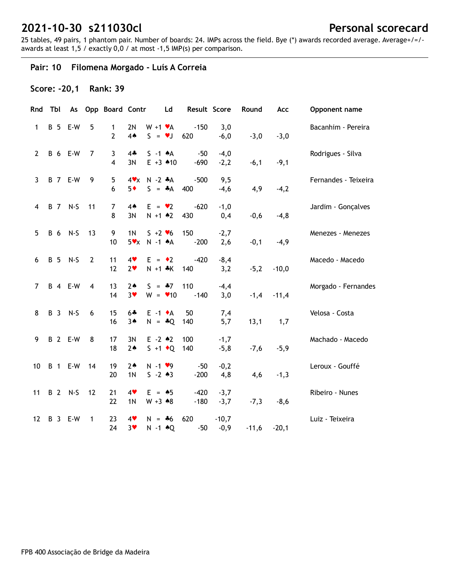25 tables, 49 pairs, 1 phantom pair. Number of boards: 24. IMPs across the field. Bye (\*) awards recorded average. Average+/=/ awards at least 1,5 / exactly 0,0 / at most -1,5 IMP(s) per comparison.

#### **Pair: 10 Filomena Morgado - Luís A Correia**

#### **Score: -20,1 Rank: 39**

| Rnd            | Tbl        |                       |                | As Opp Board Contr  |                        |                                      | Ld | Result Score     |                   | Round   | Acc     | Opponent name        |
|----------------|------------|-----------------------|----------------|---------------------|------------------------|--------------------------------------|----|------------------|-------------------|---------|---------|----------------------|
| $\mathbf{1}$   | <b>B</b> 5 | E-W                   | 5              | $\mathbf{1}$<br>2   | 2N<br>4 <sub>•</sub>   | $W + 1 \cdot A$<br>$S = \nu J$       |    | $-150$<br>620    | 3,0<br>$-6,0$     | $-3,0$  | $-3,0$  | Bacanhim - Pereira   |
| $\mathbf{2}$   |            | <b>B</b> 6 E-W        | $\overline{7}$ | 3<br>4              | $4*$<br>3N             | $S -1$ $*A$<br>$E + 3$ $*10$         |    | $-50$<br>$-690$  | $-4,0$<br>$-2,2$  | $-6,1$  | $-9,1$  | Rodrigues - Silva    |
| 3              |            | <b>B</b> 7 E-W        | 9              | 5<br>6              | $4\mathbf{v}$<br>$5*$  | $N - 2$ $*A$<br>$S = A$              |    | $-500$<br>400    | 9,5<br>$-4,6$     | 4,9     | $-4,2$  | Fernandes - Teixeira |
| 4              |            | B 7 N-S               | 11             | $\overline{7}$<br>8 | 4A<br>3N               | $E = \bullet 2$<br>$N + 1$ $*2$      |    | $-620$<br>430    | $-1,0$<br>0,4     | $-0,6$  | $-4, 8$ | Jardim - Gonçalves   |
| 5              |            | B 6 N-S               | 13             | 9<br>10             | 1 <sub>N</sub><br>5xx  | $S + 2 \cdot 6$<br>$N - 1$ $A$       |    | 150<br>$-200$    | $-2,7$<br>2,6     | $-0,1$  | $-4,9$  | Menezes - Menezes    |
| 6              |            | B 5 N-S               | $\overline{2}$ | 11<br>12            | 4<br>2 <sub>v</sub>    | $E = \cdot 2$<br>$N + 1$ *K          |    | $-420$<br>140    | $-8,4$<br>3,2     | $-5,2$  | $-10,0$ | Macedo - Macedo      |
| $\overline{7}$ |            | <b>B</b> 4 <b>E-W</b> | $\overline{4}$ | 13<br>14            | $2*$<br>3 <sub>v</sub> | $S = -7$<br>$W = 10$                 |    | 110<br>$-140$    | $-4,4$<br>3,0     | $-1,4$  | $-11,4$ | Morgado - Fernandes  |
| 8              |            | B 3 N-S               | 6              | 15<br>16            | $6 +$<br>$3*$          | $E -1$ $\star$ A<br>$N = *Q$         |    | 50<br>140        | 7,4<br>5,7        | 13,1    | 1,7     | Velosa - Costa       |
| 9              |            | <b>B</b> 2 E-W        | 8              | 17<br>18            | 3N<br>$2*$             | $E - 2$ $*2$<br>$S + 1 \cdot Q$      |    | 100<br>140       | $-1,7$<br>$-5,8$  | $-7,6$  | $-5,9$  | Machado - Macedo     |
| 10             |            | <b>B</b> 1 <b>E-W</b> | 14             | 19<br>20            | $2*$<br>1N             | $N - 1$ $\vee$ 9<br>$S - 2 * 3$      |    | $-50$<br>$-200$  | $-0,2$<br>4,8     | 4,6     | $-1,3$  | Leroux - Gouffé      |
| 11             |            | B 2 N-S               | 12             | 21<br>22            | 4<br>1 <sub>N</sub>    | $E = \triangle 5$<br>$W + 3 \cdot 8$ |    | $-420$<br>$-180$ | $-3,7$<br>$-3,7$  | $-7,3$  | $-8,6$  | Ribeiro - Nunes      |
| 12             |            | B 3 E-W               | 1              | 23<br>24            | 4<br>$3*$              | $N = *6$<br>$N - 1$ $\triangle Q$    |    | 620<br>$-50$     | $-10,7$<br>$-0,9$ | $-11,6$ | $-20,1$ | Luiz - Teixeira      |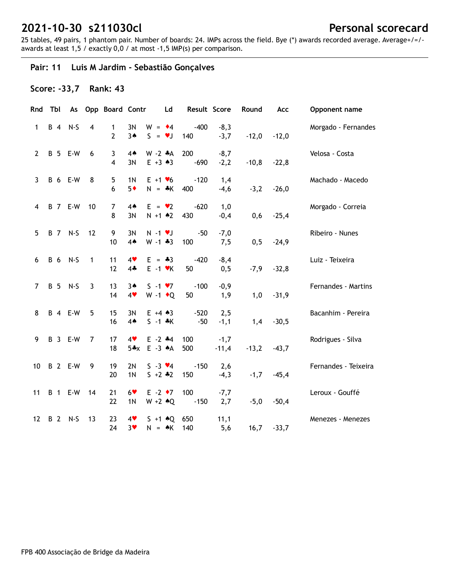25 tables, 49 pairs, 1 phantom pair. Number of boards: 24. IMPs across the field. Bye (\*) awards recorded average. Average+/=/ awards at least 1,5 / exactly 0,0 / at most -1,5 IMP(s) per comparison.

## **Pair: 11 Luis M Jardim - Sebastião Gonçalves**

### **Score: -33,7 Rank: 43**

| Rnd            | Tbl | As                    |                | <b>Opp Board Contr</b> |                        | Ld                                       | Result Score    |                   | Round   | Acc     | Opponent name        |
|----------------|-----|-----------------------|----------------|------------------------|------------------------|------------------------------------------|-----------------|-------------------|---------|---------|----------------------|
| $\mathbf{1}$   |     | B 4 N-S               | $\overline{4}$ | 1<br>$\overline{2}$    | 3N<br>$3*$             | $W = 4$<br>$S = \bullet J$               | $-400$<br>140   | $-8,3$<br>$-3,7$  | $-12,0$ | $-12,0$ | Morgado - Fernandes  |
| $\mathbf{2}$   |     | B 5 E-W               | 6              | 3<br>$\overline{4}$    | $4*$<br>3N             | $W - 2 A$<br>$E + 3 \cdot 3$             | 200<br>$-690$   | $-8,7$<br>$-2,2$  | $-10,8$ | $-22,8$ | Velosa - Costa       |
| 3              |     | <b>B</b> 6 E-W        | 8              | 5<br>6                 | 1 <sub>N</sub><br>$5*$ | $E + 1$ $\blacktriangledown$<br>$N = *K$ | $-120$<br>400   | 1,4<br>$-4,6$     | $-3,2$  | $-26,0$ | Machado - Macedo     |
| 4              |     | <b>B</b> 7 E-W        | 10             | $\overline{7}$<br>8    | $4*$<br>3N             | $E = \bullet 2$<br>$N + 1$ $*2$          | $-620$<br>430   | 1,0<br>$-0,4$     | 0,6     | $-25,4$ | Morgado - Correia    |
| 5              |     | B 7 N-S               | 12             | 9<br>10                | 3N<br>4 <sub>•</sub>   | $N - 1$ $V$<br>$W - 1 * 3$               | $-50$<br>100    | $-7,0$<br>7,5     | 0,5     | $-24,9$ | Ribeiro - Nunes      |
| 6              |     | B 6 N-S               | 1              | 11<br>12               | 4<br>$4 -$             | $E = -3$<br>$E -1$ $\forall$ K           | $-420$<br>50    | $-8,4$<br>0, 5    | $-7,9$  | $-32,8$ | Luiz - Teixeira      |
| $\overline{7}$ |     | B 5 N-S               | $\mathbf{3}$   | 13<br>14               | 3A<br>4                | $S - 1 \cdot 7$<br>W -1 $\bullet$ Q      | $-100$<br>50    | $-0,9$<br>1,9     | 1,0     | $-31,9$ | Fernandes - Martins  |
| 8              |     | <b>B</b> 4 <b>E-W</b> | 5              | 15<br>16               | 3N<br>4A               | $E + 4 \cdot 3$<br>$S - 1 * K$           | $-520$<br>$-50$ | 2,5<br>$-1,1$     | 1,4     | $-30,5$ | Bacanhim - Pereira   |
| 9              |     | B 3 E-W               | 7              | 17<br>18               | 4<br>$5*x$             | $E - 2$ $*4$<br>$E - 3 A$                | 100<br>500      | $-1,7$<br>$-11,4$ | $-13,2$ | $-43,7$ | Rodrigues - Silva    |
| 10             |     | <b>B</b> 2 E-W        | 9              | 19<br>20               | 2N<br>1 <sub>N</sub>   | $S - 3 \cdot 4$<br>$5 + 2 * 2$           | $-150$<br>150   | 2,6<br>$-4,3$     | $-1,7$  | $-45,4$ | Fernandes - Teixeira |
| 11             |     | <b>B</b> 1 <b>E-W</b> | 14             | 21<br>22               | $6*$<br>1 <sub>N</sub> | $E -2$ +7<br>$W + 2 \cdot Q$             | 100<br>$-150$   | $-7,7$<br>2,7     | $-5,0$  | $-50,4$ | Leroux - Gouffé      |
| 12             |     | B 2 N-S               | 13             | 23<br>24               | 4<br>$3*$              | $S + 1$ $*Q$<br>$N = AK$                 | 650<br>140      | 11,1<br>5,6       | 16,7    | $-33,7$ | Menezes - Menezes    |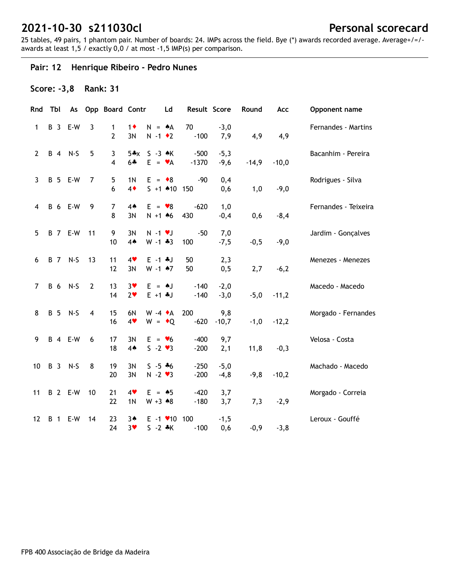25 tables, 49 pairs, 1 phantom pair. Number of boards: 24. IMPs across the field. Bye (\*) awards recorded average. Average+/=/ awards at least 1,5 / exactly 0,0 / at most -1,5 IMP(s) per comparison.

## **Pair: 12 Henrique Ribeiro - Pedro Nunes**

### **Score: -3,8 Rank: 31**

| Rnd            | Tbl        | As                    |                | Opp Board Contr     |                              |                                                     | Ld | Result Score      |                  | Round   | Acc     | Opponent name        |
|----------------|------------|-----------------------|----------------|---------------------|------------------------------|-----------------------------------------------------|----|-------------------|------------------|---------|---------|----------------------|
| 1              | <b>B</b> 3 | E-W                   | $\overline{3}$ | 1<br>$\overline{2}$ | $1\bullet$<br>3N             | $N = A$<br>$N - 1$ $\bullet$ 2                      |    | 70<br>$-100$      | $-3,0$<br>7,9    | 4,9     | 4,9     | Fernandes - Martins  |
| $\overline{2}$ |            | B 4 N-S               | 5              | 3<br>$\overline{4}$ | $5+x$<br>$6 +$               | $S - 3 \cdot K$<br>$E = \mathbf{v}A$                |    | $-500$<br>$-1370$ | $-5,3$<br>$-9,6$ | $-14,9$ | $-10,0$ | Bacanhim - Pereira   |
| $\mathbf{3}$   |            | <b>B</b> 5 E-W        | 7              | 5<br>6              | 1 <sub>N</sub><br>$4\bullet$ | $E = \bullet 8$<br>$5 + 1$ 410                      |    | $-90$<br>150      | 0,4<br>0,6       | 1,0     | $-9,0$  | Rodrigues - Silva    |
| 4              |            | <b>B</b> 6 E-W        | 9              | 7<br>8              | $4*$<br>3N                   | $E = \bullet 8$<br>$N + 1$ 46                       |    | $-620$<br>430     | 1,0<br>$-0,4$    | 0,6     | $-8,4$  | Fernandes - Teixeira |
| 5              |            | <b>B</b> 7 E-W        | 11             | 9<br>10             | 3N<br>4A                     | $N - 1$ $V$<br>$W - 1 * 3$                          |    | $-50$<br>100      | 7,0<br>$-7,5$    | $-0,5$  | $-9,0$  | Jardim - Gonçalves   |
| 6              |            | B 7 N-S               | 13             | 11<br>12            | 4<br>3N                      | $E - 1$ $*J$<br>$W - 1$ $*7$                        |    | 50<br>50          | 2,3<br>0, 5      | 2,7     | $-6,2$  | Menezes - Menezes    |
| $\overline{7}$ |            | B 6 N-S               | $\overline{2}$ | 13<br>14            | $3*$<br>2 <sub>v</sub>       | $E = \triangle J$<br>$E + 1 + J$                    |    | $-140$<br>$-140$  | $-2,0$<br>$-3,0$ | $-5,0$  | $-11,2$ | Macedo - Macedo      |
| 8              | <b>B</b> 5 | $N-S$                 | $\overline{4}$ | 15<br>16            | 6N<br>4                      | $W - 4$ $\star$ A<br>$W = \cdot Q$                  |    | 200<br>$-620$     | 9,8<br>$-10,7$   | $-1,0$  | $-12,2$ | Morgado - Fernandes  |
| 9              |            | <b>B</b> 4 <b>E-W</b> | 6              | 17<br>18            | 3N<br>4 <sub>•</sub>         | $E = \bullet 6$<br>$S - 2 \cdot 3$                  |    | $-400$<br>$-200$  | 9,7<br>2,1       | 11,8    | $-0,3$  | Velosa - Costa       |
| 10             |            | B 3 N-S               | 8              | 19<br>20            | 3N<br>3N                     | $S - 5 * 6$<br>$N - 2$ $\vee$ 3                     |    | $-250$<br>$-200$  | $-5,0$<br>$-4,8$ | $-9, 8$ | $-10,2$ | Machado - Macedo     |
| 11             |            | <b>B</b> 2 E-W        | 10             | 21<br>22            | 4<br>1 <sub>N</sub>          | $E = \triangle 5$<br>$W + 3 \cdot 8$                |    | $-420$<br>$-180$  | 3,7<br>3,7       | 7,3     | $-2,9$  | Morgado - Correia    |
| 12             | <b>B</b> 1 | E-W                   | 14             | 23<br>24            | $3*$<br>$3*$                 | $E - 1$ $\blacktriangleright$ 10 100<br>$S - 2 * K$ |    | $-100$            | $-1,5$<br>0,6    | $-0,9$  | $-3,8$  | Leroux - Gouffé      |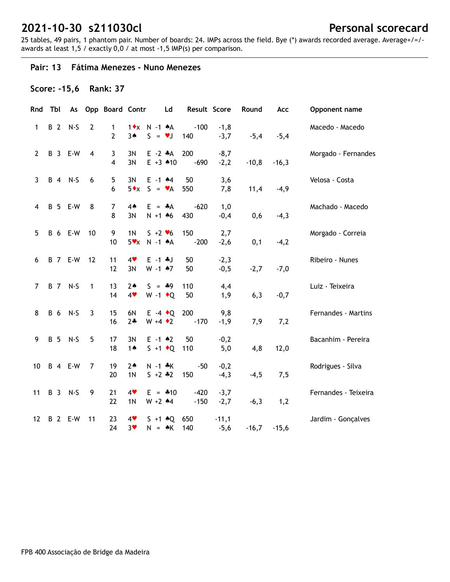25 tables, 49 pairs, 1 phantom pair. Number of boards: 24. IMPs across the field. Bye (\*) awards recorded average. Average+/=/ awards at least 1,5 / exactly 0,0 / at most -1,5 IMP(s) per comparison.

#### **Pair: 13 Fátima Menezes - Nuno Menezes**

### **Score: -15,6 Rank: 37**

| Rnd            | Tbl        | As                    |                | <b>Opp Board Contr</b> |                                 |                                           | Ld | Result Score     |                   | Round   | Acc     | Opponent name        |
|----------------|------------|-----------------------|----------------|------------------------|---------------------------------|-------------------------------------------|----|------------------|-------------------|---------|---------|----------------------|
| $\mathbf{1}$   | <b>B</b> 2 | $N-S$                 | $\overline{2}$ | 1<br>$\overline{2}$    | 3A                              | $1 \cdot x$ N -1 $\star$ A<br>$S = \nu J$ |    | $-100$<br>140    | $-1,8$<br>$-3,7$  | $-5,4$  | $-5,4$  | Macedo - Macedo      |
| $\overline{2}$ |            | <b>B</b> 3 <b>E-W</b> | $\overline{4}$ | 3<br>$\overline{4}$    | 3N<br>3N                        | $E -2$ $*A$<br>$E + 3$ $*10$              |    | 200<br>$-690$    | $-8,7$<br>$-2,2$  | $-10,8$ | $-16,3$ | Morgado - Fernandes  |
| $\mathbf{3}$   |            | B 4 N-S               | 6              | 5<br>6                 | 3N<br>$5 \cdot x$               | $E - 1$ $*4$<br>$S = \mathbf{v}A$         |    | 50<br>550        | 3,6<br>7,8        | 11,4    | $-4,9$  | Velosa - Costa       |
| 4              |            | <b>B</b> 5 E-W        | 8              | $\overline{7}$<br>8    | 4A<br>3N                        | $E = A$<br>$N + 1$ 46                     |    | $-620$<br>430    | 1,0<br>$-0,4$     | 0,6     | $-4,3$  | Machado - Macedo     |
| 5              |            | <b>B</b> 6 E-W        | 10             | 9<br>10                | 1 <sub>N</sub><br>$5\mathbf{v}$ | $S + 2 \cdot 6$<br>$N - 1$ $A$            |    | 150<br>$-200$    | 2,7<br>$-2,6$     | 0,1     | $-4,2$  | Morgado - Correia    |
| 6              |            | <b>B</b> 7 E-W        | 12             | 11<br>12               | 4<br>3N                         | $E - 1 * J$<br>$W - 1$ $*7$               |    | 50<br>50         | $-2,3$<br>$-0,5$  | $-2,7$  | $-7,0$  | Ribeiro - Nunes      |
| $\overline{7}$ |            | B 7 N-S               | $\mathbf{1}$   | 13<br>14               | $2*$<br>4                       | $S = *9$<br>$W - 1$ + Q                   |    | 110<br>50        | 4,4<br>1,9        | 6,3     | $-0,7$  | Luiz - Teixeira      |
| 8              |            | B 6 N-S               | $\mathbf{3}$   | 15<br>16               | 6N<br>$2*$                      | $E -4$ $\cdot Q$<br>$W + 4 \cdot 2$       |    | 200<br>$-170$    | 9,8<br>$-1,9$     | 7,9     | 7,2     | Fernandes - Martins  |
| 9              |            | B 5 N-S               | 5              | 17<br>18               | 3N<br>$1 \spadesuit$            | $E - 1$ $*2$<br>$S + 1 \cdot Q$           |    | 50<br>110        | $-0,2$<br>5,0     | 4,8     | 12,0    | Bacanhim - Pereira   |
| 10             |            | <b>B</b> 4 <b>E-W</b> | 7              | 19<br>20               | $2*$<br>1 <sub>N</sub>          | $N - 1$ $*K$<br>$S + 2 \div 2$            |    | $-50$<br>150     | $-0,2$<br>$-4,3$  | $-4,5$  | 7,5     | Rodrigues - Silva    |
| 11             |            | B 3 N-S               | 9              | 21<br>22               | 4<br>1 <sub>N</sub>             | $E = 410$<br>$W + 2$ 44                   |    | $-420$<br>$-150$ | $-3,7$<br>$-2,7$  | $-6,3$  | 1,2     | Fernandes - Teixeira |
| 12             |            | <b>B</b> 2 E-W        | 11             | 23<br>24               | 4<br>3 <sub>v</sub>             | $S + 1 \cdot Q$<br>$N = AK$               |    | 650<br>140       | $-11,1$<br>$-5,6$ | $-16,7$ | $-15,6$ | Jardim - Gonçalves   |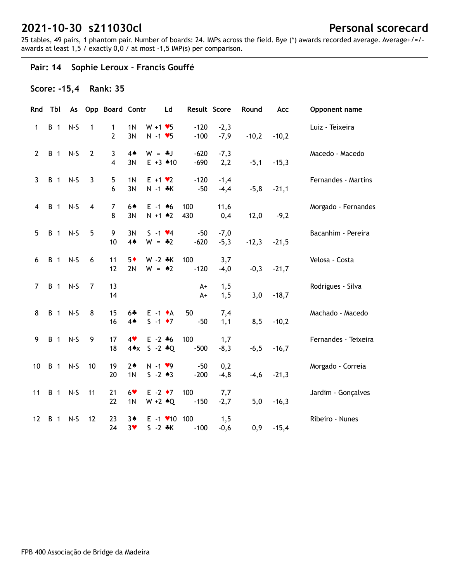25 tables, 49 pairs, 1 phantom pair. Number of boards: 24. IMPs across the field. Bye (\*) awards recorded average. Average+/=/ awards at least 1,5 / exactly 0,0 / at most -1,5 IMP(s) per comparison.

## **Pair: 14 Sophie Leroux - Francis Gouffé**

### **Score: -15,4 Rank: 35**

| Rnd                     | Tbl        | As      |                | Opp Board Contr              |                                  | Ld                                                 |                  | Result Score     | Round   | Acc     | Opponent name        |
|-------------------------|------------|---------|----------------|------------------------------|----------------------------------|----------------------------------------------------|------------------|------------------|---------|---------|----------------------|
| 1                       | <b>B</b> 1 | $N-S$   | 1              | 1<br>2                       | 1 <sub>N</sub><br>3N             | $W + 1 \cdot 5$<br>$N - 1$ $\blacktriangleright$ 5 | $-120$<br>$-100$ | $-2,3$<br>$-7,9$ | $-10,2$ | $-10,2$ | Luiz - Teixeira      |
| $\mathbf{2}$            |            | B 1 N-S | $\overline{2}$ | 3<br>$\overline{\mathbf{4}}$ | $4*$<br>3N                       | $W = -1$<br>$E + 3$ 410                            | $-620$<br>$-690$ | $-7,3$<br>2,2    | $-5,1$  | $-15,3$ | Macedo - Macedo      |
| 3                       |            | B 1 N-S | 3              | 5<br>6                       | 1 <sub>N</sub><br>3N             | $E + 1 \cdot 2$<br>$N - 1$ $*K$                    | $-120$<br>$-50$  | $-1,4$<br>$-4,4$ | $-5,8$  | $-21,1$ | Fernandes - Martins  |
| $\overline{\mathbf{4}}$ | <b>B</b> 1 | $N-S$   | $\overline{4}$ | $\overline{7}$<br>8          | 64<br>3N                         | $E - 1$ 46<br>$N + 1$ $*2$                         | 100<br>430       | 11,6<br>0,4      | 12,0    | $-9,2$  | Morgado - Fernandes  |
| 5                       | <b>B</b> 1 | $N-S$   | 5              | 9<br>10                      | 3N<br>4A                         | $S - 1$ $\vee 4$<br>$W = -2$                       | $-50$<br>$-620$  | $-7,0$<br>$-5,3$ | $-12,3$ | $-21,5$ | Bacanhim - Pereira   |
| 6                       | <b>B</b> 1 | $N-S$   | 6              | 11<br>12                     | $5*$<br>2N                       | $W - 2 *K$<br>$W = 42$                             | 100<br>$-120$    | 3,7<br>$-4,0$    | $-0,3$  | $-21,7$ | Velosa - Costa       |
| $\overline{7}$          |            | B 1 N-S | 7              | 13<br>14                     |                                  |                                                    | $A+$<br>$A+$     | 1,5<br>1,5       | 3,0     | $-18,7$ | Rodrigues - Silva    |
| 8                       |            | B 1 N-S | 8              | 15<br>16                     | $6 +$<br>4▲                      | $E -1$ $\bullet$ A<br>$S -1$ $\bullet 7$           | 50<br>$-50$      | 7,4<br>1,1       | 8,5     | $-10,2$ | Machado - Macedo     |
| 9                       |            | B 1 N-S | 9              | 17<br>18                     | 4<br>4AX                         | $E - 2 + 6$<br>$S - 2 * Q$                         | 100<br>$-500$    | 1,7<br>$-8,3$    | $-6,5$  | $-16,7$ | Fernandes - Teixeira |
| 10                      |            | B 1 N-S | 10             | 19<br>20                     | 2 <sub>•</sub><br>1 <sub>N</sub> | $N - 1$ $\vee$ 9<br>$S - 2 * 3$                    | $-50$<br>$-200$  | 0,2<br>$-4, 8$   | $-4,6$  | $-21,3$ | Morgado - Correia    |
| 11                      |            | B 1 N-S | 11             | 21<br>22                     | $6*$<br>1 <sub>N</sub>           | $E - 2 \cdot 7$<br>$W + 2 \cdot Q$                 | 100<br>$-150$    | 7,7<br>$-2,7$    | 5,0     | $-16,3$ | Jardim - Gonçalves   |
| 12                      | <b>B</b> 1 | N-S     | 12             | 23<br>24                     | 3A<br>$3*$                       | $E - 1$ $\times$ 10 100<br>$S - 2 * K$             | $-100$           | 1,5<br>$-0,6$    | 0,9     | $-15,4$ | Ribeiro - Nunes      |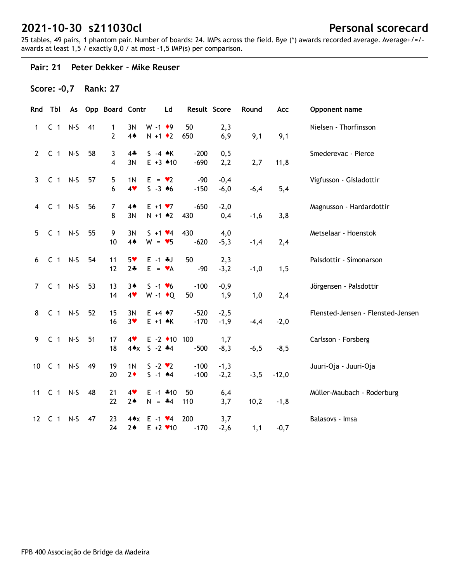25 tables, 49 pairs, 1 phantom pair. Number of boards: 24. IMPs across the field. Bye (\*) awards recorded average. Average+/=/ awards at least 1,5 / exactly 0,0 / at most -1,5 IMP(s) per comparison.

#### **Pair: 21 Peter Dekker - Mike Reuser**

## **Score: -0,7 Rank: 27**

|                 | Rnd Tbl        | As    |    | <b>Opp Board Contr</b> |                        | Ld                                             |                  | Result Score     | Round  | Acc     | Opponent name                     |
|-----------------|----------------|-------|----|------------------------|------------------------|------------------------------------------------|------------------|------------------|--------|---------|-----------------------------------|
| 1               | C <sub>1</sub> | $N-S$ | 41 | 1<br>2                 | 3N<br>4 <sub>•</sub>   | $W - 1$ + 9<br>$N + 1$ $\bullet$ 2             | 50<br>650        | 2,3<br>6,9       | 9,1    | 9,1     | Nielsen - Thorfinsson             |
| $\overline{2}$  | $C_1$ N-S      |       | 58 | 3<br>4                 | $4*$<br>3N             | $S -4$ $\star$ K<br>$E + 3$ 410                | $-200$<br>$-690$ | 0, 5<br>2,2      | 2,7    | 11,8    | Smederevac - Pierce               |
| $\mathbf{3}$    | $C$ 1 N-S      |       | 57 | 5<br>6                 | 1 <sub>N</sub><br>4    | $E = \bullet 2$<br>$S - 3 \cdot 6$             | $-90$<br>$-150$  | $-0,4$<br>$-6,0$ | $-6,4$ | 5,4     | Vigfusson - Gisladottir           |
| 4               | $C_1$ N-S      |       | 56 | $\overline{7}$<br>8    | $4*$<br>3N             | $E + 1 \cdot 7$<br>$N + 1$ $*2$                | $-650$<br>430    | $-2,0$<br>0,4    | $-1,6$ | 3,8     | Magnusson - Hardardottir          |
| 5               | $C_1$ N-S      |       | 55 | 9<br>10                | 3N<br>$4*$             | $S + 1 \cdot 4$<br>$W = 95$                    | 430<br>$-620$    | 4,0<br>$-5,3$    | $-1,4$ | 2,4     | Metselaar - Hoenstok              |
| 6               | $C_1$ N-S      |       | 54 | 11<br>12               | $5*$<br>$2*$           | $E - 1 + J$<br>$E = \mathbf{v}A$               | 50<br>-90        | 2,3<br>$-3,2$    | $-1,0$ | 1,5     | Palsdottir - Símonarson           |
| $\overline{7}$  | $C_1$ N-S      |       | 53 | 13<br>14               | $3*$<br>4              | $S - 1 \cdot 6$<br>$W - 1$ + Q                 | $-100$<br>50     | $-0,9$<br>1,9    | 1,0    | 2,4     | Jörgensen - Palsdottir            |
| 8               | $C_1$ N-S      |       | 52 | 15<br>16               | 3N<br>3 <sub>v</sub>   | $E + 4 \cdot 7$<br>$E + 1$ $\land$ K           | $-520$<br>$-170$ | $-2,5$<br>$-1,9$ | $-4,4$ | $-2,0$  | Flensted-Jensen - Flensted-Jensen |
| 9               | $C_1$ N-S      |       | 51 | 17<br>18               | 4<br>4AX               | $E - 2$ $\triangleleft 10$ 100<br>$S - 2$ $*4$ | $-500$           | 1,7<br>$-8,3$    | $-6,5$ | $-8,5$  | Carlsson - Forsberg               |
| 10              | $C_1$ N-S      |       | 49 | 19<br>20               | 1 <sub>N</sub><br>$2*$ | $S - 2 \cdot 2$<br>$S - 1$ 44                  | $-100$<br>$-100$ | $-1,3$<br>$-2,2$ | $-3,5$ | $-12,0$ | Juuri-Oja - Juuri-Oja             |
|                 | 11 C 1 N-S     |       | 48 | 21<br>22               | 4<br>$2*$              | $E - 1$ $*10$<br>$N = -4$                      | 50<br>110        | 6,4<br>3,7       | 10,2   | $-1,8$  | Müller-Maubach - Roderburg        |
| 12 <sup>2</sup> | C 1            | $N-S$ | 47 | 23<br>24               | 4*x<br>$2*$            | $E - 1$ $\vee 4$<br>$E + 2$ / 10               | 200<br>$-170$    | 3,7<br>$-2,6$    | 1,1    | $-0,7$  | Balasovs - Imsa                   |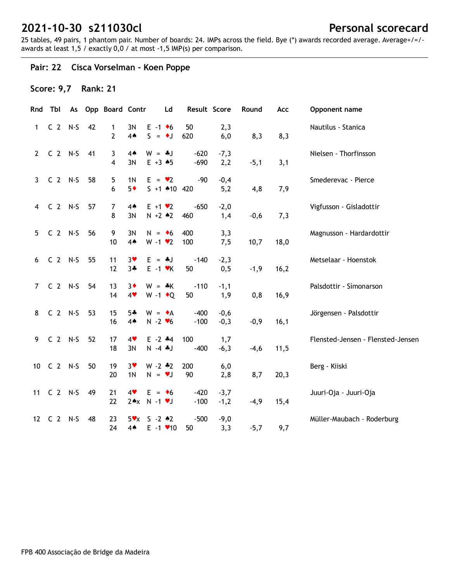25 tables, 49 pairs, 1 phantom pair. Number of boards: 24. IMPs across the field. Bye (\*) awards recorded average. Average+/=/ awards at least 1,5 / exactly 0,0 / at most -1,5 IMP(s) per comparison.

## **Pair: 22 Cisca Vorselman - Koen Poppe**

## **Score: 9,7 Rank: 21**

|                 | Rnd Tbl    |    | As Opp Board Contr |                        | Ld                                                 | Result Score     |                  | Round  | Acc  | Opponent name                     |
|-----------------|------------|----|--------------------|------------------------|----------------------------------------------------|------------------|------------------|--------|------|-----------------------------------|
| 1               | $C2 N-S$   | 42 | 1<br>2             | 3N<br>$4*$             | $E - 1$ +6<br>$S = \bullet J$                      | 50<br>620        | 2,3<br>6,0       | 8,3    | 8,3  | Nautilus - Stanica                |
| $\mathbf{2}$    | $C2$ N-S   | 41 | 3<br>4             | $4*$<br>3N             | $W = -1$<br>$E + 3 \cdot 5$                        | $-620$<br>$-690$ | $-7,3$<br>2,2    | $-5,1$ | 3,1  | Nielsen - Thorfinsson             |
| 3 <sup>7</sup>  | $C2 N-S$   | 58 | 5<br>6             | 1 <sub>N</sub><br>$5*$ | $E = \bullet 2$<br>$S + 1$ 410 420                 | $-90$            | $-0,4$<br>5,2    | 4,8    | 7,9  | Smederevac - Pierce               |
| 4               | $C2 N-S$   | 57 | 7<br>8             | 4 <sub>•</sub><br>3N   | $E + 1 \cdot 2$<br>$N + 2 * 2$                     | $-650$<br>460    | $-2,0$<br>1,4    | $-0,6$ | 7,3  | Vigfusson - Gisladottir           |
| 5               | $C2 N-S$   | 56 | 9<br>10            | 3N<br>$4*$             | $N = \bullet 6$<br>$W - 1$ $\vee$ 2                | 400<br>100       | 3,3<br>7,5       | 10,7   | 18,0 | Magnusson - Hardardottir          |
| 6               | $C2$ N-S   | 55 | 11<br>12           | $3*$<br>$3 +$          | $E = -1$<br>$E - 1$ $\forall$ K                    | $-140$<br>50     | $-2,3$<br>0, 5   | $-1,9$ | 16,2 | Metselaar - Hoenstok              |
| $\overline{7}$  | $C2$ N-S   | 54 | 13<br>14           | $3\bullet$<br>4        | $W = *K$<br>$W - 1$ + Q                            | $-110$<br>50     | $-1,1$<br>1,9    | 0,8    | 16,9 | Palsdottir - Símonarson           |
| 8               | $C2 N-S$   | 53 | 15<br>16           | $5 +$<br>$4*$          | $W = \bullet A$<br>$N - 2$ $\blacktriangleright$ 6 | $-400$<br>$-100$ | $-0,6$<br>$-0,3$ | $-0,9$ | 16,1 | Jörgensen - Palsdottir            |
| 9               | $C2 N-S$   | 52 | 17<br>18           | 4<br>3N                | $E - 2$ $*4$<br>$N - 4$ $J$                        | 100<br>$-400$    | 1,7<br>$-6,3$    | $-4,6$ | 11,5 | Flensted-Jensen - Flensted-Jensen |
| 10 <sup>1</sup> | $C2$ N-S   | 50 | 19<br>20           | $3*$<br>1 <sub>N</sub> | $W - 2 * 2$<br>$N = VJ$                            | 200<br>90        | 6,0<br>2,8       | 8,7    | 20,3 | Berg - Kiiski                     |
|                 | 11 C 2 N-S | 49 | 21<br>22           | 4                      | $E = \bullet 6$<br>$2*x$ N -1 $v$ J                | $-420$<br>$-100$ | $-3,7$<br>$-1,2$ | $-4,9$ | 15,4 | Juuri-Oja - Juuri-Oja             |
| 12              | $C2$ N-S   | 48 | 23<br>24           | $4*$                   | $5x \times S - 2 \cdot 2$<br>$E - 1$ $\times$ 10   | $-500$<br>50     | $-9,0$<br>3,3    | $-5,7$ | 9,7  | Müller-Maubach - Roderburg        |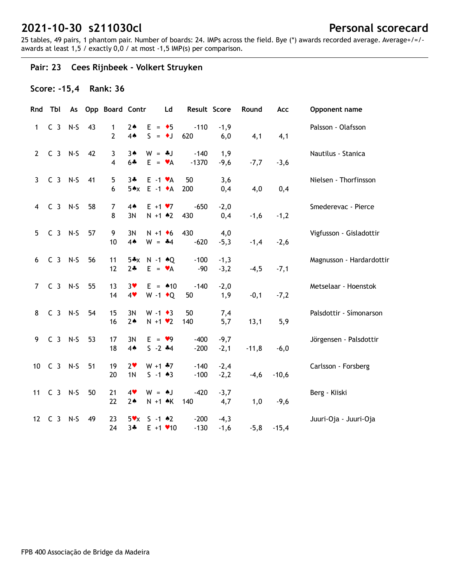25 tables, 49 pairs, 1 phantom pair. Number of boards: 24. IMPs across the field. Bye (\*) awards recorded average. Average+/=/ awards at least 1,5 / exactly 0,0 / at most -1,5 IMP(s) per comparison.

## **Pair: 23 Cees Rijnbeek - Volkert Struyken**

### **Score: -15,4 Rank: 36**

| Rnd            | Tbl        |    | As Opp Board Contr             |                                  |                                               | Ld                      | Result Score      |                  | Round   | Acc     | Opponent name            |
|----------------|------------|----|--------------------------------|----------------------------------|-----------------------------------------------|-------------------------|-------------------|------------------|---------|---------|--------------------------|
| $\mathbf{1}$   | $C_3$ N-S  | 43 | $\mathbf{1}$<br>$\overline{2}$ | $2 \triangleleft$<br>$4*$        | $E = \bullet 5$<br>$S = \bullet J$            |                         | $-110$<br>620     | $-1,9$<br>6,0    | 4,1     | 4,1     | Palsson - Olafsson       |
| $\mathbf{2}$   | C 3 N-S 42 |    | 3<br>$\overline{\mathbf{4}}$   | $3*$<br>$6 +$                    | $W = *J$                                      | $E = \mathbf{v}A$       | $-140$<br>$-1370$ | 1,9<br>$-9,6$    | $-7,7$  | $-3,6$  | Nautilus - Stanica       |
| $\mathbf{3}$   | C 3 N-S 41 |    | 5<br>6                         | $3 +$                            | $E - 1 \cdot A$<br>$5 \cdot x$ E -1 $\cdot$ A |                         | 50<br>200         | 3,6<br>0,4       | 4,0     | 0,4     | Nielsen - Thorfinsson    |
|                | 4 C 3 N-S  | 58 | $\overline{7}$<br>8            | 4A<br>3N                         | $E + 1 \cdot 7$<br>$N + 1$ $*2$               |                         | $-650$<br>430     | $-2,0$<br>0,4    | $-1,6$  | $-1,2$  | Smederevac - Pierce      |
| 5 <sup>1</sup> | $C_3$ N-S  | 57 | 9<br>10                        | 3N<br>4A                         | $W = -4$                                      | $N + 1$ + 6             | 430<br>$-620$     | 4,0<br>$-5,3$    | $-1,4$  | $-2,6$  | Vigfusson - Gisladottir  |
|                | 6 C 3 N-S  | 56 | 11<br>12                       | $2+$                             | $5*x$ N -1 $*Q$                               | $E = \mathbf{v}A$       | $-100$<br>$-90$   | $-1,3$<br>$-3,2$ | $-4,5$  | $-7,1$  | Magnusson - Hardardottir |
| $7^{\circ}$    | $C_3$ N-S  | 55 | 13<br>14                       | $3*$<br>4                        | $W - 1$ $\bullet$ Q                           | $E = 10$                | $-140$<br>50      | $-2,0$<br>1,9    | $-0,1$  | $-7,2$  | Metselaar - Hoenstok     |
| 8              | $C_3$ N-S  | 54 | 15<br>16                       | 3N<br>$2*$                       | $W - 1 \cdot 3$<br>$N + 1$ $\vee$ 2           |                         | 50<br>140         | 7,4<br>5,7       | 13,1    | 5,9     | Palsdottir - Símonarson  |
|                | 9 C 3 N-S  | 53 | 17<br>18                       | 3N<br>4A                         | $E = \bullet 9$<br>$S - 2$ $*4$               |                         | $-400$<br>$-200$  | $-9,7$<br>$-2,1$ | $-11,8$ | $-6,0$  | Jörgensen - Palsdottir   |
|                | 10 C 3 N-S | 51 | 19<br>20                       | 2 <sub>v</sub><br>1 <sub>N</sub> | $W + 1$ $*7$<br>$S - 1 \cdot 3$               |                         | $-140$<br>$-100$  | $-2,4$<br>$-2,2$ | $-4,6$  | $-10,6$ | Carlsson - Forsberg      |
|                | 11 C 3 N-S | 50 | 21<br>22                       | 4<br>$2*$                        |                                               | $W = AJ$<br>N +1 +K 140 | $-420$            | $-3,7$<br>4,7    | 1,0     | $-9,6$  | Berg - Kiiski            |
| 12             | $C_3$ N-S  | 49 | 23<br>24                       | $3 +$                            | $5 \times x$ S -1 $*2$                        | $E + 1$ $\times$ 10     | $-200$<br>$-130$  | $-4,3$<br>$-1,6$ | $-5,8$  | $-15,4$ | Juuri-Oja - Juuri-Oja    |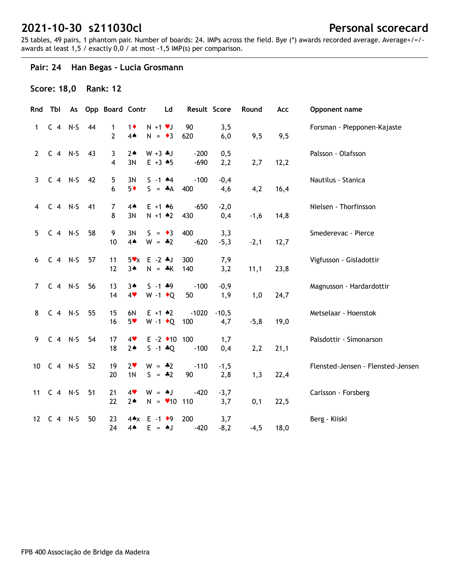25 tables, 49 pairs, 1 phantom pair. Number of boards: 24. IMPs across the field. Bye (\*) awards recorded average. Average+/=/ awards at least 1,5 / exactly 0,0 / at most -1,5 IMP(s) per comparison.

## **Pair: 24 Han Begas - Lucia Grosmann**

### **Score: 18,0 Rank: 12**

|             |            |            |    | Rnd Tbl As Opp Board Contr |                                  | <b>Ld</b>                                       | Result Score     |                | Round  | Acc  | Opponent name                     |
|-------------|------------|------------|----|----------------------------|----------------------------------|-------------------------------------------------|------------------|----------------|--------|------|-----------------------------------|
| 1           |            | $C$ 4 N-S  | 44 | 1<br>2                     | $1\bullet$<br>4A                 | $N + 1$ $V$<br>$N = 3$                          | 90<br>620        | 3,5<br>6,0     | 9,5    | 9,5  | Forsman - Piepponen-Kajaste       |
| $2^{\circ}$ |            | $C_4$ N-S  | 43 | 3<br>4                     | $2*$<br>3N                       | $W + 3 + J$<br>$E + 3 + 5$                      | $-200$<br>$-690$ | 0, 5<br>2,2    | 2,7    | 12,2 | Palsson - Olafsson                |
| 3           |            | $C$ 4 N-S  | 42 | 5<br>6                     | 3N<br>$5*$                       | $S - 1$ 44<br>$S = A$                           | $-100$<br>400    | $-0,4$<br>4,6  | 4,2    | 16,4 | Nautilus - Stanica                |
| 4           |            | $C_4$ N-S  | 41 | $\overline{7}$<br>8        | 4 <sub>•</sub><br>3N             | $E + 1 + 6$<br>$N + 1$ $*2$                     | $-650$<br>430    | $-2,0$<br>0,4  | $-1,6$ | 14,8 | Nielsen - Thorfinsson             |
| 5           |            | $C$ 4 N-S  | 58 | 9<br>10                    | 3N<br>$4*$                       | $S = \bullet 3$<br>$W = -2$                     | 400<br>$-620$    | 3,3<br>$-5,3$  | $-2,1$ | 12,7 | Smederevac - Pierce               |
| 6           |            | $C_4$ N-S  | 57 | 11<br>12                   | $3*$                             | $5 \times x$ E -2 $*J$<br>$N = *K$              | 300<br>140       | 7,9<br>3,2     | 11,1   | 23,8 | Vigfusson - Gisladottir           |
| $7^{\circ}$ |            | $C$ 4 N-S  | 56 | 13<br>14                   | $3*$<br>4                        | $S - 1$ $*9$<br>$W - 1$ + Q                     | $-100$<br>50     | $-0,9$<br>1,9  | 1,0    | 24,7 | Magnusson - Hardardottir          |
| 8           |            | $C_4$ N-S  | 55 | 15<br>16                   | 6N<br>$5*$                       | $E + 1$ $*2$<br>W -1 ◆ Q 100                    | $-1020$          | $-10,5$<br>4,7 | $-5,8$ | 19,0 | Metselaar - Hoenstok              |
| 9           |            | $C_4$ N-S  | 54 | 17<br>18                   | 4<br>$2*$                        | $E - 2$ +10 100<br>$S - 1 * Q$                  | $-100$           | 1,7<br>0,4     | 2,2    | 21,1 | Palsdottir - Símonarson           |
|             |            | 10 C 4 N-S | 52 | 19<br>20                   | 2 <sub>v</sub><br>1 <sub>N</sub> | $W = -2$<br>$S = -2$                            | $-110$<br>90     | $-1,5$<br>2,8  | 1,3    | 22,4 | Flensted-Jensen - Flensted-Jensen |
|             |            | 11 C 4 N-S | 51 | 21<br>22                   | 4<br>$2*$                        | $W = AJ$<br>$N = 10$ 110                        | -420             | $-3,7$<br>3,7  | 0,1    | 22,5 | Carlsson - Forsberg               |
|             | 12 C 4 N-S |            | 50 | 23<br>24                   | $4*$                             | $4 \cdot x$ E -1 $\cdot 9$<br>$E = \triangle J$ | 200<br>$-420$    | 3,7<br>$-8,2$  | $-4,5$ | 18,0 | Berg - Kiiski                     |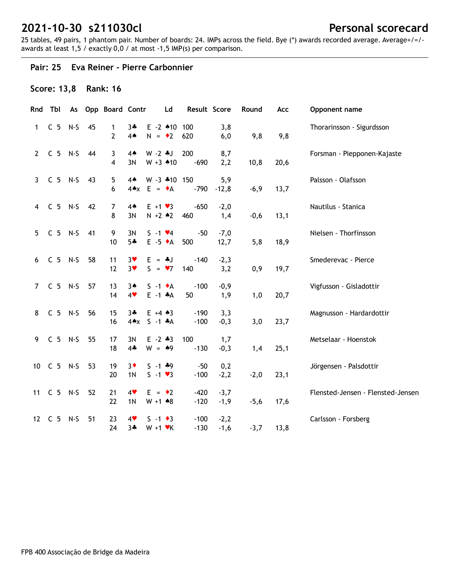25 tables, 49 pairs, 1 phantom pair. Number of boards: 24. IMPs across the field. Bye (\*) awards recorded average. Average+/=/ awards at least 1,5 / exactly 0,0 / at most -1,5 IMP(s) per comparison.

#### **Pair: 25 Eva Reiner - Pierre Carbonnier**

### **Score: 13,8 Rank: 16**

|                | Rnd Tbl    |    | As Opp Board Contr  |                                     | Ld                                     | Result Score     |                  | Round  | Acc  | Opponent name                     |
|----------------|------------|----|---------------------|-------------------------------------|----------------------------------------|------------------|------------------|--------|------|-----------------------------------|
| 1              | $C5 N-S$   | 45 | 1<br>$\overline{2}$ | $3*$<br>$4*$                        | $E - 2$ 410 100<br>$N = 2$             | 620              | 3,8<br>6,0       | 9,8    | 9,8  | Thorarinsson - Sigurdsson         |
| $\mathbf{2}$   | $C5$ N-S   | 44 | 3<br>4              | $4*$<br>3N                          | $W - 2$ $*J$<br>$W + 3$ 410            | 200<br>$-690$    | 8,7<br>2,2       | 10,8   | 20,6 | Forsman - Piepponen-Kajaste       |
| $\mathbf{3}$   | $C$ 5 N-S  | 43 | 5<br>6              | $4*$<br>$4 \triangle x$             | W -3 *10 150<br>$E = \bullet A$        | $-790$           | 5,9<br>$-12,8$   | $-6,9$ | 13,7 | Palsson - Olafsson                |
| $\overline{4}$ | $C5$ N-S   | 42 | 7<br>8              | $4*$<br>3N                          | $E + 1 \cdot 3$<br>$N + 2 * 2$         | $-650$<br>460    | $-2,0$<br>1,4    | $-0,6$ | 13,1 | Nautilus - Stanica                |
| 5 <sup>1</sup> | $C$ 5 N-S  | 41 | 9<br>10             | 3N<br>$5 -$                         | $S - 1$ $\vee 4$<br>$E - 5 \cdot A$    | $-50$<br>500     | $-7,0$<br>12,7   | 5,8    | 18,9 | Nielsen - Thorfinsson             |
| 6              | $C5 N-S$   | 58 | 11<br>12            | $3*$<br>3 <sub>v</sub>              | $E = -1$<br>$S = \bullet 7$            | $-140$<br>140    | $-2,3$<br>3,2    | 0,9    | 19,7 | Smederevac - Pierce               |
| $7^{\circ}$    | $C5 N-S$   | 57 | 13<br>14            | $3*$<br>4                           | $S -1$ $\bullet$ A<br>$E -1$ $*A$      | $-100$<br>50     | $-0,9$<br>1,9    | 1,0    | 20,7 | Vigfusson - Gisladottir           |
| 8              | $C5 N-S$   | 56 | 15<br>16            | $3 +$<br>$4 \cdot x$ S -1 $\cdot A$ | $E + 4 \cdot 3$                        | $-190$<br>$-100$ | 3,3<br>$-0,3$    | 3,0    | 23,7 | Magnusson - Hardardottir          |
| 9              | $C5 N-S$   | 55 | 17<br>18            | 3N<br>$4+$                          | $E - 2 * 3$<br>$W = 49$                | 100<br>$-130$    | 1,7<br>$-0,3$    | 1,4    | 25,1 | Metselaar - Hoenstok              |
|                | 10 C 5 N-S | 53 | 19<br>20            | $3\bullet$<br>1 <sub>N</sub>        | $S - 1$ $*9$<br>$S - 1 \cdot 3$        | $-50$<br>$-100$  | 0,2<br>$-2,2$    | $-2,0$ | 23,1 | Jörgensen - Palsdottir            |
|                | 11 C 5 N-S | 52 | 21<br>22            | 4<br>1 <sub>N</sub>                 | $E = \cdot 2$<br>$W + 1$ $*8$          | $-420$<br>$-120$ | $-3,7$<br>$-1,9$ | $-5,6$ | 17,6 | Flensted-Jensen - Flensted-Jensen |
|                | 12 C 5 N-S | 51 | 23<br>24            | 4<br>$3 +$                          | $S - 1 \cdot 3$<br>$W + 1$ $\forall$ K | $-100$<br>$-130$ | $-2,2$<br>$-1,6$ | $-3,7$ | 13,8 | Carlsson - Forsberg               |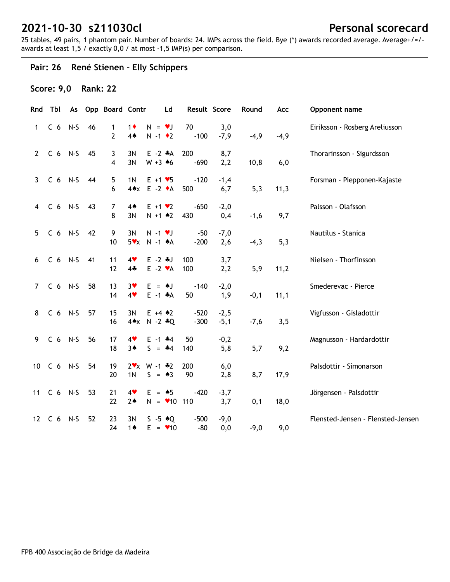25 tables, 49 pairs, 1 phantom pair. Number of boards: 24. IMPs across the field. Bye (\*) awards recorded average. Average+/=/ awards at least 1,5 / exactly 0,0 / at most -1,5 IMP(s) per comparison.

## **Pair: 26 René Stienen - Elly Schippers**

## **Score: 9,0 Rank: 22**

|                | Rnd Tbl    |    | As Opp Board Contr  |                     | Ld                                          | Result Score     |                  | Round  | Acc    | Opponent name                     |
|----------------|------------|----|---------------------|---------------------|---------------------------------------------|------------------|------------------|--------|--------|-----------------------------------|
| $\mathbf 1$    | $C_6$ N-S  | 46 | 1<br>$\overline{2}$ | $1\bullet$<br>$4*$  | $N = \nu J$<br>$N - 1$ $\bullet$ 2          | 70<br>$-100$     | 3,0<br>$-7,9$    | $-4,9$ | $-4,9$ | Eiriksson - Rosberg Areliusson    |
| $\mathbf{2}$   | $C_6$ N-S  | 45 | 3<br>4              | 3N<br>3N            | $E -2 A$<br>$W + 3 \cdot 6$                 | 200<br>$-690$    | 8,7<br>2,2       | 10,8   | 6,0    | Thorarinsson - Sigurdsson         |
| $\mathbf{3}$   | $C_6$ N-S  | 44 | 5<br>6              | 1 <sub>N</sub>      | $E + 1 \cdot 5$<br>4*x E -2 +A              | $-120$<br>500    | $-1,4$<br>6,7    | 5,3    | 11,3   | Forsman - Piepponen-Kajaste       |
| 4              | $C_6$ N-S  | 43 | 7<br>8              | $4*$<br>3N          | $E + 1 \cdot 2$<br>$N + 1$ $*2$             | $-650$<br>430    | $-2,0$<br>0,4    | $-1,6$ | 9,7    | Palsson - Olafsson                |
| 5 <sup>1</sup> | $C_6$ N-S  | 42 | 9<br>10             | 3N                  | $N - 1$ $V$<br>$5x \times N - 1 A$          | $-50$<br>$-200$  | $-7,0$<br>2,6    | $-4,3$ | 5,3    | Nautilus - Stanica                |
| 6              | $C_6$ N-S  | 41 | 11<br>12            | 4<br>$4\clubsuit$   | $E - 2$ $*J$<br>$E -2 \cdot A$              | 100<br>100       | 3,7<br>2,2       | 5,9    | 11,2   | Nielsen - Thorfinsson             |
| $7^{\circ}$    | $C6 N-S$   | 58 | 13<br>14            | $3*$<br>4           | $E = AJ$<br>$E -1$ $*A$                     | $-140$<br>50     | $-2,0$<br>1,9    | $-0,1$ | 11,1   | Smederevac - Pierce               |
| 8              | $C6$ N-S   | 57 | 15<br>16            | 3N                  | $E + 4 \cdot 2$<br>$4 \cdot x$ N -2 $* Q$   | $-520$<br>$-300$ | $-2,5$<br>$-5,1$ | $-7,6$ | 3,5    | Vigfusson - Gisladottir           |
| 9              | $C6 N-S$   | 56 | 17<br>18            | 4<br>$3*$           | $E - 1$ $*4$<br>$S = -4$                    | 50<br>140        | $-0,2$<br>5,8    | 5,7    | 9,2    | Magnusson - Hardardottir          |
|                | 10 C 6 N-S | 54 | 19<br>20            | 1 <sub>N</sub>      | $2 \times \text{W} - 1 \cdot 2$<br>$S = 43$ | 200<br>90        | 6,0<br>2,8       | 8,7    | 17,9   | Palsdottir - Símonarson           |
|                | 11 C 6 N-S | 53 | 21<br>22            | 4<br>$2*$           | $E = \triangle 5$<br>$N = 10$ 110           | $-420$           | $-3,7$<br>3,7    | 0,1    | 18,0   | Jörgensen - Palsdottir            |
|                | 12 C 6 N-S | 52 | 23<br>24            | 3N<br>1 $\triangle$ | $S - 5 \cdot Q$<br>$E = 10$                 | $-500$<br>-80    | $-9,0$<br>0,0    | $-9,0$ | 9,0    | Flensted-Jensen - Flensted-Jensen |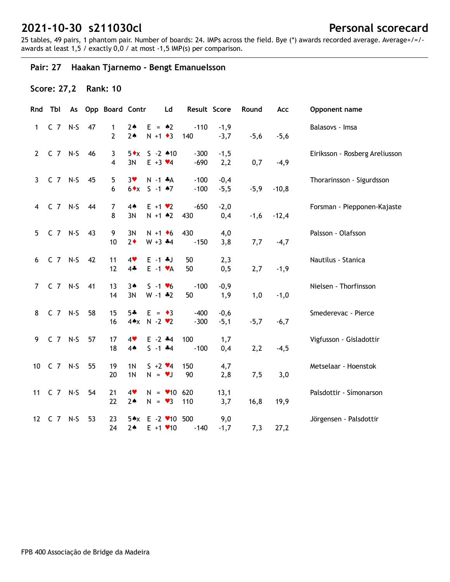25 tables, 49 pairs, 1 phantom pair. Number of boards: 24. IMPs across the field. Bye (\*) awards recorded average. Average+/=/ awards at least 1,5 / exactly 0,0 / at most -1,5 IMP(s) per comparison.

## **Pair: 27 Haakan Tjarnemo - Bengt Emanuelsson**

## **Score: 27,2 Rank: 10**

|                | Rnd Tbl       |    | As Opp Board Contr             |                                  |                                             | Ld                             | Result Score     |                  | Round  | Acc     | Opponent name                  |
|----------------|---------------|----|--------------------------------|----------------------------------|---------------------------------------------|--------------------------------|------------------|------------------|--------|---------|--------------------------------|
| $\mathbf{1}$   | $C$ $7$ $N-S$ | 47 | $\mathbf{1}$<br>$\overline{2}$ | $2*$<br>$2*$                     | $E = \triangle 2$<br>$N + 1$ + 3            |                                | $-110$<br>140    | $-1,9$<br>$-3,7$ | $-5,6$ | $-5,6$  | Balasovs - Imsa                |
|                | 2 C 7 N-S 46  |    | 3<br>4                         | 3N                               | $5 \cdot x$ S -2 $*10$<br>$E + 3 \times 4$  |                                | $-300$<br>$-690$ | $-1,5$<br>2,2    | 0,7    | $-4,9$  | Eiriksson - Rosberg Areliusson |
|                | 3 C 7 N-S     | 45 | 5<br>6                         | $3*$                             | $N - 1$ $*A$<br>$6 \cdot x$ S -1 $\cdot 7$  |                                | $-100$<br>$-100$ | $-0,4$<br>$-5,5$ | $-5,9$ | $-10,8$ | Thorarinsson - Sigurdsson      |
|                | 4 C 7 N-S 44  |    | $\overline{7}$<br>8            | 4 <sub>•</sub><br>3N             | $E + 1 \cdot 2$<br>$N + 1$ $*2$             |                                | $-650$<br>430    | $-2,0$<br>0,4    | $-1,6$ | $-12,4$ | Forsman - Piepponen-Kajaste    |
| 5 <sub>1</sub> | C 7 N-S 43    |    | 9<br>10                        | 3N<br>$2*$                       | $N + 1$ + 6<br>$W + 3 + 4$                  |                                | 430<br>$-150$    | 4,0<br>3,8       | 7,7    | $-4,7$  | Palsson - Olafsson             |
| 6              | C 7 N-S 42    |    | 11<br>12                       | 4<br>$4*$                        | $E - 1$ $*J$<br>$E -1$ $\forall A$          |                                | 50<br>50         | 2,3<br>0,5       | 2,7    | $-1,9$  | Nautilus - Stanica             |
|                | 7 C 7 N-S     | 41 | 13<br>14                       | $3*$<br>3N                       | $S - 1 \cdot 6$<br>$W - 1$ $*2$             |                                | $-100$<br>50     | $-0,9$<br>1,9    | 1,0    | $-1,0$  | Nielsen - Thorfinsson          |
| 8              | C 7 N-S       | 58 | 15<br>16                       | $5+$                             | $E = \cdot 3$<br>$4 \cdot x$ N -2 $\cdot$ 2 |                                | $-400$<br>$-300$ | $-0,6$<br>$-5,1$ | $-5,7$ | $-6,7$  | Smederevac - Pierce            |
|                | 9 C 7 N-S     | 57 | 17<br>18                       | 4<br>$4*$                        | $E - 2$ $*4$<br>$S - 1$ $*4$                |                                | 100<br>$-100$    | 1,7<br>0,4       | 2,2    | $-4,5$  | Vigfusson - Gisladottir        |
|                | 10 C 7 N-S    | 55 | 19<br>20                       | 1 <sub>N</sub><br>1 <sub>N</sub> | $5 + 2 \cdot 4$<br>$N = VJ$                 |                                | 150<br>90        | 4,7<br>2,8       | 7,5    | 3,0     | Metselaar - Hoenstok           |
|                | 11 C 7 N-S    | 54 | 21<br>22                       | 4<br>$2*$                        |                                             | $N = 10620$<br>$N = \bullet 3$ | 110              | 13,1<br>3,7      | 16,8   | 19,9    | Palsdottir - Símonarson        |
|                | 12 C 7 N-S    | 53 | 23<br>24                       | $2*$                             | 5*x E -2 *10 500                            | $E + 1$ $\times$ 10            | $-140$           | 9,0<br>$-1,7$    | 7,3    | 27,2    | Jörgensen - Palsdottir         |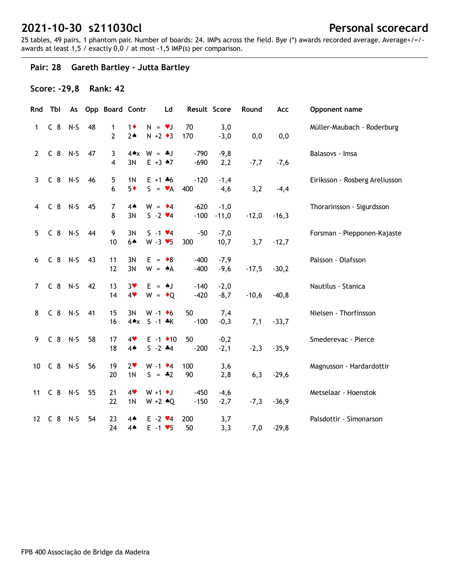25 tables, 49 pairs, 1 phantom pair. Number of boards: 24. IMPs across the field. Bye (\*) awards recorded average. Average+/=/ awards at least 1,5 / exactly 0,0 / at most -1,5 IMP(s) per comparison.

## **Pair: 28 Gareth Bartley - Jutta Bartley**

### **Score: -29,8 Rank: 42**

|                | Rnd Tbl        |       |    | As Opp Board Contr  |                        |                                                    | Ld                       | Result Score     |                   | Round   | Acc     | Opponent name                  |
|----------------|----------------|-------|----|---------------------|------------------------|----------------------------------------------------|--------------------------|------------------|-------------------|---------|---------|--------------------------------|
| 1              | C <sub>8</sub> | $N-S$ | 48 | 1<br>$\overline{2}$ | $1\bullet$<br>$2*$     | $N = \bullet J$<br>$N + 2 \cdot 3$                 |                          | 70<br>170        | 3,0<br>$-3,0$     | 0,0     | 0,0     | Müller-Maubach - Roderburg     |
| $2^{\circ}$    | $C_8$ N-S      |       | 47 | 3<br>4              | 3N                     | $4 \cdot x$ W = $\cdot$ J<br>$E + 3$ $A7$          |                          | $-790$<br>$-690$ | $-9,8$<br>2,2     | $-7,7$  | $-7,6$  | Balasovs - Imsa                |
| $\mathbf{3}$   | $C_8$ N-S      |       | 46 | 5<br>6              | 1 <sub>N</sub><br>$5*$ | $E + 1 + 6$<br>$S = \mathbf{v}A$                   |                          | $-120$<br>400    | $-1,4$<br>4,6     | 3,2     | $-4,4$  | Eiriksson - Rosberg Areliusson |
| $\overline{4}$ | $C_8$ N-S      |       | 45 | $\overline{7}$<br>8 | 4 <sub>•</sub><br>3N   | $W = 4$<br>$S - 2 \cdot 4$                         |                          | $-620$<br>$-100$ | $-1,0$<br>$-11,0$ | $-12,0$ | $-16,3$ | Thorarinsson - Sigurdsson      |
| 5              | C 8 N-S 44     |       |    | 9<br>10             | 3N<br>6▲               | $S - 1$ $\vee 4$<br>$W - 3 \cdot 5$                |                          | $-50$<br>300     | $-7,0$<br>10,7    | 3,7     | $-12,7$ | Forsman - Piepponen-Kajaste    |
| 6              | $C_8$ N-S      |       | 43 | 11<br>12            | 3N<br>3N               | $E = \cdot 8$<br>$W = A$                           |                          | $-400$<br>$-400$ | $-7,9$<br>$-9,6$  | $-17,5$ | $-30,2$ | Palsson - Olafsson             |
| $7^{\circ}$    | C 8 N-S        |       | 42 | 13<br>14            | $3*$<br>$4*$           | $E = AJ$<br>$W = \cdot Q$                          |                          | $-140$<br>$-420$ | $-2,0$<br>$-8,7$  | $-10,6$ | $-40,8$ | Nautilus - Stanica             |
| 8              | C 8 N-S        |       | 41 | 15<br>16            | 3N                     | $W - 1$ +6<br>4*x S -1 *K                          |                          | 50<br>$-100$     | 7,4<br>$-0,3$     | 7,1     | $-33,7$ | Nielsen - Thorfinsson          |
| 9              | $C_8$ N-S      |       | 58 | 17<br>18            | 4<br>$4*$              | $S - 2$ $*4$                                       | $E - 1$ $\rightarrow$ 10 | 50<br>$-200$     | $-0,2$<br>$-2,1$  | $-2,3$  | $-35,9$ | Smederevac - Pierce            |
|                | 10 C 8 N-S     |       | 56 | 19<br>20            | $2*$<br>1 <sub>N</sub> | $W - 1$ $\bullet$ 4<br>$S = -2$                    |                          | 100<br>90        | 3,6<br>2,8        | 6,3     | $-29,6$ | Magnusson - Hardardottir       |
|                | 11 C 8 N-S     |       | 55 | 21<br>22            | 4<br>1 <sub>N</sub>    | $W + 1$ $\bullet$ J<br>$W + 2 \cdot Q$             |                          | $-450$<br>$-150$ | $-4,6$<br>$-2,7$  | $-7,3$  | $-36,9$ | Metselaar - Hoenstok           |
|                | 12 C 8         | N-S   | 54 | 23<br>24            | 4♠<br>4▲               | $E - 2 \cdot 4$<br>$E - 1$ $\blacktriangleright$ 5 |                          | 200<br>50        | 3,7<br>3,3        | 7,0     | $-29,8$ | Palsdottir - Símonarson        |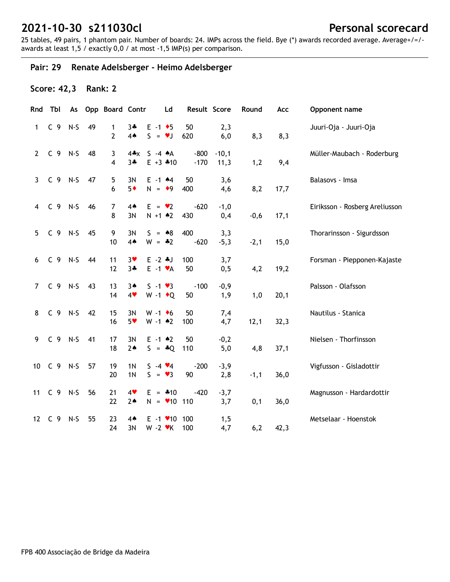25 tables, 49 pairs, 1 phantom pair. Number of boards: 24. IMPs across the field. Bye (\*) awards recorded average. Average+/=/ awards at least 1,5 / exactly 0,0 / at most -1,5 IMP(s) per comparison.

## **Pair: 29 Renate Adelsberger - Heimo Adelsberger**

## **Score: 42,3 Rank: 2**

|                 | Rnd Tbl        |           |    | As Opp Board Contr  |                                  | Ld                                        | Result Score     |                 | Round  | Acc  | Opponent name                  |
|-----------------|----------------|-----------|----|---------------------|----------------------------------|-------------------------------------------|------------------|-----------------|--------|------|--------------------------------|
| $\mathbf{1}$    | C <sub>9</sub> | $N-S$     | 49 | 1<br>$\overline{2}$ | $3 +$<br>4A                      | $E - 1$ + 5<br>$S = \nu J$                | 50<br>620        | 2,3<br>6,0      | 8,3    | 8,3  | Juuri-Oja - Juuri-Oja          |
| $2^{\circ}$     | $C$ 9 N-S      |           | 48 | 3<br>4              | $4 \cdot x$<br>$3 +$             | $S -4 A$<br>$E + 3 * 10$                  | $-800$<br>$-170$ | $-10,1$<br>11,3 | 1,2    | 9,4  | Müller-Maubach - Roderburg     |
| $\mathbf{3}$    | C 9 N-S        |           | 47 | 5<br>6              | 3N<br>$5*$                       | $E - 1$ $*4$<br>$N = 9$                   | 50<br>400        | 3,6<br>4,6      | 8,2    | 17,7 | Balasovs - Imsa                |
| 4               | $C$ 9 N-S      |           | 46 | $\overline{7}$<br>8 | $4*$<br>3N                       | $E = \bullet 2$<br>$N + 1$ $*2$           | $-620$<br>430    | $-1,0$<br>0,4   | $-0,6$ | 17,1 | Eiriksson - Rosberg Areliusson |
| 5               | $C_9$ N-S      |           | 45 | 9<br>10             | 3N<br>4 <sub>•</sub>             | $S = 88$<br>$W = -2$                      | 400<br>$-620$    | 3,3<br>$-5,3$   | $-2,1$ | 15,0 | Thorarinsson - Sigurdsson      |
| 6               | $C_9$ N-S      |           | 44 | 11<br>12            | $3*$<br>$3 +$                    | $E - 2$ $*J$<br>$E -1$ $\forall A$        | 100<br>50        | 3,7<br>0, 5     | 4,2    | 19,2 | Forsman - Piepponen-Kajaste    |
| $\overline{7}$  |                | C 9 N-S   | 43 | 13<br>14            | $3*$<br>4                        | $S - 1 \cdot 3$<br>W -1 $\bullet$ Q       | $-100$<br>50     | $-0,9$<br>1,9   | 1,0    | 20,1 | Palsson - Olafsson             |
| 8               |                | $C_9$ N-S | 42 | 15<br>16            | 3N<br>5 <sub>v</sub>             | $W - 1$ +6<br>$W - 1$ $*2$                | 50<br>100        | 7,4<br>4,7      | 12,1   | 32,3 | Nautilus - Stanica             |
| 9               | $C$ 9 N-S      |           | 41 | 17<br>18            | 3N<br>$2*$                       | $E - 1$ $*2$<br>$S = *Q$                  | 50<br>110        | $-0,2$<br>5,0   | 4,8    | 37,1 | Nielsen - Thorfinsson          |
| 10 <sup>°</sup> | $C$ 9 N-S      |           | 57 | 19<br>20            | 1 <sub>N</sub><br>1 <sub>N</sub> | $S - 4 \cdot 4$<br>$S = \bullet 3$        | $-200$<br>90     | $-3,9$<br>2,8   | $-1,1$ | 36,0 | Vigfusson - Gisladottir        |
| 11              | $C$ 9 N-S      |           | 56 | 21<br>22            | 4<br>$2*$                        | $E = 410$<br>$N = 10$ 110                 | $-420$           | $-3,7$<br>3,7   | 0,1    | 36,0 | Magnusson - Hardardottir       |
| 12              | C <sub>9</sub> | $N-S$     | 55 | 23<br>24            | $4*$<br>3N                       | E -1 <b>v</b> 10 100<br>$W - 2$ $\cdot$ K | 100              | 1, 5<br>4,7     | 6,2    | 42,3 | Metselaar - Hoenstok           |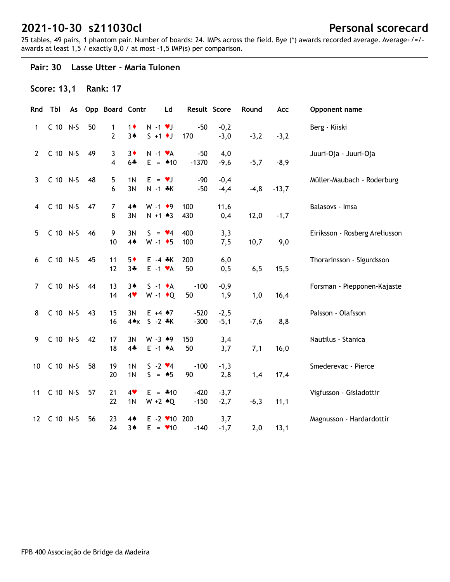25 tables, 49 pairs, 1 phantom pair. Number of boards: 24. IMPs across the field. Bye (\*) awards recorded average. Average+/=/ awards at least 1,5 / exactly 0,0 / at most -1,5 IMP(s) per comparison.

#### **Pair: 30 Lasse Utter - Maria Tulonen**

### **Score: 13,1 Rank: 17**

|                | Rnd Tbl     |    | As Opp Board Contr  |                                  | <b>Ld</b>                            |                                      | Result Score     |                  | Round   | Acc     | Opponent name                  |
|----------------|-------------|----|---------------------|----------------------------------|--------------------------------------|--------------------------------------|------------------|------------------|---------|---------|--------------------------------|
| $\mathbf{1}$   | C 10 N-S    | 50 | 1<br>2              | $1\bullet$<br>$3*$               | $N - 1$ $\vee$ J<br>$S + 1$ + J      |                                      | $-50$<br>170     | $-0,2$<br>$-3,0$ | $-3,2$  | $-3,2$  | Berg - Kiiski                  |
| $\mathbf{2}$   | C 10 N-S    | 49 | 3<br>4              | $3*$<br>$6 +$                    |                                      | $N - 1$ $\mathbf{v}$ A<br>$E = 10$   | $-50$<br>$-1370$ | 4,0<br>$-9,6$    | $-5,7$  | $-8,9$  | Juuri-Oja - Juuri-Oja          |
| 3              | C 10 N-S    | 48 | 5<br>6              | 1 <sub>N</sub><br>3N             | $E = \nu J$                          | $N - 1$ $*$ K                        | $-90$<br>$-50$   | $-0,4$<br>$-4,4$ | $-4, 8$ | $-13,7$ | Müller-Maubach - Roderburg     |
| $\overline{4}$ | C 10 N-S    | 47 | $\overline{7}$<br>8 | $4*$<br>3N                       | $W - 1$ +9                           | $N + 1$ $*3$                         | 100<br>430       | 11,6<br>0,4      | 12,0    | $-1,7$  | Balasovs - Imsa                |
| 5              | C 10 N-S    | 46 | 9<br>10             | 3N<br>4A                         |                                      | $S = \mathbf{V}4$<br>$W - 1$ + 5     | 400<br>100       | 3,3<br>7,5       | 10,7    | 9,0     | Eiriksson - Rosberg Areliusson |
| 6              | C 10 N-S    | 45 | 11<br>12            | $5*$<br>$3 +$                    |                                      | $E - 4$ $*$ K<br>$E -1$ $\forall A$  | 200<br>50        | 6,0<br>0, 5      | 6, 5    | 15,5    | Thorarinsson - Sigurdsson      |
| $\overline{7}$ | C 10 N-S    | 44 | 13<br>14            | $3*$<br>4                        |                                      | $S -1$ $\bullet$ A<br>$W - 1$ + Q    | $-100$<br>50     | $-0,9$<br>1,9    | 1,0     | 16,4    | Forsman - Piepponen-Kajaste    |
| 8              | C 10 N-S    | 43 | 15<br>16            | 3N<br>$4 \triangle x$            |                                      | $E + 4 \cdot 7$<br>$S - 2 * K$       | $-520$<br>$-300$ | $-2,5$<br>$-5,1$ | $-7,6$  | 8,8     | Palsson - Olafsson             |
| 9              | C 10 N-S    | 42 | 17<br>18            | 3N<br>$4 -$                      |                                      | $W - 3$ $*9$<br>$E -1$ $A$           | 150<br>50        | 3,4<br>3,7       | 7,1     | 16,0    | Nautilus - Stanica             |
|                | 10 C 10 N-S | 58 | 19<br>20            | 1 <sub>N</sub><br>1 <sub>N</sub> | $S - 2 \cdot 4$<br>$S = \triangle 5$ |                                      | $-100$<br>90     | $-1,3$<br>2,8    | 1,4     | 17,4    | Smederevac - Pierce            |
|                | 11 C 10 N-S | 57 | 21<br>22            | 4<br>1 <sub>N</sub>              |                                      | $E = -10$<br>$W + 2 \cdot Q$         | $-420$<br>$-150$ | $-3,7$<br>$-2,7$ | $-6,3$  | 11,1    | Vigfusson - Gisladottir        |
|                | 12 C 10 N-S | 56 | 23<br>24            | $4*$<br>34                       |                                      | $E - 2$ / 10 200<br>$E = \bullet 10$ | $-140$           | 3,7<br>$-1,7$    | 2,0     | 13,1    | Magnusson - Hardardottir       |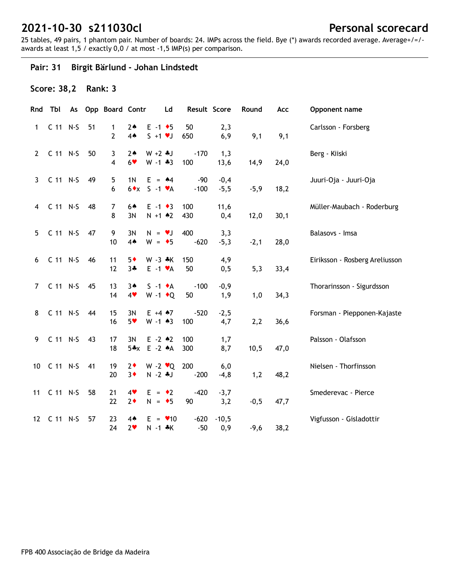25 tables, 49 pairs, 1 phantom pair. Number of boards: 24. IMPs across the field. Bye (\*) awards recorded average. Average+/=/ awards at least 1,5 / exactly 0,0 / at most -1,5 IMP(s) per comparison.

## **Pair: 31 Birgit Bärlund - Johan Lindstedt**

## **Score: 38,2 Rank: 3**

|                | Rnd Tbl     |    | As Opp Board Contr  |                        | Ld                                               | Result Score    |                  | Round  | Acc  | Opponent name                  |
|----------------|-------------|----|---------------------|------------------------|--------------------------------------------------|-----------------|------------------|--------|------|--------------------------------|
| $\mathbf{1}$   | C 11 N-S    | 51 | 1<br>$\overline{2}$ | $2*$<br>4 <sub>•</sub> | $E - 1$ + 5<br>$S + 1 \cdot J$                   | 50<br>650       | 2,3<br>6,9       | 9,1    | 9,1  | Carlsson - Forsberg            |
| $2^{\circ}$    | C 11 N-S    | 50 | 3<br>$\overline{4}$ | $2*$<br>$6*$           | $W + 2 * J$<br>$W - 1 * 3$                       | $-170$<br>100   | 1,3<br>13,6      | 14,9   | 24,0 | Berg - Kiiski                  |
| $\mathbf{3}$   | C 11 N-S    | 49 | 5<br>6              | 1 <sub>N</sub>         | $E = 44$<br>$6 \cdot x$ S -1 $\cdot A$           | $-90$<br>$-100$ | $-0,4$<br>$-5,5$ | $-5,9$ | 18,2 | Juuri-Oja - Juuri-Oja          |
| $\overline{4}$ | C 11 N-S    | 48 | 7<br>8              | 64<br>3N               | $E -1$ + 3<br>$N + 1$ $*2$                       | 100<br>430      | 11,6<br>0,4      | 12,0   | 30,1 | Müller-Maubach - Roderburg     |
| 5              | C 11 N-S    | 47 | 9<br>10             | 3N<br>4A               | $N = vJ$<br>$W = \bullet 5$                      | 400<br>$-620$   | 3,3<br>$-5,3$    | $-2,1$ | 28,0 | Balasovs - Imsa                |
| 6              | C 11 N-S    | 46 | 11<br>12            | $5*$<br>$3 +$          | $W - 3 * K$<br>$E -1$ $\forall A$                | 150<br>50       | 4,9<br>0, 5      | 5,3    | 33,4 | Eiriksson - Rosberg Areliusson |
| $7^{\circ}$    | C 11 N-S    | 45 | 13<br>14            | $3*$<br>4              | $S -1$ $\bullet$ A<br>$W - 1$ + Q                | $-100$<br>50    | $-0,9$<br>1,9    | 1,0    | 34,3 | Thorarinsson - Sigurdsson      |
| 8              | C 11 N-S    | 44 | 15<br>16            | 3N<br>$5*$             | $E + 4 \cdot 7$<br>$W - 1$ $*3$                  | $-520$<br>100   | $-2,5$<br>4,7    | 2,2    | 36,6 | Forsman - Piepponen-Kajaste    |
| 9              | C 11 N-S    | 43 | 17<br>18            | 3N                     | $E - 2 \cdot 2$<br>5*x E -2 *A                   | 100<br>300      | 1,7<br>8,7       | 10,5   | 47,0 | Palsson - Olafsson             |
|                | 10 C 11 N-S | 41 | 19<br>20            | $2\bullet$<br>$3*$     | W -2 $\mathbf{v}$ Q 200<br>$N - 2$ $\clubsuit$ J | $-200$          | 6,0<br>$-4, 8$   | 1,2    | 48,2 | Nielsen - Thorfinsson          |
| 11             | C 11 N-S    | 58 | 21<br>22            | 4<br>$2*$              | $E = \cdot 2$<br>$N = \bullet 5$                 | $-420$<br>90    | $-3,7$<br>3,2    | $-0,5$ | 47,7 | Smederevac - Pierce            |
|                | 12 C 11 N-S | 57 | 23<br>24            | $4*$<br>2 <sub>v</sub> | $E = \bullet 10$<br>$N - 1 * K$                  | $-620$<br>$-50$ | $-10,5$<br>0,9   | $-9,6$ | 38,2 | Vigfusson - Gisladottir        |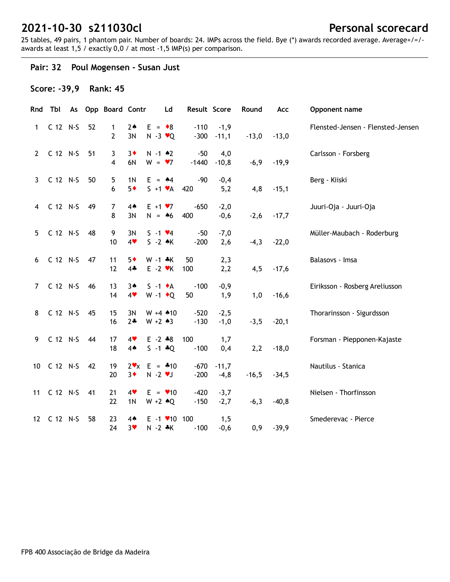25 tables, 49 pairs, 1 phantom pair. Number of boards: 24. IMPs across the field. Bye (\*) awards recorded average. Average+/=/ awards at least 1,5 / exactly 0,0 / at most -1,5 IMP(s) per comparison.

## **Pair: 32 Poul Mogensen - Susan Just**

### **Score: -39,9 Rank: 45**

|                | Rnd Tbl     |    | As Opp Board Contr |                        | Ld                                                   | Result Score     |                         | Round   | Acc     | Opponent name                     |
|----------------|-------------|----|--------------------|------------------------|------------------------------------------------------|------------------|-------------------------|---------|---------|-----------------------------------|
| 1              | C 12 N-S    | 52 | 1<br>2             | $2*$<br>3N             | $E = \cdot 8$<br>$N - 3 \cdot Q$                     | $-110$           | $-1,9$<br>$-300 - 11,1$ | $-13,0$ | $-13,0$ | Flensted-Jensen - Flensted-Jensen |
| $\mathbf{2}$   | C 12 N-S    | 51 | 3<br>4             | $3\bullet$<br>6N       | $N - 1$ $*2$<br>$W = 7$                              | $-50$<br>$-1440$ | 4,0<br>$-10,8$          | $-6,9$  | $-19,9$ | Carlsson - Forsberg               |
| 3              | C 12 N-S    | 50 | 5<br>6             | 1 <sub>N</sub><br>$5*$ | $E = 44$<br>$S + 1 \cdot A$                          | $-90$<br>420     | $-0,4$<br>5,2           | 4,8     | $-15,1$ | Berg - Kiiski                     |
| $\overline{4}$ | C 12 N-S    | 49 | 7<br>8             | 4 <sub>•</sub><br>3N   | $E + 1 \cdot 7$<br>$N = 46$                          | $-650$<br>400    | $-2,0$<br>$-0,6$        | $-2,6$  | $-17,7$ | Juuri-Oja - Juuri-Oja             |
| 5              | C 12 N-S    | 48 | 9<br>10            | 3N<br>4                | $S - 1 \cdot 4$<br>$S -2$ $\star$ K                  | $-50$<br>$-200$  | $-7,0$<br>2,6           | $-4,3$  | $-22,0$ | Müller-Maubach - Roderburg        |
| 6              | C 12 N-S    | 47 | 11<br>12           | $5*$<br>$4*$           | $W - 1 * K$<br>$E - 2$ $\vee$ K                      | 50<br>100        | 2,3<br>2,2              | 4,5     | $-17,6$ | Balasovs - Imsa                   |
| $7^{\circ}$    | C 12 N-S    | 46 | 13<br>14           | $3*$<br>4              | $S -1$ $\bullet$ A<br>W -1 $\bullet$ Q               | $-100$<br>50     | $-0,9$<br>1,9           | 1,0     | $-16,6$ | Eiriksson - Rosberg Areliusson    |
| 8              | C 12 N-S    | 45 | 15<br>16           | 3N<br>$2*$             | $W + 4$ $*10$<br>$W + 2 \cdot 3$                     | $-520$<br>$-130$ | $-2,5$<br>$-1,0$        | $-3,5$  | $-20,1$ | Thorarinsson - Sigurdsson         |
| 9              | C 12 N-S    | 44 | 17<br>18           | 4<br>$4*$              | $E - 2 * 8$<br>$S - 1 * Q$                           | 100<br>$-100$    | 1,7<br>0,4              | 2,2     | $-18,0$ | Forsman - Piepponen-Kajaste       |
|                | 10 C 12 N-S | 42 | 19<br>20           | $3*$                   | $2 \cdot x$ E = $*10$<br>$N - 2$ $\vee$ J            | $-670$<br>$-200$ | $-11,7$<br>$-4,8$       | $-16,5$ | $-34,5$ | Nautilus - Stanica                |
|                | 11 C 12 N-S | 41 | 21<br>22           | 4<br>1 <sub>N</sub>    | $E = \bullet 10$<br>$W + 2 \cdot Q$                  | $-420$<br>$-150$ | $-3,7$<br>$-2,7$        | $-6,3$  | $-40,8$ | Nielsen - Thorfinsson             |
|                | 12 C 12 N-S | 58 | 23<br>24           | $4*$<br>$3*$           | $E - 1$ $\blacktriangleright$ 10 100<br>$N - 2$ $*K$ | $-100$           | 1,5<br>$-0,6$           | 0,9     | $-39,9$ | Smederevac - Pierce               |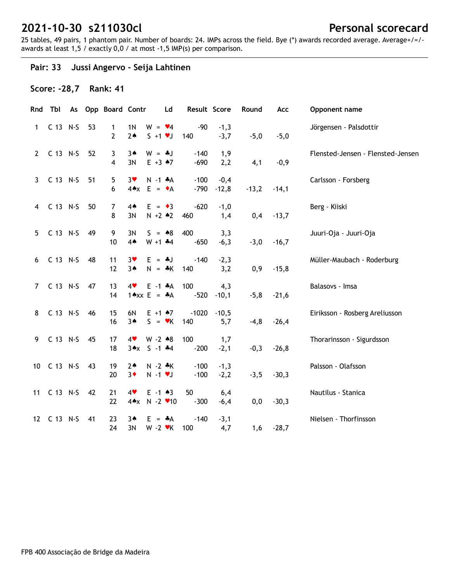25 tables, 49 pairs, 1 phantom pair. Number of boards: 24. IMPs across the field. Bye (\*) awards recorded average. Average+/=/ awards at least 1,5 / exactly 0,0 / at most -1,5 IMP(s) per comparison.

## **Pair: 33 Jussi Angervo - Seija Lahtinen**

### **Score: -28,7 Rank: 41**

|                | Rnd Tbl     |    | As Opp Board Contr             |                                                              | Ld | Result Score          |                      | Round   | Acc     | Opponent name                     |
|----------------|-------------|----|--------------------------------|--------------------------------------------------------------|----|-----------------------|----------------------|---------|---------|-----------------------------------|
| 1              | C 13 N-S    | 53 | $\mathbf{1}$<br>$\overline{2}$ | 1 <sub>N</sub><br>$W = \bullet 4$<br>$S + 1 \cdot J$<br>$2*$ |    | $-90$<br>140          | $-1,3$<br>$-3,7$     | $-5,0$  | $-5,0$  | Jörgensen - Palsdottir            |
| $\overline{2}$ | C 13 N-S    | 52 | 3<br>4                         | $W = -1$<br>$3*$<br>$E + 3 \cdot 7$<br>3N                    |    | $-140$<br>$-690$      | 1,9<br>2,2           | 4,1     | $-0,9$  | Flensted-Jensen - Flensted-Jensen |
| 3              | $C$ 13 N-S  | 51 | 5<br>6                         | $3$ v<br>$N - 1$ $*A$<br>$4AX E = \bullet A$                 |    | $-100$<br>$-790$      | $-0,4$<br>$-12,8$    | $-13,2$ | $-14,1$ | Carlsson - Forsberg               |
| 4              | $C$ 13 N-S  | 50 | $\overline{7}$<br>8            | $4*$<br>$E = \bullet 3$<br>3N<br>$N + 2 * 2$                 |    | $-620$<br>460         | $-1,0$<br>1,4        | 0,4     | $-13,7$ | Berg - Kiiski                     |
| 5              | C 13 N-S    | 49 | 9<br>10                        | 3N<br>$S = 88$<br>$4*$<br>$W + 1$ $*4$                       |    | 400<br>$-650$         | 3,3<br>$-6,3$        | $-3,0$  | $-16,7$ | Juuri-Oja - Juuri-Oja             |
| 6              | C 13 N-S    | 48 | 11<br>12                       | 3 <sub>Y</sub><br>$E = -1$<br>$3*$<br>$N = A K$              |    | $-140$<br>140         | $-2,3$<br>3,2        | 0,9     | $-15,8$ | Müller-Maubach - Roderburg        |
| $7^{\circ}$    | C 13 N-S    | 47 | 13<br>14                       | $E - 1$ $*A$<br>4<br>$1 \triangle x \times E = A$            |    | 100                   | 4,3<br>$-520 - 10,1$ | $-5,8$  | $-21,6$ | Balasovs - Imsa                   |
| 8              | C 13 N-S    | 46 | 15<br>16                       | 6N<br>$E + 1$ $*7$<br>$S = \mathbf{v}K$<br>$3*$              |    | $-1020 - 10,5$<br>140 | 5,7                  | $-4,8$  | $-26,4$ | Eiriksson - Rosberg Areliusson    |
| 9              | $C$ 13 N-S  | 45 | 17<br>18                       | 4<br>$W - 2 \cdot 8$<br>$3 \cdot x$ S -1 $*4$                |    | 100<br>$-200$         | 1,7<br>$-2,1$        | $-0,3$  | $-26,8$ | Thorarinsson - Sigurdsson         |
| 10             | $C$ 13 N-S  | 43 | 19<br>20                       | $N - 2$ $\ast$ K<br>$2*$<br>$3\bullet$<br>$N - 1$ $V$        |    | $-100$<br>$-100$      | $-1,3$<br>$-2,2$     | $-3,5$  | $-30,3$ | Palsson - Olafsson                |
|                | 11 C 13 N-S | 42 | 21<br>22                       | $E - 1$ $*3$<br>4<br>$4 \times N - 2 \cdot 10$               |    | 50<br>$-300$          | 6,4<br>$-6,4$        | 0,0     | $-30,3$ | Nautilus - Stanica                |
|                | 12 C 13 N-S | 41 | 23<br>24                       | 3▲<br>$E = A$<br>3N<br>$W - 2$ $\blacktriangleright$ K       |    | $-140$<br>100         | $-3,1$<br>4,7        | 1,6     | $-28,7$ | Nielsen - Thorfinsson             |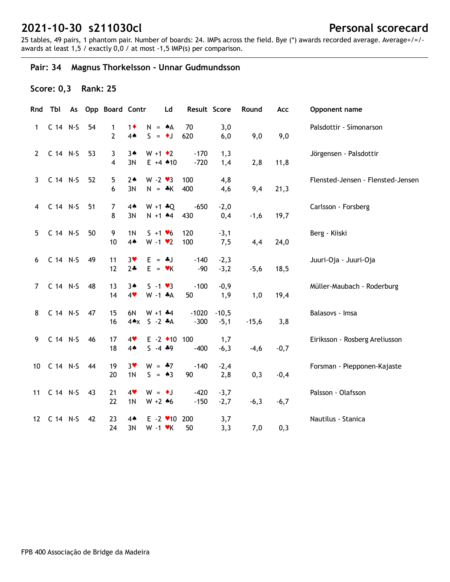25 tables, 49 pairs, 1 phantom pair. Number of boards: 24. IMPs across the field. Bye (\*) awards recorded average. Average+/=/ awards at least 1,5 / exactly 0,0 / at most -1,5 IMP(s) per comparison.

## **Pair: 34 Magnus Thorkelsson - Unnar Gudmundsson**

## **Score: 0,3 Rank: 25**

|                | Rnd Tbl        |    | As Opp Board Contr  |                              | Ld                                         | Result Score      |                   | Round   | Acc    | Opponent name                     |
|----------------|----------------|----|---------------------|------------------------------|--------------------------------------------|-------------------|-------------------|---------|--------|-----------------------------------|
| $\mathbf{1}$   | C 14 N-S       | 54 | 1<br>$\overline{2}$ | $1\bullet$<br>4 <sub>•</sub> | $N = A$<br>$S = \bullet J$                 | 70<br>620         | 3,0<br>6,0        | 9,0     | 9,0    | Palsdottir - Símonarson           |
| $2^{\circ}$    | C 14 N-S       | 53 | 3<br>4              | $3*$<br>3N                   | $W + 1 \cdot 2$<br>$E + 4$ $*10$           | $-170$<br>$-720$  | 1,3<br>1,4        | 2,8     | 11,8   | Jörgensen - Palsdottir            |
| $\mathbf{3}$   | C 14 N-S       | 52 | 5<br>6              | $2*$<br>3N                   | $W - 2 \cdot 3$<br>$N = *K$                | 100<br>400        | 4,8<br>4,6        | 9,4     | 21,3   | Flensted-Jensen - Flensted-Jensen |
| $\overline{4}$ | C 14 N-S       | 51 | 7<br>8              | 4♠<br>3N                     | $W + 1 + Q$<br>$N + 1$ $*4$                | $-650$<br>430     | $-2,0$<br>0,4     | $-1,6$  | 19,7   | Carlsson - Forsberg               |
| 5              | C 14 N-S       | 50 | 9<br>10             | 1 <sub>N</sub><br>$4*$       | $S + 1 \cdot 6$<br>$W - 1$ $\vee$ 2        | 120<br>100        | $-3,1$<br>7,5     | 4,4     | 24,0   | Berg - Kiiski                     |
| 6              | C 14 N-S       | 49 | 11<br>12            | $3*$<br>$2 +$                | $E = -1$<br>$E = \mathbf{v}K$              | $-140$<br>$-90$   | $-2,3$<br>$-3,2$  | $-5,6$  | 18,5   | Juuri-Oja - Juuri-Oja             |
| $7^{\circ}$    | C 14 N-S       | 48 | 13<br>14            | $3*$<br>4                    | $S - 1 \cdot 3$<br>$W - 1$ $*A$            | $-100$<br>50      | $-0,9$<br>1,9     | 1,0     | 19,4   | Müller-Maubach - Roderburg        |
| 8              | C 14 N-S       | 47 | 15<br>16            | 6N                           | $W + 1$ $*4$<br>4*x S -2 *A                | $-1020$<br>$-300$ | $-10,5$<br>$-5,1$ | $-15,6$ | 3,8    | Balasovs - Imsa                   |
| 9              | C 14 N-S       | 46 | 17<br>18            | 4<br>4 <sub>•</sub>          | $E - 2$ +10 100<br>$5 - 4 * 9$             | $-400$            | 1,7<br>$-6,3$     | $-4,6$  | $-0,7$ | Eiriksson - Rosberg Areliusson    |
| 10             | $C$ 14 N-S     | 44 | 19<br>20            | $3*$<br>1 <sub>N</sub>       | $W = -7$<br>$S = \triangle 3$              | $-140$<br>90      | $-2,4$<br>2,8     | 0,3     | $-0,4$ | Forsman - Piepponen-Kajaste       |
|                | 11 C 14 N-S 43 |    | 21<br>22            | 4<br>1 <sub>N</sub>          | $W = \bullet J$<br>$W + 2 * 6$             | $-420$<br>$-150$  | $-3,7$<br>$-2,7$  | $-6,3$  | $-6,7$ | Palsson - Olafsson                |
| 12             | C 14 N-S       | 42 | 23<br>24            | $4*$<br>3N                   | $E - 2$ $\vee$ 10 200<br>$W - 1$ $\cdot$ K | 50                | 3,7<br>3,3        | 7,0     | 0,3    | Nautilus - Stanica                |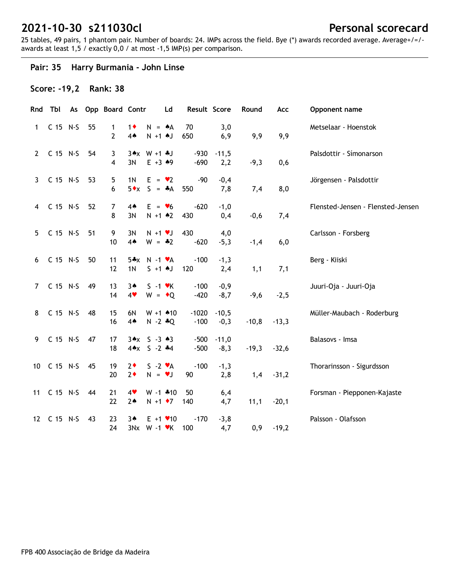25 tables, 49 pairs, 1 phantom pair. Number of boards: 24. IMPs across the field. Bye (\*) awards recorded average. Average+/=/ awards at least 1,5 / exactly 0,0 / at most -1,5 IMP(s) per comparison.

## **Pair: 35 Harry Burmania - John Linse**

### **Score: -19,2 Rank: 38**

| Rnd             | Tbl         | As |    | Opp Board Contr     |                              | Ld                                                         | Result Score      |                   | Round   | Acc     | Opponent name                     |
|-----------------|-------------|----|----|---------------------|------------------------------|------------------------------------------------------------|-------------------|-------------------|---------|---------|-----------------------------------|
| 1               | C 15 N-S    |    | 55 | 1<br>$\overline{2}$ | $1\bullet$<br>4 <sub>•</sub> | $N = A$<br>$N + 1$ $N$                                     | 70<br>650         | 3,0<br>6,9        | 9,9     | 9,9     | Metselaar - Hoenstok              |
| $\mathbf{2}$    | C 15 N-S    |    | 54 | 3<br>4              | 3N                           | $3 \cdot x \cdot W + 1 \cdot J$<br>$E + 3 + 9$             | $-930$<br>$-690$  | $-11,5$<br>2,2    | $-9,3$  | 0,6     | Palsdottir - Símonarson           |
| 3               | C 15 N-S    |    | 53 | 5<br>6              | 1 <sub>N</sub>               | $E = \bullet 2$<br>$5 \cdot x$ S = $\cdot A$               | $-90$<br>550      | $-0,4$<br>7,8     | 7,4     | 8,0     | Jörgensen - Palsdottir            |
| 4               | C 15 N-S    |    | 52 | $\overline{7}$<br>8 | $4*$<br>3N                   | $E = \bullet 6$<br>$N + 1$ $*2$                            | $-620$<br>430     | $-1,0$<br>0,4     | $-0,6$  | 7,4     | Flensted-Jensen - Flensted-Jensen |
| 5               | C 15 N-S    |    | 51 | 9<br>10             | 3N<br>4 <sub>•</sub>         | $N + 1$ $V$<br>$W = -2$                                    | 430<br>$-620$     | 4,0<br>$-5,3$     | $-1,4$  | 6,0     | Carlsson - Forsberg               |
| 6               | C 15 N-S    |    | 50 | 11<br>12            | 1 <sub>N</sub>               | $5*x$ N -1 $vA$<br>$S + 1$ AJ                              | $-100$<br>120     | $-1,3$<br>2,4     | 1,1     | 7,1     | Berg - Kiiski                     |
| $\overline{7}$  | C 15 N-S    |    | 49 | 13<br>14            | $3*$<br>4                    | $S - 1$ $\forall$ K<br>$W = \cdot Q$                       | $-100$<br>$-420$  | $-0,9$<br>$-8,7$  | $-9,6$  | $-2,5$  | Juuri-Oja - Juuri-Oja             |
| 8               | C 15 N-S    |    | 48 | 15<br>16            | 6N<br>$4*$                   | $W + 1$ 410<br>$N - 2 * Q$                                 | $-1020$<br>$-100$ | $-10,5$<br>$-0,3$ | $-10,8$ | $-13,3$ | Müller-Maubach - Roderburg        |
| 9               | C 15 N-S    |    | 47 | 17<br>18            |                              | $3 \cdot x$ $5 - 3 \cdot 3$<br>$4 \times 5 - 2 \cdot 4$    | $-500$<br>$-500$  | $-11,0$<br>$-8,3$ | $-19,3$ | $-32,6$ | Balasovs - Imsa                   |
| 10 <sup>°</sup> | C 15 N-S    |    | 45 | 19<br>20            | $2*$<br>$2*$                 | $S - 2 \cdot A$<br>$N = vJ$                                | $-100$<br>90      | $-1,3$<br>2,8     | 1,4     | $-31,2$ | Thorarinsson - Sigurdsson         |
|                 | 11 C 15 N-S |    | 44 | 21<br>22            | 4<br>$2*$                    | $W - 1$ $*10$<br>$N + 1$ $\rightarrow$ 7                   | 50<br>140         | 6,4<br>4,7        | 11,1    | $-20,1$ | Forsman - Piepponen-Kajaste       |
|                 | 12 C 15 N-S |    | 43 | 23<br>24            | 3▲                           | $E + 1$ $\times$ 10<br>$3Nx$ W -1 $\nblacktriangleright$ K | $-170$<br>100     | $-3,8$<br>4,7     | 0,9     | $-19,2$ | Palsson - Olafsson                |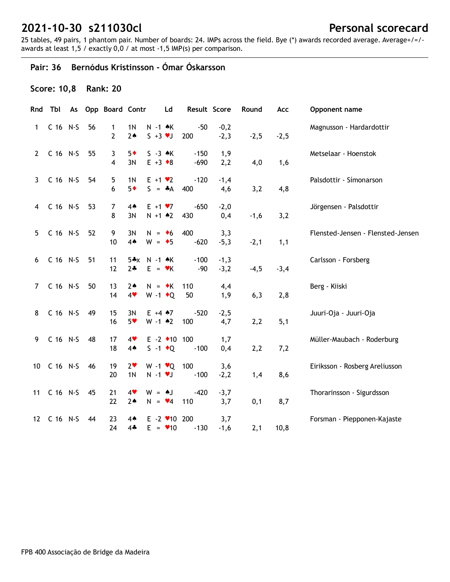25 tables, 49 pairs, 1 phantom pair. Number of boards: 24. IMPs across the field. Bye (\*) awards recorded average. Average+/=/ awards at least 1,5 / exactly 0,0 / at most -1,5 IMP(s) per comparison.

## **Pair: 36 Bernódus Kristinsson - Ómar Óskarsson**

## **Score: 10,8 Rank: 20**

| Rnd            | Tbl        |    | As Opp Board Contr  |                                  |                                         | Ld | Result Score     |                  | Round  | Acc    | Opponent name                     |
|----------------|------------|----|---------------------|----------------------------------|-----------------------------------------|----|------------------|------------------|--------|--------|-----------------------------------|
| $\mathbf{1}$   | C 16 N-S   | 56 | 1<br>$\overline{2}$ | 1 <sub>N</sub><br>$2*$           | $N - 1$ $\star$ K<br>$S + 3 \vee J$     |    | $-50$<br>200     | $-0,2$<br>$-2,3$ | $-2,5$ | $-2,5$ | Magnusson - Hardardottir          |
| $2^{\circ}$    | C 16 N-S   | 55 | $\mathbf{3}$<br>4   | $5*$<br>3N                       | $S - 3 \cdot K$<br>$E + 3 \cdot 8$      |    | $-150$<br>$-690$ | 1,9<br>2,2       | 4,0    | 1,6    | Metselaar - Hoenstok              |
| 3              | C 16 N-S   | 54 | 5<br>6              | 1 <sub>N</sub><br>$5*$           | $E + 1 \cdot 2$<br>$S = A$              |    | $-120$<br>400    | $-1,4$<br>4,6    | 3,2    | 4,8    | Palsdottir - Símonarson           |
| 4              | C 16 N-S   | 53 | 7<br>8              | $4*$<br>3N                       | $E + 1 \cdot 7$<br>$N + 1$ $*2$         |    | $-650$<br>430    | $-2,0$<br>0,4    | $-1,6$ | 3,2    | Jörgensen - Palsdottir            |
| 5              | $C$ 16 N-S | 52 | 9<br>10             | 3N<br>$4*$                       | $N = 6$<br>$W = \bullet 5$              |    | 400<br>$-620$    | 3,3<br>$-5,3$    | $-2,1$ | 1,1    | Flensted-Jensen - Flensted-Jensen |
| 6              | $C$ 16 N-S | 51 | 11<br>12            | $2*$                             | $5*x$ N -1 $k$ K<br>$E = \mathbf{v}K$   |    | $-100$<br>$-90$  | $-1,3$<br>$-3,2$ | $-4,5$ | $-3,4$ | Carlsson - Forsberg               |
| $\overline{7}$ | C 16 N-S   | 50 | 13<br>14            | $2*$<br>4                        | $N = \cdot K$<br>$W - 1$ + Q            |    | 110<br>50        | 4,4<br>1,9       | 6,3    | 2,8    | Berg - Kiiski                     |
| 8              | C 16 N-S   | 49 | 15<br>16            | 3N<br>$5*$                       | $E + 4$ $*7$<br>$W - 1$ $*2$            |    | $-520$<br>100    | $-2,5$<br>4,7    | 2,2    | 5,1    | Juuri-Oja - Juuri-Oja             |
| 9              | C 16 N-S   | 48 | 17<br>18            | 4<br>$4*$                        | $E - 2$ +10 100<br>$S -1$ $\bullet Q$   |    | $-100$           | 1,7<br>0,4       | 2,2    | 7,2    | Müller-Maubach - Roderburg        |
| 10             | $C$ 16 N-S | 46 | 19<br>20            | 2 <sub>v</sub><br>1 <sub>N</sub> | W -1 <b>v</b> Q 100<br>$N - 1$ $\vee$ J |    | $-100$           | 3,6<br>$-2,2$    | 1,4    | 8,6    | Eiriksson - Rosberg Areliusson    |
| 11             | $C$ 16 N-S | 45 | 21<br>22            | 4<br>$2*$                        | $W = AJ$<br>$N = \bullet 4$             |    | $-420$<br>110    | $-3,7$<br>3,7    | 0,1    | 8,7    | Thorarinsson - Sigurdsson         |
| 12             | $C$ 16 N-S | 44 | 23<br>24            | 4▲<br>$4 -$                      | $E - 2$ / 10 200<br>$E = \bullet 10$    |    | $-130$           | 3,7<br>$-1,6$    | 2,1    | 10,8   | Forsman - Piepponen-Kajaste       |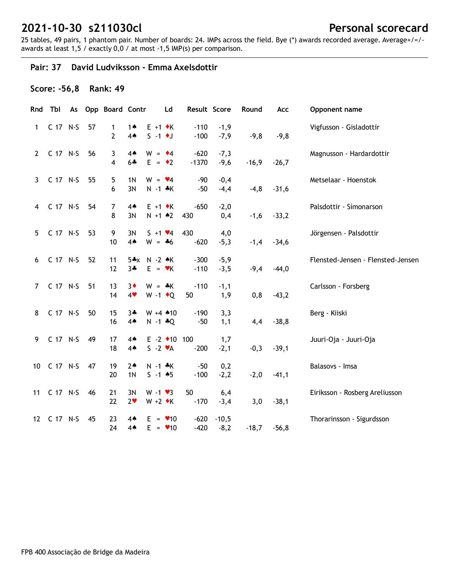25 tables, 49 pairs, 1 phantom pair. Number of boards: 24. IMPs across the field. Bye (\*) awards recorded average. Average+/=/ awards at least 1,5 / exactly 0,0 / at most -1,5 IMP(s) per comparison.

#### **Pair: 37 David Ludviksson - Emma Axelsdottir**

### **Score: -56,8 Rank: 49**

| Rnd             | Tbl      |    | As Opp Board Contr  |                        | Ld                                                | Result Score      |                   | Round   | Acc     | Opponent name                     |
|-----------------|----------|----|---------------------|------------------------|---------------------------------------------------|-------------------|-------------------|---------|---------|-----------------------------------|
| 1               | C 17 N-S | 57 | 1<br>$\overline{2}$ | 1▲<br>$4*$             | $E + 1 \cdot K$<br>$S - 1$ $\bullet$ J            | $-110$<br>$-100$  | $-1,9$<br>$-7,9$  | $-9,8$  | $-9,8$  | Vigfusson - Gisladottir           |
| $\mathbf{2}$    | C 17 N-S | 56 | 3<br>4              | $4*$<br>6*             | $W = 4$<br>$E = \cdot 2$                          | $-620$<br>$-1370$ | $-7,3$<br>$-9,6$  | $-16,9$ | $-26,7$ | Magnusson - Hardardottir          |
| 3               | C 17 N-S | 55 | 5<br>6              | 1N<br>3N               | $W = \blacktriangleright 4$<br>$N - 1$ $*$ K      | $-90$<br>$-50$    | $-0,4$<br>$-4,4$  | $-4,8$  | $-31,6$ | Metselaar - Hoenstok              |
| 4               | C 17 N-S | 54 | 7<br>8              | 4♠<br>3N               | $E + 1 \cdot K$<br>$N + 1$ $*2$                   | $-650$<br>430     | $-2,0$<br>0,4     | $-1,6$  | $-33,2$ | Palsdottir - Símonarson           |
| 5               | C 17 N-S | 53 | 9<br>10             | 3N<br>$4*$             | $S + 1 \cdot 4$<br>$W = -6$                       | 430<br>$-620$     | 4,0<br>$-5,3$     | $-1,4$  | $-34,6$ | Jörgensen - Palsdottir            |
| 6               | C 17 N-S | 52 | 11<br>12            | $3*$                   | 5*x N -2 *K<br>$E = \mathbf{v}K$                  | $-300$<br>$-110$  | $-5,9$<br>$-3,5$  | $-9,4$  | $-44,0$ | Flensted-Jensen - Flensted-Jensen |
| $\overline{7}$  | C 17 N-S | 51 | 13<br>14            | $3\bullet$<br>4        | $W = *K$<br>$W - 1$ $\bullet Q$                   | $-110$<br>50      | $-1,1$<br>1,9     | 0,8     | $-43,2$ | Carlsson - Forsberg               |
| 8               | C 17 N-S | 50 | 15<br>16            | $3+$<br>$4*$           | $W + 4$ $*10$<br>$N - 1 * Q$                      | $-190$<br>$-50$   | 3,3<br>1,1        | 4,4     | $-38,8$ | Berg - Kiiski                     |
| 9               | C 17 N-S | 49 | 17<br>18            | 4♠<br>$4*$             | $E - 2$ $\triangleleft 10$ 100<br>$S - 2 \cdot A$ | $-200$            | 1,7<br>$-2,1$     | $-0,3$  | $-39,1$ | Juuri-Oja - Juuri-Oja             |
| 10              | C 17 N-S | 47 | 19<br>20            | $2*$<br>1 <sub>N</sub> | $N - 1$ $*$ K<br>$S - 1$ 45                       | $-50$<br>$-100$   | 0,2<br>$-2,2$     | $-2,0$  | $-41,1$ | Balasovs - Imsa                   |
| 11              | C 17 N-S | 46 | 21<br>22            | 3N<br>2 <sub>v</sub>   | $W - 1 \cdot 3$<br>$W + 2 \cdot K$                | 50<br>$-170$      | 6,4<br>$-3,4$     | 3,0     | $-38,1$ | Eiriksson - Rosberg Areliusson    |
| 12 <sup>2</sup> | C 17 N-S | 45 | 23<br>24            | $4*$<br>$4*$           | $E = 10$<br>$E = \bullet 10$                      | $-620$<br>$-420$  | $-10,5$<br>$-8,2$ | $-18,7$ | $-56,8$ | Thorarinsson - Sigurdsson         |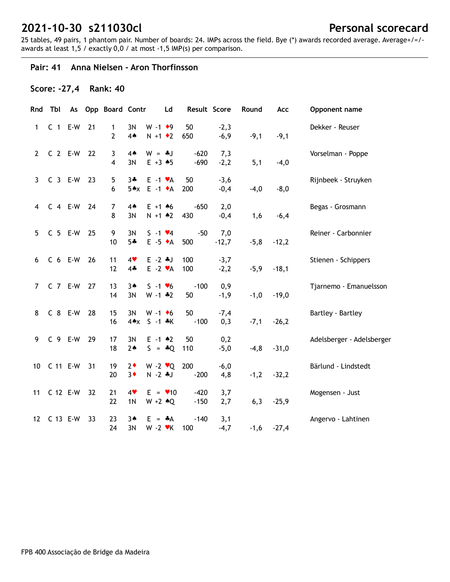25 tables, 49 pairs, 1 phantom pair. Number of boards: 24. IMPs across the field. Bye (\*) awards recorded average. Average+/=/ awards at least 1,5 / exactly 0,0 / at most -1,5 IMP(s) per comparison.

#### **Pair: 41 Anna Nielsen - Aron Thorfinsson**

#### **Score: -27,4 Rank: 40**

|              | Rnd Tbl        |           |    | As Opp Board Contr |                 |                            | Ld                      | Result Score |         | Round  | Acc     | Opponent name             |
|--------------|----------------|-----------|----|--------------------|-----------------|----------------------------|-------------------------|--------------|---------|--------|---------|---------------------------|
| 1            |                | $C$ 1 E-W | 21 | $\mathbf{1}$       | 3N              | $W - 1$ + 9                |                         | 50           | $-2,3$  |        |         | Dekker - Reuser           |
|              |                |           |    | $\overline{2}$     | 4A              | $N + 1$ $\bullet$ 2        |                         | 650          | $-6,9$  | $-9,1$ | $-9,1$  |                           |
| $\mathbf{2}$ | C 2 E-W 22     |           |    | 3                  | $4*$            | $W = -1$                   |                         | $-620$       | 7,3     |        |         | Vorselman - Poppe         |
|              |                |           |    | 4                  | 3N              | $E + 3 \cdot 5$            |                         | $-690$       | $-2,2$  | 5,1    | $-4,0$  |                           |
| $\mathbf{3}$ | C 3 E-W 23     |           |    | 5                  |                 | $3 - E - 1$ $\forall A$    |                         | 50           | $-3,6$  |        |         | Rijnbeek - Struyken       |
|              |                |           |    | 6                  |                 | $5 \cdot x$ E -1 $\cdot$ A |                         | 200          | $-0,4$  | $-4,0$ | $-8,0$  |                           |
|              | 4 C 4 E-W 24   |           |    | $\overline{7}$     | $4*$            | $E + 1 + 6$                |                         | $-650$       | 2,0     |        |         | Begas - Grosmann          |
|              |                |           |    | 8                  | 3N              | $N + 1$ $*2$               |                         | 430          | $-0,4$  | 1,6    | $-6,4$  |                           |
| 5            | C 5 E-W 25     |           |    | 9                  | 3N              | $S - 1$ $\vee 4$           |                         | $-50$        | 7,0     |        |         | Reiner - Carbonnier       |
|              |                |           |    | 10                 | $5 -$           | $E - 5 \cdot A$            |                         | 500          | $-12,7$ | $-5,8$ | $-12,2$ |                           |
| 6            | C 6 E-W 26     |           |    | 11                 | 4               | $E - 2$ $*$ J              |                         | 100          | $-3,7$  |        |         | Stienen - Schippers       |
|              |                |           |    | 12                 | $4 -$           | $E -2 \cdot A$             |                         | 100          | $-2,2$  | $-5,9$ | $-18,1$ |                           |
| 7            | C 7 E-W 27     |           |    | 13                 | $3*$            | $S - 1$ $\vee 6$           |                         | $-100$       | 0,9     |        |         | Tjarnemo - Emanuelsson    |
|              |                |           |    | 14                 | 3N              | $W - 1 * 2$                |                         | 50           | $-1,9$  | $-1,0$ | $-19,0$ |                           |
| 8            | C 8 E-W 28     |           |    | 15                 | 3N              | $W - 1$ +6                 |                         | 50           | $-7,4$  |        |         | Bartley - Bartley         |
|              |                |           |    | 16                 | $4 \triangle x$ | $S - 1$ $*K$               |                         | $-100$       | 0,3     | $-7,1$ | $-26,2$ |                           |
| 9            | C 9 E-W 29     |           |    | 17                 | 3N              | $E - 1$ $*2$               |                         | 50           | 0,2     |        |         | Adelsberger - Adelsberger |
|              |                |           |    | 18                 | $2*$            |                            | $S = \triangle Q$       | 110          | $-5,0$  | $-4,8$ | $-31,0$ |                           |
|              | 10 C 11 E-W 31 |           |    | 19                 | $2\bullet$      |                            | W -2 $\mathbf{v}$ Q 200 |              | $-6,0$  |        |         | Bärlund - Lindstedt       |
|              |                |           |    | 20                 | $3\bullet$      | $N - 2$ $\clubsuit$ J      |                         | $-200$       | 4,8     | $-1,2$ | $-32,2$ |                           |
| 11           | C 12 E-W 32    |           |    | 21                 | 4               |                            | $E = \bullet 10$        | $-420$       | 3,7     |        |         | Mogensen - Just           |
|              |                |           |    | 22                 | 1 <sub>N</sub>  |                            | $W + 2 \cdot Q$         | $-150$       | 2,7     | 6,3    | $-25,9$ |                           |
|              | 12 C 13 E-W    |           | 33 | 23                 | $3*$            | $E = A$                    |                         | $-140$       | 3,1     |        |         | Angervo - Lahtinen        |
|              |                |           |    | 24                 | 3N              | $W - 2$ $\cdot$ K          |                         | 100          | $-4,7$  | $-1,6$ | $-27,4$ |                           |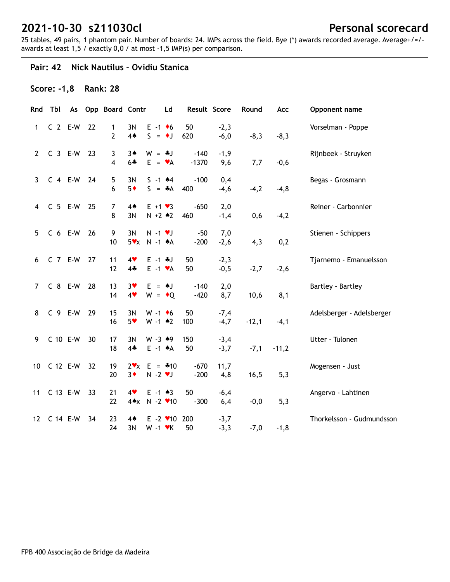25 tables, 49 pairs, 1 phantom pair. Number of boards: 24. IMPs across the field. Bye (\*) awards recorded average. Average+/=/ awards at least 1,5 / exactly 0,0 / at most -1,5 IMP(s) per comparison.

#### **Pair: 42 Nick Nautilus - Ovidiu Stanica**

## **Score: -1,8 Rank: 28**

| Rnd             | Tbl       | As |    | <b>Opp Board Contr</b> |                      | Ld                                                 | Result Score      |                  | Round   | Acc     | Opponent name             |
|-----------------|-----------|----|----|------------------------|----------------------|----------------------------------------------------|-------------------|------------------|---------|---------|---------------------------|
| 1               | $C$ 2 E-W |    | 22 | 1<br>2                 | 3N<br>4A             | $E - 1 + 6$<br>$S = \bullet J$                     | 50<br>620         | $-2,3$<br>$-6,0$ | $-8,3$  | $-8,3$  | Vorselman - Poppe         |
| $2^{\circ}$     | $C_3$ E-W |    | 23 | 3<br>4                 | $3*$<br>$6 +$        | $W = *J$<br>$E = \mathbf{v}A$                      | $-140$<br>$-1370$ | $-1,9$<br>9,6    | 7,7     | $-0,6$  | Rijnbeek - Struyken       |
| 3               | $C$ 4 E-W |    | 24 | 5<br>6                 | 3N<br>$5*$           | $S - 1$ 44<br>$S = A$                              | $-100$<br>400     | 0,4<br>$-4,6$    | $-4,2$  | $-4, 8$ | Begas - Grosmann          |
| $\overline{4}$  | $C$ 5 E-W |    | 25 | 7<br>8                 | $4*$<br>3N           | $E + 1 \cdot 3$<br>$N + 2 * 2$                     | $-650$<br>460     | 2,0<br>$-1,4$    | 0,6     | $-4,2$  | Reiner - Carbonnier       |
| 5 <sup>5</sup>  | $C$ 6 E-W |    | 26 | 9<br>10                | 3N<br>$5 \vee x$     | $N - 1$ $\vee$ J<br>$N - 1$ $A$                    | $-50$<br>$-200$   | 7,0<br>$-2,6$    | 4,3     | 0,2     | Stienen - Schippers       |
| 6               | C 7 E-W   |    | 27 | 11<br>12               | 4<br>$4\cdot$        | $E - 1 + J$<br>$E -1$ $\forall A$                  | 50<br>50          | $-2,3$<br>$-0,5$ | $-2,7$  | $-2,6$  | Tjarnemo - Emanuelsson    |
| $\overline{7}$  | C 8 E-W   |    | 28 | 13<br>14               | $3*$<br>4            | $E = AJ$<br>$W = \cdot Q$                          | $-140$<br>$-420$  | 2,0<br>8,7       | 10,6    | 8,1     | Bartley - Bartley         |
| 8               | C 9 E-W   |    | 29 | 15<br>16               | 3N<br>$5*$           | $W - 1$ +6<br>$W - 1$ $*2$                         | 50<br>100         | $-7,4$<br>$-4,7$ | $-12,1$ | $-4,1$  | Adelsberger - Adelsberger |
| 9               | C 10 E-W  |    | 30 | 17<br>18               | 3N<br>$4*$           | $W - 3 * 9$<br>$E -1$ $A$                          | 150<br>50         | $-3,4$<br>$-3,7$ | $-7,1$  | $-11,2$ | Utter - Tulonen           |
| 10              | C 12 E-W  |    | 32 | 19<br>20               | $2 \cdot x$<br>$3*$  | $E = 410$<br>$N - 2$ $\blacktriangledown$          | $-670$<br>$-200$  | 11,7<br>4,8      | 16,5    | 5,3     | Mogensen - Just           |
| 11              | C 13 E-W  |    | 33 | 21<br>22               | 4<br>$4 \triangle x$ | $E - 1 \cdot 3$<br>$N - 2$ $\blacktriangledown$ 10 | 50<br>$-300$      | $-6,4$<br>6,4    | $-0,0$  | 5,3     | Angervo - Lahtinen        |
| 12 <sup>2</sup> | C 14 E-W  |    | 34 | 23<br>24               | $4*$<br>3N           | $E - 2$ / 10 200<br>$W - 1$ $\forall$ K            | 50                | $-3,7$<br>$-3,3$ | $-7,0$  | $-1, 8$ | Thorkelsson - Gudmundsson |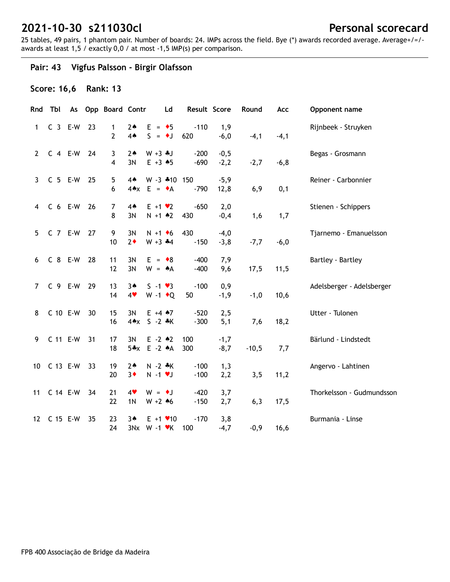25 tables, 49 pairs, 1 phantom pair. Number of boards: 24. IMPs across the field. Bye (\*) awards recorded average. Average+/=/ awards at least 1,5 / exactly 0,0 / at most -1,5 IMP(s) per comparison.

## **Pair: 43 Vigfus Palsson - Birgir Olafsson**

### **Score: 16,6 Rank: 13**

| Rnd            | Tbl         |    | As Opp Board Contr |                         | Ld                                                         | Result Score     |                  | Round   | Acc     | Opponent name             |
|----------------|-------------|----|--------------------|-------------------------|------------------------------------------------------------|------------------|------------------|---------|---------|---------------------------|
| 1              | $C_3$ E-W   | 23 | 1<br>2             | $2*$<br>4A              | $E = \bullet 5$<br>$S = \bullet J$                         | $-110$<br>620    | 1,9<br>$-6,0$    | $-4,1$  | $-4,1$  | Rijnbeek - Struyken       |
| $2^{\circ}$    | $C$ 4 E-W   | 24 | 3<br>4             | $2*$<br>3N              | $W + 3 + J$<br>$E + 3 \cdot 5$                             | $-200$<br>$-690$ | $-0,5$<br>$-2,2$ | $-2,7$  | $-6, 8$ | Begas - Grosmann          |
| 3              | $C5 E-W$    | 25 | 5<br>6             | $4*$<br>$4 \triangle x$ | W -3 *10 150<br>$E = \bullet A$                            | $-790$           | $-5,9$<br>12,8   | 6,9     | 0,1     | Reiner - Carbonnier       |
| $\overline{4}$ | $C6 E-W$    | 26 | 7<br>8             | $4*$<br>3N              | $E + 1 \cdot 2$<br>$N + 1$ $*2$                            | $-650$<br>430    | 2,0<br>$-0,4$    | 1,6     | 1,7     | Stienen - Schippers       |
| 5              | $C$ 7 E-W   | 27 | 9<br>10            | 3N<br>$2*$              | $N + 1$ + 6<br>$W + 3 + 4$                                 | 430<br>$-150$    | $-4,0$<br>$-3,8$ | $-7,7$  | $-6,0$  | Tjarnemo - Emanuelsson    |
| 6              | C 8 E-W     | 28 | 11<br>12           | 3N<br>3N                | $E = \cdot 8$<br>$W = A$                                   | $-400$<br>$-400$ | 7,9<br>9,6       | 17,5    | 11,5    | Bartley - Bartley         |
| $\overline{7}$ | C 9 E-W     | 29 | 13<br>14           | $3*$<br>4               | $S - 1 \cdot 3$<br>W -1 $\bullet$ Q                        | $-100$<br>50     | 0,9<br>$-1,9$    | $-1,0$  | 10,6    | Adelsberger - Adelsberger |
| 8              | C 10 E-W    | 30 | 15<br>16           | 3N<br>$4 \triangle x$   | $E + 4 \cdot 7$<br>$S - 2 * K$                             | $-520$<br>$-300$ | 2,5<br>5,1       | 7,6     | 18,2    | Utter - Tulonen           |
| 9              | C 11 E-W    | 31 | 17<br>18           | 3N                      | $E - 2$ $*2$<br>5*x E -2 *A                                | 100<br>300       | $-1,7$<br>$-8,7$ | $-10,5$ | 7,7     | Bärlund - Lindstedt       |
| 10             | C 13 E-W    | 33 | 19<br>20           | $2*$<br>$3*$            | $N - 2$ $*K$<br>$N - 1$ $\vee$ J                           | $-100$<br>$-100$ | 1,3<br>2,2       | 3, 5    | 11,2    | Angervo - Lahtinen        |
| 11             | C 14 E-W    | 34 | 21<br>22           | 4<br>1 <sub>N</sub>     | $W = \bullet J$<br>$W + 2 * 6$                             | $-420$<br>$-150$ | 3,7<br>2,7       | 6,3     | 17,5    | Thorkelsson - Gudmundsson |
|                | 12 C 15 E-W | 35 | 23<br>24           | $3*$                    | $E + 1$ $\times$ 10<br>$3Nx$ W -1 $\nblacktriangleright$ K | $-170$<br>100    | 3,8<br>$-4,7$    | $-0,9$  | 16, 6   | Burmania - Linse          |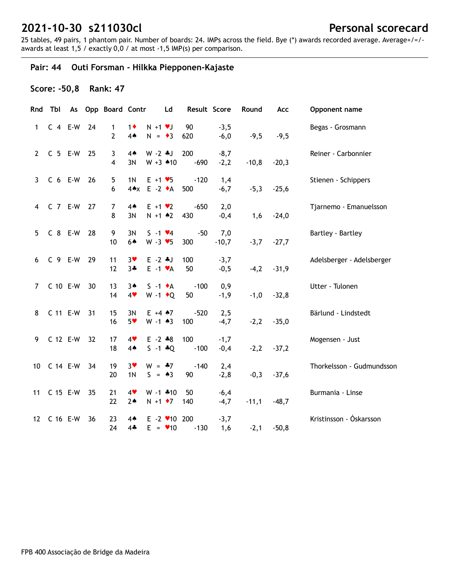25 tables, 49 pairs, 1 phantom pair. Number of boards: 24. IMPs across the field. Bye (\*) awards recorded average. Average+/=/ awards at least 1,5 / exactly 0,0 / at most -1,5 IMP(s) per comparison.

## **Pair: 44 Outi Forsman - Hilkka Piepponen-Kajaste**

#### **Score: -50,8 Rank: 47**

|                | Rnd Tbl     |    | As Opp Board Contr  |                        | Ld                                          | Result Score  |                  | Round   | Acc     | Opponent name             |
|----------------|-------------|----|---------------------|------------------------|---------------------------------------------|---------------|------------------|---------|---------|---------------------------|
| $\mathbf{1}$   | $C$ 4 E-W   | 24 | 1<br>$\overline{2}$ | $1\bullet$<br>4A       | $N + 1$ vJ<br>$N = \bullet 3$               | 90<br>620     | $-3,5$<br>$-6,0$ | $-9,5$  | $-9,5$  | Begas - Grosmann          |
| $2^{\circ}$    | $C$ 5 E-W   | 25 | 3<br>4              | $4*$<br>3N             | $W - 2$ $\ast J$<br>$W + 3$ 410             | 200<br>$-690$ | $-8,7$<br>$-2,2$ | $-10,8$ | $-20,3$ | Reiner - Carbonnier       |
| $\mathbf{3}$   | $C6 E-W$    | 26 | 5<br>6              | 1 <sub>N</sub>         | $E + 1 \cdot 5$<br>4*x E -2 +A              | $-120$<br>500 | 1,4<br>$-6,7$    | $-5,3$  | $-25,6$ | Stienen - Schippers       |
|                | 4 C 7 E-W   | 27 | $\overline{7}$<br>8 | $4*$<br>3N             | $E + 1 \cdot 2$<br>$N + 1$ $*2$             | $-650$<br>430 | 2,0<br>$-0,4$    | 1,6     | $-24,0$ | Tjarnemo - Emanuelsson    |
| 5 <sup>1</sup> | C 8 E-W     | 28 | 9<br>10             | 3N<br>64               | $S - 1$ $\vee 4$<br>$W - 3 \times 5$        | $-50$<br>300  | 7,0<br>$-10,7$   | $-3,7$  | $-27,7$ | Bartley - Bartley         |
| 6              | C 9 E-W     | 29 | 11<br>12            | $3*$<br>$3 +$          | $E - 2$ $*J$<br>$E -1$ $\forall A$          | 100<br>50     | $-3,7$<br>$-0,5$ | $-4,2$  | $-31,9$ | Adelsberger - Adelsberger |
| $7^{\circ}$    | C 10 E-W    | 30 | 13<br>14            | $3*$<br>4              | $S -1$ $\bullet$ A<br>$W - 1$ + Q           | $-100$<br>50  | 0,9<br>$-1,9$    | $-1,0$  | $-32,8$ | Utter - Tulonen           |
| 8              | C 11 E-W    | 31 | 15<br>16            | 3N<br>$5*$             | $E + 4$ $*7$<br>$W - 1$ 43                  | $-520$<br>100 | 2,5<br>$-4,7$    | $-2,2$  | $-35,0$ | Bärlund - Lindstedt       |
| 9              | C 12 E-W    | 32 | 17<br>18            | 4<br>$4*$              | $E - 2 * 8$<br>$S - 1 * Q$                  | 100<br>$-100$ | $-1,7$<br>$-0,4$ | $-2,2$  | $-37,2$ | Mogensen - Just           |
|                | 10 C 14 E-W | 34 | 19<br>20            | $3*$<br>1 <sub>N</sub> | $W = -7$<br>$S = \triangle 3$               | $-140$<br>90  | 2,4<br>$-2,8$    | $-0,3$  | $-37,6$ | Thorkelsson - Gudmundsson |
| 11             | C 15 E-W    | 35 | 21<br>22            | 4<br>$2*$              | $W - 1$ $*10$<br>$N + 1$ $\bullet$ 7        | 50<br>140     | $-6,4$<br>$-4,7$ | $-11,1$ | $-48,7$ | Burmania - Linse          |
|                | 12 C 16 E-W | 36 | 23<br>24            | 4▲<br>$4*$             | $E - 2$ $\times$ 10 200<br>$E = \bullet 10$ | $-130$        | $-3,7$<br>1,6    | $-2,1$  | $-50,8$ | Kristinsson - Óskarsson   |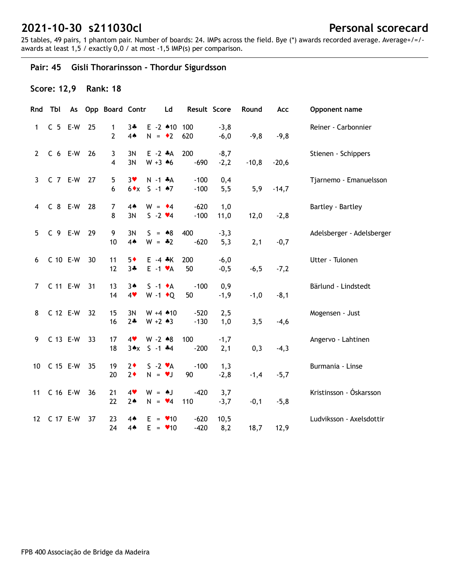25 tables, 49 pairs, 1 phantom pair. Number of boards: 24. IMPs across the field. Bye (\*) awards recorded average. Average+/=/ awards at least 1,5 / exactly 0,0 / at most -1,5 IMP(s) per comparison.

## **Pair: 45 Gisli Thorarinsson - Thordur Sigurdsson**

## **Score: 12,9 Rank: 18**

| Rnd          | Tbl       |    | As Opp Board Contr  |                     | Ld                                   | Result Score     |                  | Round   | Acc     | Opponent name             |
|--------------|-----------|----|---------------------|---------------------|--------------------------------------|------------------|------------------|---------|---------|---------------------------|
| 1            | $C$ 5 E-W | 25 | 1<br>$\overline{2}$ | $3 +$<br>4A         | $E - 2$ 410 100<br>$N = 2$           | 620              | $-3,8$<br>$-6,0$ | $-9,8$  | $-9,8$  | Reiner - Carbonnier       |
| $\mathbf{2}$ | $C$ 6 E-W | 26 | 3<br>4              | 3N<br>3N            | $E -2$ $*A$<br>$W + 3 + 6$           | 200<br>$-690$    | $-8,7$<br>$-2,2$ | $-10,8$ | $-20,6$ | Stienen - Schippers       |
| 3            | $C$ 7 E-W | 27 | 5<br>6              | $3*$<br>$6 \cdot x$ | $N - 1$ $*A$<br>$S - 1$ $A7$         | $-100$<br>$-100$ | 0,4<br>5,5       | 5,9     | $-14,7$ | Tjarnemo - Emanuelsson    |
| 4            | C 8 E-W   | 28 | 7<br>8              | $4*$<br>3N          | $W = \cdot 4$<br>$S - 2 \cdot 4$     | $-620$<br>$-100$ | 1,0<br>11,0      | 12,0    | $-2,8$  | Bartley - Bartley         |
| 5            | C 9 E-W   | 29 | 9<br>10             | 3N<br>$4*$          | $S = *8$<br>$W = -2$                 | 400<br>$-620$    | $-3,3$<br>5,3    | 2,1     | $-0,7$  | Adelsberger - Adelsberger |
| 6            | C 10 E-W  | 30 | 11<br>12            | $5*$<br>$3 +$       | $E - 4$ $*$ K<br>$E -1$ $\forall A$  | 200<br>50        | $-6,0$<br>$-0,5$ | $-6,5$  | $-7,2$  | Utter - Tulonen           |
| $\mathbf{7}$ | C 11 E-W  | 31 | 13<br>14            | $3*$<br>4           | $S -1$ $\star$ A<br>$W - 1$ + Q      | $-100$<br>50     | 0,9<br>$-1,9$    | $-1,0$  | $-8,1$  | Bärlund - Lindstedt       |
| 8            | C 12 E-W  | 32 | 15<br>16            | 3N<br>$2*$          | $W + 4$ $*10$<br>$W + 2 \cdot 3$     | $-520$<br>$-130$ | 2,5<br>1,0       | 3,5     | $-4,6$  | Mogensen - Just           |
| 9            | C 13 E-W  | 33 | 17<br>18            | 4<br>$3 \star x$    | $W - 2 * 8$<br>$S - 1$ $*4$          | 100<br>$-200$    | $-1,7$<br>2,1    | 0,3     | $-4,3$  | Angervo - Lahtinen        |
| 10           | C 15 E-W  | 35 | $19$<br>20          | $2\bullet$<br>$2*$  | $S - 2 \cdot A$<br>$N = VJ$          | $-100$<br>90     | 1,3<br>$-2,8$    | $-1,4$  | $-5,7$  | Burmania - Linse          |
| 11           | C 16 E-W  | 36 | 21<br>22            | 4<br>$2*$           | $W = AJ$<br>$N = \bullet 4$          | $-420$<br>110    | 3,7<br>$-3,7$    | $-0,1$  | $-5,8$  | Kristinsson - Óskarsson   |
| 12           | C 17 E-W  | 37 | 23<br>24            | $4*$<br>$4*$        | $E = \bullet 10$<br>$E = \bullet 10$ | $-620$<br>$-420$ | 10,5<br>8,2      | 18,7    | 12,9    | Ludviksson - Axelsdottir  |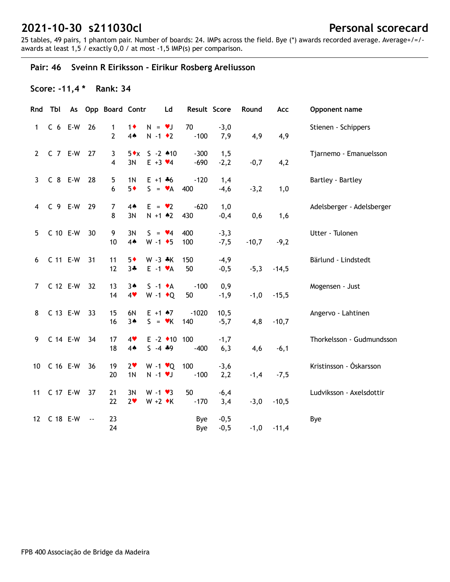25 tables, 49 pairs, 1 phantom pair. Number of boards: 24. IMPs across the field. Bye (\*) awards recorded average. Average+/=/ awards at least 1,5 / exactly 0,0 / at most -1,5 IMP(s) per comparison.

## **Pair: 46 Sveinn R Eiriksson - Eirikur Rosberg Areliusson**

## **Score: -11,4 \* Rank: 34**

|                 | Rnd Tbl   |           | As Opp Board Contr             |                                  | Ld                                            | Result Score     |                  | Round   | Acc     | Opponent name             |
|-----------------|-----------|-----------|--------------------------------|----------------------------------|-----------------------------------------------|------------------|------------------|---------|---------|---------------------------|
| $\mathbf{1}$    | $C6 E-W$  | 26        | $\mathbf{1}$<br>$\overline{2}$ | $1\bullet$<br>4A                 | $N = \bullet J$<br>$N - 1$ $\bullet$ 2        | 70<br>$-100$     | $-3,0$<br>7,9    | 4,9     | 4,9     | Stienen - Schippers       |
| $2^{\circ}$     | $C$ 7 E-W | 27        | 3<br>4                         | $5 \cdot x$<br>3N                | $S - 2 * 10$<br>$E + 3 \times 4$              | $-300$<br>$-690$ | 1,5<br>$-2,2$    | $-0,7$  | 4,2     | Tjarnemo - Emanuelsson    |
| 3               | C 8 E-W   | 28        | 5<br>6                         | 1 <sub>N</sub><br>$5*$           | $E + 1 + 6$<br>$S = \mathbf{v}A$              | $-120$<br>400    | 1,4<br>$-4,6$    | $-3,2$  | 1,0     | Bartley - Bartley         |
| $\overline{4}$  | C 9 E-W   | 29        | 7<br>8                         | $4*$<br>3N                       | $E = \bullet 2$<br>$N + 1$ $*2$               | $-620$<br>430    | 1,0<br>$-0,4$    | 0,6     | 1,6     | Adelsberger - Adelsberger |
| 5               | C 10 E-W  | 30        | 9<br>10                        | 3N<br>4A                         | $S = \bullet 4$<br>$W - 1$ + 5                | 400<br>100       | $-3,3$<br>$-7,5$ | $-10,7$ | $-9,2$  | Utter - Tulonen           |
| 6               | C 11 E-W  | 31        | 11<br>12                       | $5*$<br>$3 +$                    | $W - 3 * K$<br>$E - 1$ $\forall A$            | 150<br>50        | $-4,9$<br>$-0,5$ | $-5,3$  | $-14,5$ | Bärlund - Lindstedt       |
| $7^{\circ}$     | C 12 E-W  | 32        | 13<br>14                       | $3*$<br>4                        | $S -1$ $\bullet$ A<br>W -1 $\bullet$ Q        | $-100$<br>50     | 0,9<br>$-1,9$    | $-1,0$  | $-15,5$ | Mogensen - Just           |
| 8               | C 13 E-W  | 33        | 15<br>16                       | 6N<br>$3*$                       | $E + 1$ $*7$<br>$S = \mathbf{v}K$             | $-1020$<br>140   | 10,5<br>$-5,7$   | 4,8     | $-10,7$ | Angervo - Lahtinen        |
| 9               | C 14 E-W  | 34        | 17<br>18                       | 4<br>$4*$                        | $E - 2$ $\triangleleft 10$ 100<br>$5 - 4 * 9$ | $-400$           | $-1,7$<br>6,3    | 4,6     | $-6,1$  | Thorkelsson - Gudmundsson |
| 10 <sup>1</sup> | C 16 E-W  | 36        | 19<br>20                       | 2 <sub>v</sub><br>1 <sub>N</sub> | $W - 1$ $\vee Q$<br>$N - 1$ $V$               | 100<br>$-100$    | $-3,6$<br>2,2    | $-1,4$  | $-7,5$  | Kristinsson - Óskarsson   |
| 11              | C 17 E-W  | 37        | 21<br>22                       | 3N<br>2 <sub>v</sub>             | $W - 1 \cdot 3$<br>$W + 2 \cdot K$            | 50<br>$-170$     | $-6,4$<br>3,4    | $-3,0$  | $-10,5$ | Ludviksson - Axelsdottir  |
| 12 <sup>2</sup> | C 18 E-W  | $\ddotsc$ | 23<br>24                       |                                  |                                               | Bye<br>Bye       | $-0,5$<br>$-0,5$ | $-1,0$  | $-11,4$ | Bye                       |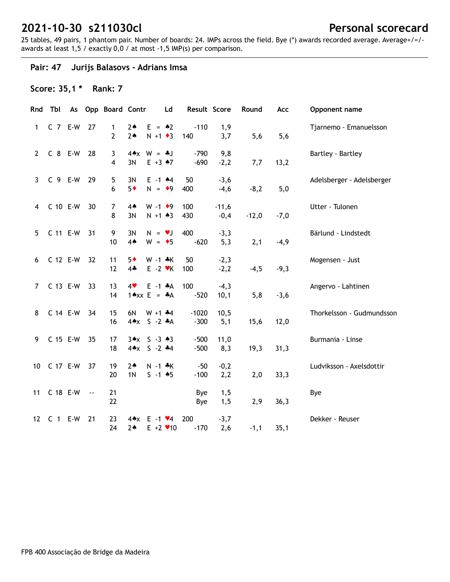25 tables, 49 pairs, 1 phantom pair. Number of boards: 24. IMPs across the field. Bye (\*) awards recorded average. Average+/=/ awards at least 1,5 / exactly 0,0 / at most -1,5 IMP(s) per comparison.

## **Pair: 47 Jurijs Balasovs - Adrians Imsa**

## **Score: 35,1 \* Rank: 7**

| Rnd            | Tbl           |               | As Opp Board Contr  |                                                         | Ld                                             | Result Score      |                   | Round   | Acc    | Opponent name             |
|----------------|---------------|---------------|---------------------|---------------------------------------------------------|------------------------------------------------|-------------------|-------------------|---------|--------|---------------------------|
| 1              | $C$ $7$ $E-W$ | 27            | 1<br>$\overline{2}$ | $2*$<br>2 <sub>•</sub>                                  | $E = \triangle 2$<br>$N + 1$ + 3               | $-110$<br>140     | 1,9<br>3,7        | 5,6     | 5,6    | Tjarnemo - Emanuelsson    |
| $2^{\circ}$    | C 8 E-W       | 28            | 3<br>$\overline{4}$ | $W = -1$<br>$4 \triangle x$<br>3N                       | $E + 3 \cdot 7$                                | $-790$<br>$-690$  | 9,8<br>$-2,2$     | 7,7     | 13,2   | Bartley - Bartley         |
| 3              | $C$ 9 E-W     | 29            | 5<br>6              | 3N<br>$5*$                                              | $E - 1$ $A$<br>$N = 9$                         | 50<br>400         | $-3,6$<br>$-4,6$  | $-8,2$  | 5,0    | Adelsberger - Adelsberger |
| $\overline{4}$ | C 10 E-W      | 30            | 7<br>8              | $4*$<br>3N                                              | $W - 1$ +9<br>$N + 1 \cdot 3$                  | 100<br>430        | $-11,6$<br>$-0,4$ | $-12,0$ | $-7,0$ | Utter - Tulonen           |
| 5 <sup>5</sup> | C 11 E-W      | 31            | 9<br>10             | 3N<br>4A                                                | $N = \nu J$<br>$W = \bullet 5$                 | 400<br>$-620$     | $-3,3$<br>5,3     | 2,1     | $-4,9$ | Bärlund - Lindstedt       |
| 6              | C 12 E-W      | 32            | 11<br>12            | $5*$<br>$4\clubsuit$                                    | $W - 1 * K$<br>$E - 2$ $\blacktriangleright$ K | 50<br>100         | $-2,3$<br>$-2,2$  | $-4,5$  | $-9,3$ | Mogensen - Just           |
| $7^{\circ}$    | C 13 E-W      | 33            | 13<br>14            | 4<br>$1 \triangle x \times E = A$                       | $E -1$ $A$                                     | 100<br>$-520$     | $-4,3$<br>10,1    | 5,8     | $-3,6$ | Angervo - Lahtinen        |
| 8              | C 14 E-W      | 34            | 15<br>16            | 6N<br>$4 \triangle x$                                   | $W + 1 + 4$<br>$S - 2 A$                       | $-1020$<br>$-300$ | 10,5<br>5,1       | 15,6    | 12,0   | Thorkelsson - Gudmundsson |
| 9              | C 15 E-W      | 35            | 17<br>18            | $3 \cdot x$ $5 - 3 \cdot 3$<br>$4 \times 5 - 2 \cdot 4$ |                                                | $-500$<br>$-500$  | 11,0<br>8,3       | 19,3    | 31,3   | Burmania - Linse          |
| 10             | C 17 E-W      | 37            | 19<br>20            | $2*$<br>1 <sub>N</sub>                                  | $N - 1$ $*K$<br>$S - 1$ 45                     | $-50$<br>$-100$   | $-0,2$<br>2,2     | 2,0     | 33,3   | Ludviksson - Axelsdottir  |
| 11             | C 18 E-W      | $\sim$ $\sim$ | 21<br>22            |                                                         |                                                | Bye<br>Bye        | 1,5<br>1,5        | 2,9     | 36,3   | Bye                       |
|                | 12 C 1 E-W    | 21            | 23<br>24            | 4♠x<br>$2*$                                             | $E - 1$ $\vee 4$<br>$E + 2$ $\times$ 10        | 200<br>$-170$     | $-3,7$<br>2,6     | $-1,1$  | 35,1   | Dekker - Reuser           |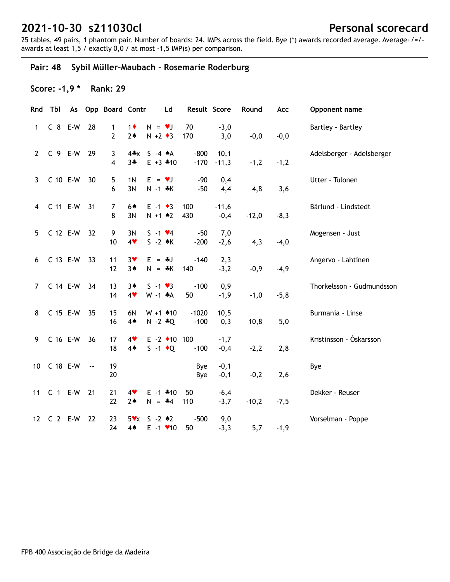25 tables, 49 pairs, 1 phantom pair. Number of boards: 24. IMPs across the field. Bye (\*) awards recorded average. Average+/=/ awards at least 1,5 / exactly 0,0 / at most -1,5 IMP(s) per comparison.

## **Pair: 48 Sybil Müller-Maubach - Rosemarie Roderburg**

## **Score: -1,9 \* Rank: 29**

| Rnd            | Tbl        |               | As Opp Board Contr  |                       | Ld                                          | Result Score      |                   | Round   | Acc    | Opponent name             |
|----------------|------------|---------------|---------------------|-----------------------|---------------------------------------------|-------------------|-------------------|---------|--------|---------------------------|
| 1              | C 8 E-W    | 28            | 1<br>2              | $1\bullet$<br>$2*$    | $N = vJ$<br>$N + 2 \cdot 3$                 | 70<br>170         | $-3,0$<br>3,0     | $-0,0$  | $-0,0$ | Bartley - Bartley         |
| $\mathbf{2}$   | $C$ 9 E-W  | 29            | 3<br>$\overline{4}$ | 4*x<br>$3 +$          | $S -4 A$<br>$E + 3$ $*10$                   | $-800$<br>$-170$  | 10,1<br>$-11,3$   | $-1,2$  | $-1,2$ | Adelsberger - Adelsberger |
| 3              | C 10 E-W   | 30            | 5<br>6              | 1 <sub>N</sub><br>3N  | $E = \nu J$<br>$N - 1$ $*K$                 | $-90$<br>$-50$    | 0,4<br>4,4        | 4,8     | 3,6    | Utter - Tulonen           |
| 4              | C 11 E-W   | 31            | $\overline{7}$<br>8 | 64<br>3N              | $E - 1 \cdot 3$<br>$N + 1$ $*2$             | 100<br>430        | $-11,6$<br>$-0,4$ | $-12,0$ | $-8,3$ | Bärlund - Lindstedt       |
| 5              | C 12 E-W   | 32            | 9<br>10             | 3N<br>4               | $S - 1$ $\vee 4$<br>$S - 2$ $\star$ K       | $-50$<br>$-200$   | 7,0<br>$-2,6$     | 4,3     | $-4,0$ | Mogensen - Just           |
| 6              | C 13 E-W   | 33            | 11<br>12            | $3*$<br>$3*$          | $E = -1$<br>$N = *K$                        | $-140$<br>140     | 2,3<br>$-3,2$     | $-0,9$  | $-4,9$ | Angervo - Lahtinen        |
| $\overline{7}$ | C 14 E-W   | 34            | 13<br>14            | $3*$<br>4             | $S - 1 \cdot 3$<br>$W - 1$ $*A$             | $-100$<br>50      | 0,9<br>$-1,9$     | $-1,0$  | $-5,8$ | Thorkelsson - Gudmundsson |
| 8              | C 15 E-W   | 35            | 15<br>16            | 6N<br>$4*$            | $W + 1$ $*10$<br>$N - 2 * Q$                | $-1020$<br>$-100$ | 10,5<br>0,3       | 10,8    | 5,0    | Burmania - Linse          |
| 9              | C 16 E-W   | 36            | 17<br>18            | 4<br>$4*$             | $E - 2$ $\triangleleft 10$ 100<br>$S -1$ +Q | $-100$            | $-1,7$<br>$-0,4$  | $-2,2$  | 2,8    | Kristinsson - Óskarsson   |
| 10             | C 18 E-W   | $\sim$ $\sim$ | 19<br>20            |                       |                                             | Bye<br>Bye        | $-0,1$<br>$-0,1$  | $-0,2$  | 2,6    | Bye                       |
| 11             | $C$ 1 E-W  | 21            | 21<br>22            | 4<br>$2*$             | $E - 1$ $*10$<br>$N = -4$                   | 50<br>110         | $-6,4$<br>$-3,7$  | $-10,2$ | $-7,5$ | Dekker - Reuser           |
|                | 12 C 2 E-W | 22            | 23<br>24            | $5\mathbf{v}$<br>$4*$ | $S - 2 \cdot 2$<br>$E - 1$ $\vee$ 10        | $-500$<br>50      | 9,0<br>$-3,3$     | 5,7     | $-1,9$ | Vorselman - Poppe         |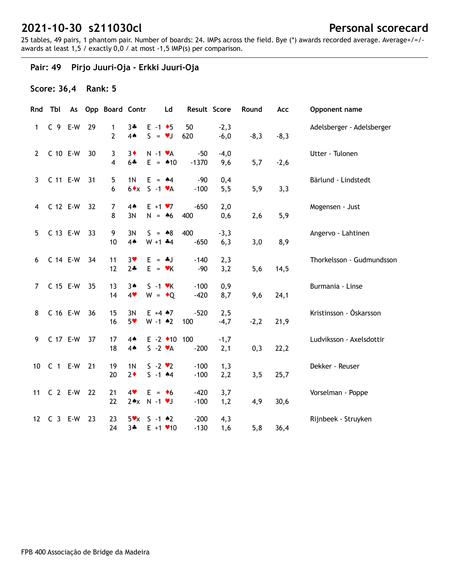25 tables, 49 pairs, 1 phantom pair. Number of boards: 24. IMPs across the field. Bye (\*) awards recorded average. Average+/=/ awards at least 1,5 / exactly 0,0 / at most -1,5 IMP(s) per comparison.

## **Pair: 49 Pirjo Juuri-Oja - Erkki Juuri-Oja**

## **Score: 36,4 Rank: 5**

| Rnd             | Tbl       |    | As Opp Board Contr |                               | Ld                                                | Result Score     |                  | Round  | Acc    | Opponent name             |
|-----------------|-----------|----|--------------------|-------------------------------|---------------------------------------------------|------------------|------------------|--------|--------|---------------------------|
| 1               | $C$ 9 E-W | 29 | 1<br>2             | $3 +$<br>4 <sub>•</sub>       | $E - 1$ + 5<br>$S = \bullet J$                    | 50<br>620        | $-2,3$<br>$-6,0$ | $-8,3$ | $-8,3$ | Adelsberger - Adelsberger |
| $\mathbf{2}$    | C 10 E-W  | 30 | 3<br>4             | $3\bullet$<br>$6 +$           | $N - 1$ $\mathbf{v}$ A<br>$E = 10$                | $-50$<br>$-1370$ | $-4,0$<br>9,6    | 5,7    | $-2,6$ | Utter - Tulonen           |
| 3               | C 11 E-W  | 31 | 5<br>6             | 1 <sub>N</sub><br>$6 \cdot x$ | $E = 44$<br>$S -1$ $\forall A$                    | $-90$<br>$-100$  | 0,4<br>5,5       | 5,9    | 3,3    | Bärlund - Lindstedt       |
| 4               | C 12 E-W  | 32 | 7<br>8             | $4*$<br>3N                    | $E + 1 \cdot 7$<br>$N = 46$                       | $-650$<br>400    | 2,0<br>0,6       | 2,6    | 5,9    | Mogensen - Just           |
| 5               | C 13 E-W  | 33 | 9<br>10            | 3N<br>4 <sub>•</sub>          | $S = *8$<br>$W + 1$ $*4$                          | 400<br>$-650$    | $-3,3$<br>6,3    | 3,0    | 8,9    | Angervo - Lahtinen        |
| 6               | C 14 E-W  | 34 | 11<br>12           | $3*$<br>$2+$                  | $E = -1$<br>$E = vK$                              | $-140$<br>$-90$  | 2,3<br>3,2       | 5,6    | 14,5   | Thorkelsson - Gudmundsson |
| 7               | C 15 E-W  | 35 | 13<br>14           | $3*$<br>4                     | $S - 1$ $\forall$ K<br>$W = \cdot Q$              | $-100$<br>$-420$ | 0,9<br>8,7       | 9,6    | 24,1   | Burmania - Linse          |
| 8               | C 16 E-W  | 36 | 15<br>16           | 3N<br>$5*$                    | $E + 4$ $*7$<br>$W - 1$ $*2$                      | $-520$<br>100    | 2,5<br>$-4,7$    | $-2,2$ | 21,9   | Kristinsson - Óskarsson   |
| 9               | C 17 E-W  | 37 | 17<br>18           | $4*$<br>$4*$                  | $E - 2$ $\triangleleft 10$ 100<br>$S - 2 \cdot A$ | $-200$           | $-1,7$<br>2,1    | 0,3    | 22,2   | Ludviksson - Axelsdottir  |
| 10 <sup>°</sup> | $C_1$ E-W | 21 | 19<br>20           | 1N<br>$2*$                    | $S - 2 \cdot 2$<br>$5 - 1$ $*4$                   | $-100$<br>$-100$ | 1,3<br>2,2       | 3,5    | 25,7   | Dekker - Reuser           |
| 11              | $C2 E-W$  | 22 | 21<br>22           | 4                             | $E = \bullet 6$<br>$2*x$ N -1 $v$ J               | $-420$<br>$-100$ | 3,7<br>1,2       | 4,9    | 30,6   | Vorselman - Poppe         |
| 12              | $C_3$ E-W | 23 | 23<br>24           | $5\mathbf{v} \times$<br>3∻    | $S - 1$ 42<br>$E + 1$ $\times$ 10                 | $-200$<br>$-130$ | 4,3<br>1,6       | 5,8    | 36,4   | Rijnbeek - Struyken       |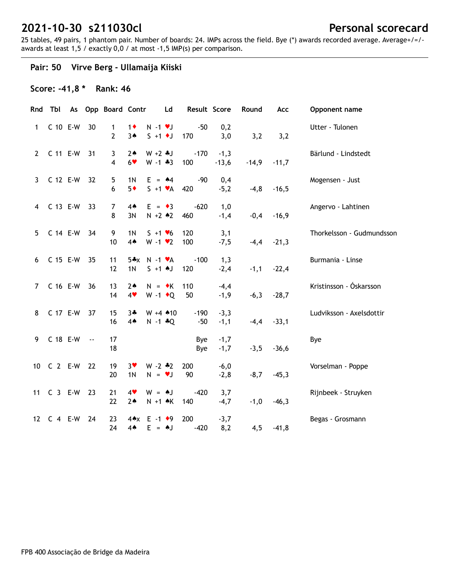25 tables, 49 pairs, 1 phantom pair. Number of boards: 24. IMPs across the field. Bye (\*) awards recorded average. Average+/=/ awards at least 1,5 / exactly 0,0 / at most -1,5 IMP(s) per comparison.

## **Pair: 50 Virve Berg - Ullamaija Kiiski**

## **Score: -41,8 \* Rank: 46**

|                | Rnd Tbl    |               | As Opp Board Contr             |                         | Ld                                          | Result Score    |                   | Round   | Acc     | Opponent name             |
|----------------|------------|---------------|--------------------------------|-------------------------|---------------------------------------------|-----------------|-------------------|---------|---------|---------------------------|
| 1              | C 10 E-W   | 30            | $\mathbf{1}$<br>$\overline{2}$ | $1\bullet$<br>3A        | $N - 1$ $\bullet$ $J$<br>$S + 1$ + J        | $-50$<br>170    | 0,2<br>3,0        | 3,2     | 3,2     | Utter - Tulonen           |
| $2^{\circ}$    | C 11 E-W   | 31            | 3<br>4                         | $2*$<br>$6*$            | $W + 2 + J$<br>$W - 1 * 3$                  | $-170$<br>100   | $-1,3$<br>$-13,6$ | $-14,9$ | $-11,7$ | Bärlund - Lindstedt       |
| $\mathbf{3}$   | C 12 E-W   | 32            | 5<br>6                         | 1 <sub>N</sub><br>$5*$  | $E = 44$<br>$S + 1 \cdot A$                 | $-90$<br>420    | 0,4<br>$-5,2$     | $-4,8$  | $-16,5$ | Mogensen - Just           |
| $\overline{4}$ | C 13 E-W   | 33            | $\overline{7}$<br>8            | $4*$<br>3N              | $E = \cdot 3$<br>$N + 2 \cdot 2$            | $-620$<br>460   | 1,0<br>$-1,4$     | $-0,4$  | $-16,9$ | Angervo - Lahtinen        |
| 5              | C 14 E-W   | 34            | 9<br>10                        | 1 <sub>N</sub><br>4A    | $S + 1 \cdot 6$<br>$W - 1$ $\vee$ 2         | 120<br>100      | 3,1<br>$-7,5$     | $-4,4$  | $-21,3$ | Thorkelsson - Gudmundsson |
| 6              | C 15 E-W   | 35            | 11<br>12                       | $5*x$<br>1 <sub>N</sub> | $N - 1$ $\forall A$<br>$S + 1$ $\uparrow$ J | $-100$<br>120   | 1,3<br>$-2,4$     | $-1,1$  | $-22,4$ | Burmania - Linse          |
| $\overline{7}$ | C 16 E-W   | 36            | 13<br>14                       | 2 <sub>•</sub><br>4     | $N = \cdot K$<br>W -1 $\bullet$ Q           | 110<br>50       | $-4,4$<br>$-1,9$  | $-6,3$  | $-28,7$ | Kristinsson - Óskarsson   |
| 8              | C 17 E-W   | 37            | 15<br>16                       | $3 +$<br>$4*$           | $W + 4$ $*10$<br>$N - 1 * Q$                | $-190$<br>$-50$ | $-3,3$<br>$-1,1$  | $-4,4$  | $-33,1$ | Ludviksson - Axelsdottir  |
| 9              | C 18 E-W   | $\sim$ $\sim$ | 17<br>18                       |                         |                                             | Bye<br>Bye      | $-1,7$<br>$-1,7$  | $-3,5$  | $-36,6$ | Bye                       |
| 10             | $C2 E-W$   | 22            | 19<br>20                       | $3*$<br>1 <sub>N</sub>  | $W - 2 * 2$<br>$N = \nu J$                  | 200<br>90       | $-6,0$<br>$-2,8$  | $-8,7$  | $-45,3$ | Vorselman - Poppe         |
|                | 11 C 3 E-W | 23            | 21<br>22                       | 4<br>$2*$               | $W = AJ$<br>$N + 1$ $\land$ $K$             | $-420$<br>140   | 3,7<br>$-4,7$     | $-1,0$  | $-46,3$ | Rijnbeek - Struyken       |
| 12             | $C$ 4 E-W  | 24            | 23<br>24                       | $4*$                    | $4 \cdot x$ E -1 $\cdot 9$<br>$E = AJ$      | 200<br>$-420$   | $-3,7$<br>8,2     | 4,5     | $-41,8$ | Begas - Grosmann          |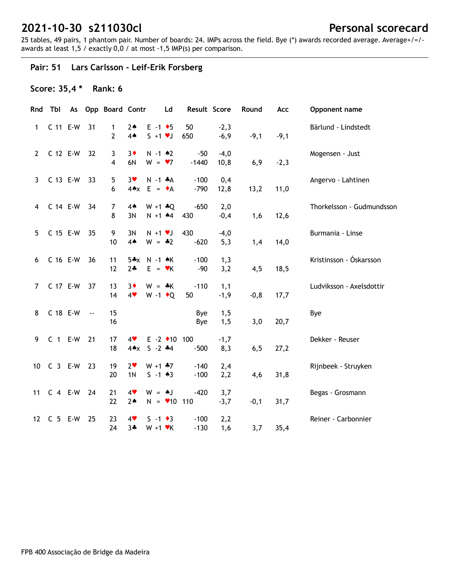25 tables, 49 pairs, 1 phantom pair. Number of boards: 24. IMPs across the field. Bye (\*) awards recorded average. Average+/=/ awards at least 1,5 / exactly 0,0 / at most -1,5 IMP(s) per comparison.

## **Pair: 51 Lars Carlsson - Leif-Erik Forsberg**

## **Score: 35,4 \* Rank: 6**

|                       | Rnd Tbl    |                          | As Opp Board Contr                      |                                   | Ld                                             | Result Score     |                  | Round   | Acc    | Opponent name             |
|-----------------------|------------|--------------------------|-----------------------------------------|-----------------------------------|------------------------------------------------|------------------|------------------|---------|--------|---------------------------|
| 1                     | C 11 E-W   | 31                       | 1<br>$\overline{2}$                     | 2 <sub>•</sub><br>4 <sub>•</sub>  | $E - 1$ + 5<br>$S + 1$ vJ                      | 50<br>650        | $-2,3$<br>$-6,9$ | $-9,1$  | $-9,1$ | Bärlund - Lindstedt       |
| $\mathbf{2}^{\prime}$ | C 12 E-W   | 32                       | $\mathbf{3}$<br>$\overline{\mathbf{4}}$ | $3\bullet$<br>6N                  | $N - 1$ $*2$<br>$W = \bullet 7$                | $-50$<br>$-1440$ | $-4,0$<br>10,8   | 6,9     | $-2,3$ | Mogensen - Just           |
| 3                     | C 13 E-W   | 33                       | 5<br>6                                  | $3*$<br>$4 \cdot x$ E = $\cdot A$ | $N - 1$ $*A$                                   | $-100$<br>$-790$ | 0,4<br>12,8      | 13,2    | 11,0   | Angervo - Lahtinen        |
| 4                     | C 14 E-W   | 34                       | $\overline{7}$<br>8                     | $4*$<br>3N                        | $W + 1 * Q$<br>$N + 1$ $*4$                    | $-650$<br>430    | 2,0<br>$-0,4$    | 1,6     | 12,6   | Thorkelsson - Gudmundsson |
| 5 <sup>5</sup>        | C 15 E-W   | 35                       | 9<br>10                                 | 3N<br>4A                          | $N + 1$ $V$<br>$W = -2$                        | 430<br>$-620$    | $-4,0$<br>5,3    | 1,4     | 14,0   | Burmania - Linse          |
| 6                     | C 16 E-W   | 36                       | 11<br>12                                | $5*x$<br>$2+$                     | $N - 1$ $\star$ K<br>$E = \mathbf{v}K$         | $-100$<br>-90    | 1,3<br>3,2       | 4, 5    | 18,5   | Kristinsson - Óskarsson   |
| $\overline{7}$        | C 17 E-W   | 37                       | 13<br>14                                | $3\bullet$<br>4                   | $W = *K$<br>$W - 1$ + Q                        | $-110$<br>50     | 1,1<br>$-1,9$    | $-0, 8$ | 17,7   | Ludviksson - Axelsdottir  |
| 8                     | C 18 E-W   | $\overline{\phantom{a}}$ | 15<br>16                                |                                   |                                                | Bye<br>Bye       | 1,5<br>1,5       | 3,0     | 20,7   | Bye                       |
| 9                     | $C$ 1 E-W  | 21                       | 17<br>18                                | 4<br>$4 \triangle x$              | $E - 2$ $\triangleleft 10$ 100<br>$S - 2$ $*4$ | $-500$           | $-1,7$<br>8,3    | 6, 5    | 27,2   | Dekker - Reuser           |
|                       | 10 C 3 E-W | 23                       | 19<br>20                                | 2 <sub>v</sub><br>1 <sub>N</sub>  | $W + 1$ $*7$<br>$S - 1 \cdot 3$                | $-140$<br>$-100$ | 2,4<br>2,2       | 4,6     | 31,8   | Rijnbeek - Struyken       |
| 11                    | $C$ 4 E-W  | 24                       | 21<br>22                                | 4<br>2 <sub>•</sub>               | $W = AJ$<br>$N = 10$ 110                       | $-420$           | 3,7<br>$-3,7$    | $-0,1$  | 31,7   | Begas - Grosmann          |
|                       | 12 C 5 E-W | 25                       | 23<br>24                                | 4<br>$3 +$                        | $S - 1$ $\bullet$ 3<br>$W + 1$ $\forall$ K     | $-100$<br>$-130$ | 2,2<br>1,6       | 3,7     | 35,4   | Reiner - Carbonnier       |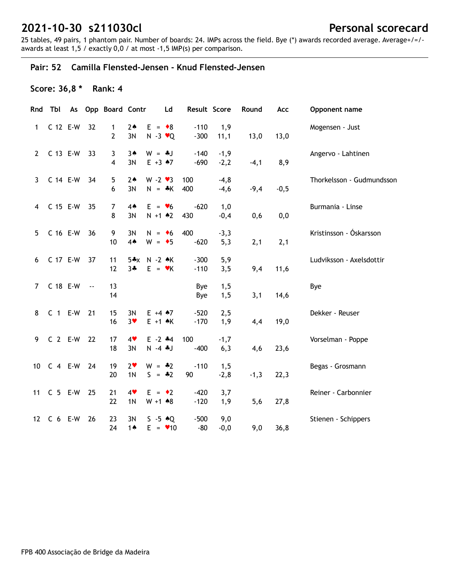25 tables, 49 pairs, 1 phantom pair. Number of boards: 24. IMPs across the field. Bye (\*) awards recorded average. Average+/=/ awards at least 1,5 / exactly 0,0 / at most -1,5 IMP(s) per comparison.

### **Pair: 52 Camilla Flensted-Jensen - Knud Flensted-Jensen**

## **Score: 36,8 \* Rank: 4**

| Rnd                   | Tbl        |               | As Opp Board Contr             |                                  | Ld                                     | Result Score     |                  | Round  | Acc    | Opponent name             |
|-----------------------|------------|---------------|--------------------------------|----------------------------------|----------------------------------------|------------------|------------------|--------|--------|---------------------------|
| 1                     | C 12 E-W   | 32            | $\mathbf{1}$<br>$\overline{2}$ | $2*$<br>3N                       | $E = \bullet 8$<br>$N - 3 \cdot Q$     | $-110$<br>$-300$ | 1,9<br>11,1      | 13,0   | 13,0   | Mogensen - Just           |
| $\mathbf{2}^{\prime}$ | C 13 E-W   | 33            | 3<br>4                         | $3*$<br>3N                       | $W = *J$<br>$E + 3 \cdot 7$            | $-140$<br>$-690$ | $-1,9$<br>$-2,2$ | $-4,1$ | 8,9    | Angervo - Lahtinen        |
| $\mathbf{3}$          | C 14 E-W   | 34            | 5<br>6                         | $2*$<br>3N                       | $W - 2 \cdot 3$<br>$N = *K$            | 100<br>400       | $-4,8$<br>$-4,6$ | $-9,4$ | $-0,5$ | Thorkelsson - Gudmundsson |
| 4                     | C 15 E-W   | 35            | 7<br>8                         | $4*$<br>3N                       | $E = \bullet 6$<br>$N + 1$ $*2$        | $-620$<br>430    | 1,0<br>$-0,4$    | 0,6    | 0,0    | Burmania - Linse          |
| 5                     | C 16 E-W   | 36            | 9<br>10                        | 3N<br>$4*$                       | $N = \bullet 6$<br>$W = \bullet 5$     | 400<br>$-620$    | $-3,3$<br>5,3    | 2,1    | 2,1    | Kristinsson - Óskarsson   |
| 6                     | C 17 E-W   | 37            | 11<br>12                       | $5*x$<br>$3 +$                   | $N - 2$ $\star$ K<br>$E = \mathbf{v}K$ | $-300$<br>$-110$ | 5,9<br>3,5       | 9,4    | 11,6   | Ludviksson - Axelsdottir  |
| $\overline{7}$        | C 18 E-W   | $\sim$ $\sim$ | 13<br>14                       |                                  |                                        | Bye<br>Bye       | 1, 5<br>1,5      | 3,1    | 14,6   | Bye                       |
| 8                     | $C$ 1 E-W  | 21            | 15<br>16                       | 3N<br>$3*$                       | $E + 4 \cdot 7$<br>$E + 1$ $\land$ K   | $-520$<br>$-170$ | 2,5<br>1,9       | 4,4    | 19,0   | Dekker - Reuser           |
| 9                     | $C$ 2 E-W  | 22            | 17<br>18                       | 4<br>3N                          | $E - 2$ $*4$<br>$N - 4$ $J$            | 100<br>$-400$    | $-1,7$<br>6,3    | 4,6    | 23,6   | Vorselman - Poppe         |
| 10 <sup>1</sup>       | $C$ 4 E-W  | 24            | 19<br>20                       | 2 <sub>v</sub><br>1 <sub>N</sub> | $W = -2$<br>$S = -2$                   | $-110$<br>90     | 1,5<br>$-2,8$    | $-1,3$ | 22,3   | Begas - Grosmann          |
| 11                    | $C$ 5 E-W  | 25            | 21<br>22                       | 4<br>1 <sub>N</sub>              | $E = \cdot 2$<br>$W + 1$ $*8$          | $-420$<br>$-120$ | 3,7<br>1,9       | 5,6    | 27,8   | Reiner - Carbonnier       |
|                       | 12 C 6 E-W | 26            | 23<br>24                       | 3N<br>1 $\triangle$              | $S - 5 \cdot Q$<br>$E = 10$            | $-500$<br>$-80$  | 9,0<br>$-0,0$    | 9,0    | 36,8   | Stienen - Schippers       |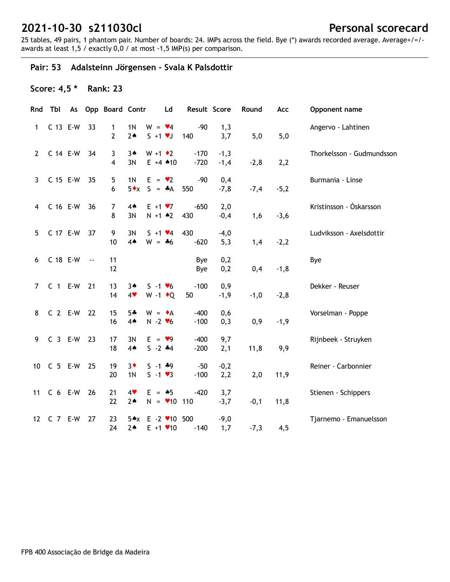25 tables, 49 pairs, 1 phantom pair. Number of boards: 24. IMPs across the field. Bye (\*) awards recorded average. Average+/=/ awards at least 1,5 / exactly 0,0 / at most -1,5 IMP(s) per comparison.

## **Pair: 53 Adalsteinn Jörgensen - Svala K Palsdottir**

## **Score: 4,5 \* Rank: 23**

| Rnd            | Tbl        |               | As Opp Board Contr  |                                  | Ld                                             | Result Score     |                  | Round  | Acc     | Opponent name             |
|----------------|------------|---------------|---------------------|----------------------------------|------------------------------------------------|------------------|------------------|--------|---------|---------------------------|
| 1              | C 13 E-W   | 33            | $\mathbf{1}$<br>2   | 1 <sub>N</sub><br>2 <sub>•</sub> | $W = \blacktriangleright 4$<br>$S + 1 \cdot J$ | $-90$<br>140     | 1,3<br>3,7       | 5,0    | 5,0     | Angervo - Lahtinen        |
| $\mathbf{2}$   | C 14 E-W   | 34            | 3<br>$\overline{4}$ | $3*$<br>3N                       | $W + 1$ $\bullet$ 2<br>$E + 4$ $*10$           | $-170$<br>$-720$ | $-1,3$<br>$-1,4$ | $-2,8$ | 2,2     | Thorkelsson - Gudmundsson |
| $\mathbf{3}$   | C 15 E-W   | 35            | 5<br>6              | 1 <sub>N</sub><br>$5 \cdot x$    | $E = \bullet 2$<br>$S = A$                     | $-90$<br>550     | 0,4<br>$-7,8$    | $-7,4$ | $-5,2$  | Burmania - Linse          |
| 4              | C 16 E-W   | 36            | $\overline{7}$<br>8 | $4*$<br>3N                       | $E + 1 \cdot 7$<br>$N + 1$ $*2$                | $-650$<br>430    | 2,0<br>$-0,4$    | 1,6    | $-3,6$  | Kristinsson - Óskarsson   |
| 5 <sup>5</sup> | C 17 E-W   | 37            | 9<br>10             | 3N<br>4A                         | $S + 1$ $\vee 4$<br>$W = *6$                   | 430<br>$-620$    | $-4,0$<br>5,3    | 1,4    | $-2,2$  | Ludviksson - Axelsdottir  |
| 6              | C 18 E-W   | $\sim$ $\sim$ | 11<br>12            |                                  |                                                | Bye<br>Bye       | 0,2<br>0,2       | 0,4    | $-1, 8$ | Bye                       |
| $7^{\circ}$    | $C_1$ E-W  | 21            | 13<br>14            | $3*$<br>4                        | $S - 1$ $\vee 6$<br>W -1 $\bullet$ Q           | $-100$<br>50     | 0,9<br>$-1,9$    | $-1,0$ | $-2,8$  | Dekker - Reuser           |
| 8              | $C2 E-W$   | 22            | 15<br>16            | $5 -$<br>4A                      | $W = \bullet A$<br>$N - 2$ $\vee 6$            | $-400$<br>$-100$ | 0,6<br>0,3       | 0,9    | $-1,9$  | Vorselman - Poppe         |
| 9              | $C$ 3 E-W  | 23            | 17<br>18            | 3N<br>$4*$                       | $E = \bullet 9$<br>$S - 2 + 4$                 | $-400$<br>$-200$ | 9,7<br>2,1       | 11,8   | 9,9     | Rijnbeek - Struyken       |
| 10             | C 5 E-W    | 25            | 19<br>20            | $3*$<br>1 <sub>N</sub>           | $S - 1$ $*9$<br>$S - 1 \cdot 3$                | $-50$<br>$-100$  | $-0,2$<br>2,2    | 2,0    | 11,9    | Reiner - Carbonnier       |
| 11             | $C6 E-W$   | 26            | 21<br>22            | 4<br>$2*$                        | $E = \triangle 5$<br>$N = 10$ 110              | $-420$           | 3,7<br>$-3,7$    | $-0,1$ | 11,8    | Stienen - Schippers       |
|                | 12 C 7 E-W | 27            | 23<br>24            | $5 \star x$<br>$2*$              | $E - 2$ / 10 500<br>$E + 1$ $\times$ 10        | $-140$           | $-9,0$<br>1,7    | $-7,3$ | 4,5     | Tjarnemo - Emanuelsson    |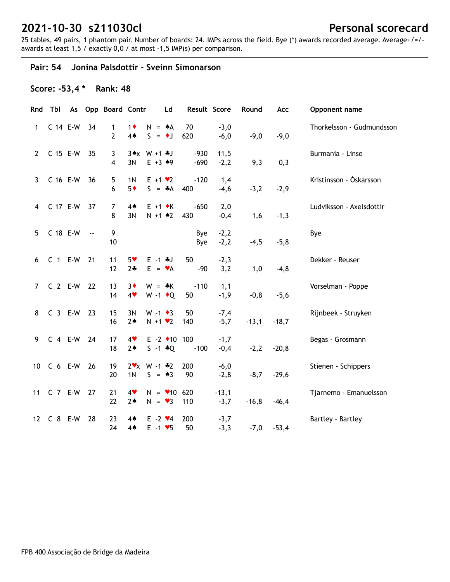25 tables, 49 pairs, 1 phantom pair. Number of boards: 24. IMPs across the field. Bye (\*) awards recorded average. Average+/=/ awards at least 1,5 / exactly 0,0 / at most -1,5 IMP(s) per comparison.

#### **Pair: 54 Jonina Palsdottir - Sveinn Símonarson**

## **Score: -53,4 \* Rank: 48**

|             | Rnd Tbl    |               | As Opp Board Contr  |                        | Ld                                                  |                  | Result Score      | Round   | Acc     | Opponent name             |
|-------------|------------|---------------|---------------------|------------------------|-----------------------------------------------------|------------------|-------------------|---------|---------|---------------------------|
| 1           | C 14 E-W   | 34            | $\mathbf{1}$<br>2   | $1\bullet$<br>4A       | $N = A$<br>$S = \bullet J$                          | 70<br>620        | $-3,0$<br>$-6,0$  | $-9,0$  | $-9,0$  | Thorkelsson - Gudmundsson |
| $2^{\circ}$ | C 15 E-W   | 35            | 3<br>$\overline{4}$ | 3N                     | $3*x W + 1 * J$<br>$E + 3 \cdot 9$                  | $-930$<br>$-690$ | 11,5<br>$-2,2$    | 9,3     | 0,3     | Burmania - Linse          |
| 3           | C 16 E-W   | 36            | 5<br>6              | 1 <sub>N</sub><br>$5*$ | $E + 1 \cdot 2$<br>$S = A$                          | $-120$<br>400    | 1,4<br>$-4,6$     | $-3,2$  | $-2,9$  | Kristinsson - Óskarsson   |
| 4           | C 17 E-W   | 37            | 7<br>8              | $4*$<br>3N             | $E + 1$ $\star$ K<br>$N + 1$ $*2$                   | $-650$<br>430    | 2,0<br>$-0,4$     | 1,6     | $-1,3$  | Ludviksson - Axelsdottir  |
| 5           | C 18 E-W   | $\sim$ $\sim$ | 9<br>10             |                        |                                                     | Bye<br>Bye       | $-2,2$<br>$-2,2$  | $-4,5$  | $-5,8$  | Bye                       |
| 6           | $C$ 1 E-W  | 21            | 11<br>12            | $5*$<br>$2 +$          | $E - 1$ $*J$<br>$E = \mathbf{v}A$                   | 50<br>$-90$      | $-2,3$<br>3,2     | 1,0     | $-4, 8$ | Dekker - Reuser           |
| 7           | $C2 E-W$   | 22            | 13<br>14            | $3\bullet$<br>4        | $W = *K$<br>W -1 $\bullet$ Q                        | $-110$<br>50     | 1,1<br>$-1,9$     | $-0, 8$ | $-5,6$  | Vorselman - Poppe         |
| 8           | $C_3$ E-W  | 23            | 15<br>16            | 3N<br>$2*$             | $W - 1 \cdot 3$<br>$N + 1$ $\vee$ 2                 | 50<br>140        | $-7,4$<br>$-5,7$  | $-13,1$ | $-18,7$ | Rijnbeek - Struyken       |
| 9           | $C$ 4 E-W  | 24            | 17<br>18            | 4<br>$2*$              | $E - 2$ +10 100<br>$S - 1 * Q$                      | $-100$           | $-1,7$<br>$-0,4$  | $-2,2$  | $-20,8$ | Begas - Grosmann          |
|             | 10 C 6 E-W | 26            | 19<br>20            | 1 <sub>N</sub>         | $2 \times x$ W -1 $*2$<br>$S = \triangle 3$         | 200<br>90        | $-6,0$<br>$-2,8$  | $-8,7$  | $-29,6$ | Stienen - Schippers       |
|             | 11 C 7 E-W | 27            | 21<br>22            | 4<br>$2*$              | $N = 10620$<br>$N = \bullet 3$                      | 110              | $-13,1$<br>$-3,7$ | $-16,8$ | $-46,4$ | Tjarnemo - Emanuelsson    |
|             | 12 C 8 E-W | 28            | 23<br>24            | $4*$<br>$4*$           | $E - 2$ $\vee 4$<br>$E - 1$ $\blacktriangleright$ 5 | 200<br>50        | $-3,7$<br>$-3,3$  | $-7,0$  | $-53,4$ | Bartley - Bartley         |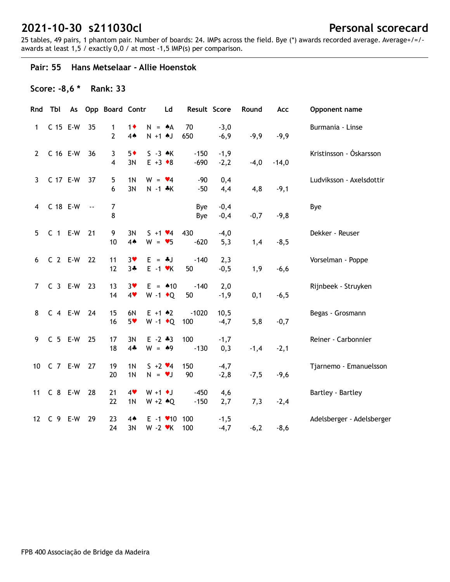25 tables, 49 pairs, 1 phantom pair. Number of boards: 24. IMPs across the field. Bye (\*) awards recorded average. Average+/=/ awards at least 1,5 / exactly 0,0 / at most -1,5 IMP(s) per comparison.

#### **Pair: 55 Hans Metselaar - Allie Hoenstok**

## **Score: -8,6 \* Rank: 33**

|              | Rnd Tbl     |    | As Opp Board Contr |                                                 | Ld                                   | Result Score     |                  | Round  | Acc     | Opponent name             |
|--------------|-------------|----|--------------------|-------------------------------------------------|--------------------------------------|------------------|------------------|--------|---------|---------------------------|
| 1            | C 15 E-W    | 35 | 1<br>2             | $1\bullet$<br>$N + 1$ $N$<br>4A                 | $N = A$                              | 70<br>650        | $-3,0$<br>$-6,9$ | $-9,9$ | $-9,9$  | Burmania - Linse          |
| $\mathbf{2}$ | C 16 E-W    | 36 | 3<br>4             | $5*$<br>$E + 3 \cdot 8$<br>3N                   | $S - 3 \cdot K$                      | $-150$<br>$-690$ | $-1,9$<br>$-2,2$ | $-4,0$ | $-14,0$ | Kristinsson - Óskarsson   |
| 3            | C 17 E-W    | 37 | 5<br>6             | 1 <sub>N</sub><br>$W = \bullet 4$<br>3N         | $N - 1$ $*K$                         | $-90$<br>$-50$   | 0,4<br>4,4       | 4,8    | $-9,1$  | Ludviksson - Axelsdottir  |
| 4            | C 18 E-W -- |    | 7<br>8             |                                                 |                                      | Bye<br>Bye       | $-0,4$<br>$-0,4$ | $-0,7$ | $-9,8$  | Bye                       |
| 5            | $C_1$ E-W   | 21 | 9<br>10            | 3N<br>$4*$<br>$W = 95$                          | $S + 1 \cdot 4$                      | 430<br>$-620$    | $-4,0$<br>5,3    | 1,4    | $-8,5$  | Dekker - Reuser           |
| 6            | $C2 E-W$    | 22 | 11<br>12           | $3*$<br>$E = -1$<br>$3 +$                       | $E - 1$ $\forall$ K                  | $-140$<br>50     | 2,3<br>$-0,5$    | 1,9    | $-6,6$  | Vorselman - Poppe         |
| $7^{\circ}$  | $C_3$ E-W   | 23 | 13<br>14           | $3*$<br>4                                       | $E = 10$<br>$W - 1$ + Q              | $-140$<br>50     | 2,0<br>$-1,9$    | 0,1    | $-6,5$  | Rijnbeek - Struyken       |
| 8            | C 4 E-W 24  |    | 15<br>16           | 6N<br>$E + 1$ $*2$<br>$5*$                      | $W - 1$ + Q                          | $-1020$<br>100   | 10,5<br>$-4,7$   | 5,8    | $-0,7$  | Begas - Grosmann          |
| 9            | $C$ 5 E-W   | 25 | 17<br>18           | $E - 2 * 3$<br>3N<br>$4 -$<br>$W = 49$          |                                      | 100<br>$-130$    | $-1,7$<br>0,3    | $-1,4$ | $-2,1$  | Reiner - Carbonnier       |
|              | 10 C 7 E-W  | 27 | 19<br>20           | 1 <sub>N</sub><br>1 <sub>N</sub><br>$N = \nu J$ | $5 + 2 \cdot 4$                      | 150<br>90        | $-4,7$<br>$-2,8$ | $-7,5$ | $-9,6$  | Tjarnemo - Emanuelsson    |
| 11           | C 8 E-W     | 28 | 21<br>22           | 4<br>$W + 1$ + J<br>1 <sub>N</sub>              | $W + 2 \cdot Q$                      | $-450$<br>$-150$ | 4,6<br>2,7       | 7,3    | $-2,4$  | Bartley - Bartley         |
|              | 12 C 9 E-W  | 29 | 23<br>24           | $4*$<br>3N<br>$W - 2$ $\cdot$ K                 | $E - 1$ $\blacktriangleright$ 10 100 | 100              | $-1,5$<br>$-4,7$ | $-6,2$ | $-8,6$  | Adelsberger - Adelsberger |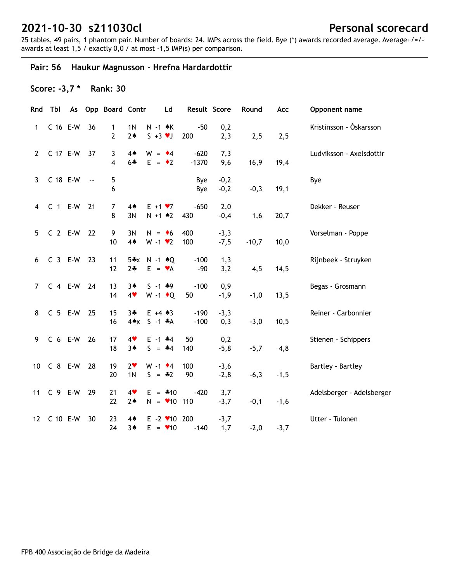25 tables, 49 pairs, 1 phantom pair. Number of boards: 24. IMPs across the field. Bye (\*) awards recorded average. Average+/=/ awards at least 1,5 / exactly 0,0 / at most -1,5 IMP(s) per comparison.

## **Pair: 56 Haukur Magnusson - Hrefna Hardardottir**

## **Score: -3,7 \* Rank: 30**

| Rnd             | Tbl         |               | As Opp Board Contr  |                          | Ld                                          | Result Score      |                  | Round   | Acc    | Opponent name             |
|-----------------|-------------|---------------|---------------------|--------------------------|---------------------------------------------|-------------------|------------------|---------|--------|---------------------------|
| 1               | C 16 E-W    | 36            | 1<br>$\overline{2}$ | 1 <sub>N</sub><br>$2*$   | $N - 1$ $\star$ K<br>$S + 3 \cdot J$        | $-50$<br>200      | 0,2<br>2,3       | 2,5     | 2,5    | Kristinsson - Óskarsson   |
| $\mathbf{2}$    | C 17 E-W    | 37            | 3<br>$\overline{4}$ | $4*$<br>$6 +$            | $W = 4$<br>$E = \cdot 2$                    | $-620$<br>$-1370$ | 7,3<br>9,6       | 16,9    | 19,4   | Ludviksson - Axelsdottir  |
| $\mathbf{3}$    | C 18 E-W    | $\sim$ $\sim$ | 5<br>6              |                          |                                             | Bye<br>Bye        | $-0,2$<br>$-0,2$ | $-0,3$  | 19,1   | Bye                       |
| 4               | $C$ 1 E-W   | 21            | $\overline{7}$<br>8 | $4*$<br>3N               | $E + 1 \cdot 7$<br>$N + 1$ $*2$             | $-650$<br>430     | 2,0<br>$-0,4$    | 1,6     | 20,7   | Dekker - Reuser           |
| 5               | $C$ 2 E-W   | 22            | 9<br>10             | 3N<br>4 <sub>•</sub>     | $N = 6$<br>$W - 1$ $\bullet$ 2              | 400<br>100        | $-3,3$<br>$-7,5$ | $-10,7$ | 10,0   | Vorselman - Poppe         |
| 6               | $C_3$ E-W   | 23            | 11<br>12            | $5*x$<br>$2+$            | $N - 1$ $\triangle Q$<br>$E = \mathbf{v}A$  | $-100$<br>$-90$   | 1,3<br>3,2       | 4,5     | 14,5   | Rijnbeek - Struyken       |
| $\overline{7}$  | $C$ 4 E-W   | 24            | 13<br>14            | $3*$<br>4                | $S - 1$ $*9$<br>W -1 $\bullet$ Q            | $-100$<br>50      | 0,9<br>$-1,9$    | $-1,0$  | 13,5   | Begas - Grosmann          |
| 8               | $C$ 5 E-W   | 25            | 15<br>16            | $3 +$<br>$4 \triangle x$ | $E + 4 \cdot 3$<br>$S - 1$ $*A$             | $-190$<br>$-100$  | $-3,3$<br>0,3    | $-3,0$  | 10,5   | Reiner - Carbonnier       |
| 9               | $C6 E-W$    | 26            | 17<br>18            | 4<br>$3*$                | $E - 1$ $*4$<br>$S = -4$                    | 50<br>140         | 0,2<br>$-5,8$    | $-5,7$  | 4,8    | Stienen - Schippers       |
| 10 <sup>1</sup> | C 8 E-W     | 28            | 19<br>20            | $2*$<br>1 <sub>N</sub>   | $W - 1$ $\bullet$ 4<br>$S = -2$             | 100<br>90         | $-3,6$<br>$-2,8$ | $-6,3$  | $-1,5$ | Bartley - Bartley         |
| 11              | C 9 E-W     | 29            | 21<br>22            | 4<br>$2*$                | $E = 410$<br>$N = 10$ 110                   | $-420$            | 3,7<br>$-3,7$    | $-0,1$  | $-1,6$ | Adelsberger - Adelsberger |
|                 | 12 C 10 E-W | 30            | 23<br>24            | 4▲<br>$3*$               | $E - 2$ $\times$ 10 200<br>$E = \bullet 10$ | $-140$            | $-3,7$<br>1,7    | $-2,0$  | $-3,7$ | Utter - Tulonen           |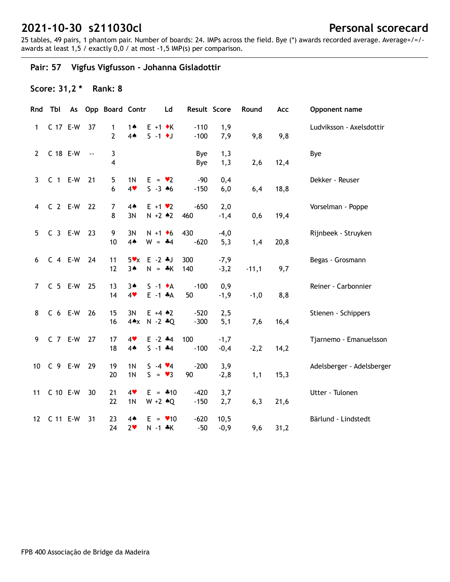25 tables, 49 pairs, 1 phantom pair. Number of boards: 24. IMPs across the field. Bye (\*) awards recorded average. Average+/=/ awards at least 1,5 / exactly 0,0 / at most -1,5 IMP(s) per comparison.

**Pair: 57 Vigfus Vigfusson - Johanna Gisladottir**

## **Score: 31,2 \* Rank: 8**

|                | Rnd Tbl       |    | As Opp Board Contr  |                                  | Ld                                      | Result Score     |                  | Round   | Acc  | Opponent name             |
|----------------|---------------|----|---------------------|----------------------------------|-----------------------------------------|------------------|------------------|---------|------|---------------------------|
| 1              | C 17 E-W 37   |    | 1<br>$\overline{2}$ | 1 <sub>A</sub><br>4A             | $E + 1 \cdot K$<br>$S - 1$ $\bullet$ J  | $-110$<br>$-100$ | 1,9<br>7,9       | 9,8     | 9,8  | Ludviksson - Axelsdottir  |
| $2^{\circ}$    | C 18 E-W --   |    | 3<br>$\overline{4}$ |                                  |                                         | Bye<br>Bye       | 1,3<br>1,3       | 2,6     | 12,4 | Bye                       |
| $\mathbf{3}$   | C 1 E-W 21    |    | 5<br>6              | 1 <sub>N</sub><br>4              | $E = \bullet 2$<br>$S - 3 \cdot 6$      | $-90$<br>$-150$  | 0,4<br>6,0       | 6,4     | 18,8 | Dekker - Reuser           |
| $\overline{4}$ | C 2 E-W 22    |    | 7<br>8              | $4*$<br>3N                       | $E + 1 \cdot 2$<br>$N + 2 \cdot 2$      | $-650$<br>460    | 2,0<br>$-1,4$    | 0,6     | 19,4 | Vorselman - Poppe         |
| 5              | C 3 E-W 23    |    | 9<br>10             | 3N<br>4A                         | $N + 1$ + 6<br>$W = -4$                 | 430<br>$-620$    | $-4,0$<br>5,3    | 1,4     | 20,8 | Rijnbeek - Struyken       |
| 6              | C 4 E-W 24    |    | 11<br>12            | $3*$                             | $5 \times x$ E -2 $*J$<br>$N = *K$      | 300<br>140       | $-7,9$<br>$-3,2$ | $-11,1$ | 9,7  | Begas - Grosmann          |
| $\overline{7}$ | C 5 E-W 25    |    | 13<br>14            | $3*$<br>4                        | $S -1$ $\star$ A<br>$E -1$ $*A$         | $-100$<br>50     | 0,9<br>$-1,9$    | $-1,0$  | 8,8  | Reiner - Carbonnier       |
| 8              | C 6 E-W 26    |    | 15<br>16            | 3N                               | $E + 4 \cdot 2$<br>$4 \times N - 2 * Q$ | $-520$<br>$-300$ | 2,5<br>5,1       | 7,6     | 16,4 | Stienen - Schippers       |
| 9              | C 7 E-W 27    |    | 17<br>18            | 4<br>$4*$                        | $E - 2$ $*4$<br>$S - 1$ $*4$            | 100<br>$-100$    | $-1,7$<br>$-0,4$ | $-2,2$  | 14,2 | Tjarnemo - Emanuelsson    |
|                | 10 C 9 E-W 29 |    | 19<br>20            | 1 <sub>N</sub><br>1 <sub>N</sub> | $S -4 \cdot 4$<br>$S = \bullet 3$       | $-200$<br>90     | 3,9<br>$-2,8$    | 1,1     | 15,3 | Adelsberger - Adelsberger |
| 11             | C 10 E-W      | 30 | 21<br>22            | 4<br>1N                          | $E = 410$<br>$W + 2 \cdot Q$            | $-420$<br>$-150$ | 3,7<br>2,7       | 6,3     | 21,6 | Utter - Tulonen           |
|                | 12 C 11 E-W   | 31 | 23<br>24            | $4*$<br>2 <sub>v</sub>           | $E = \bullet 10$<br>$N - 1$ $*K$        | $-620$<br>$-50$  | 10,5<br>$-0,9$   | 9,6     | 31,2 | Bärlund - Lindstedt       |